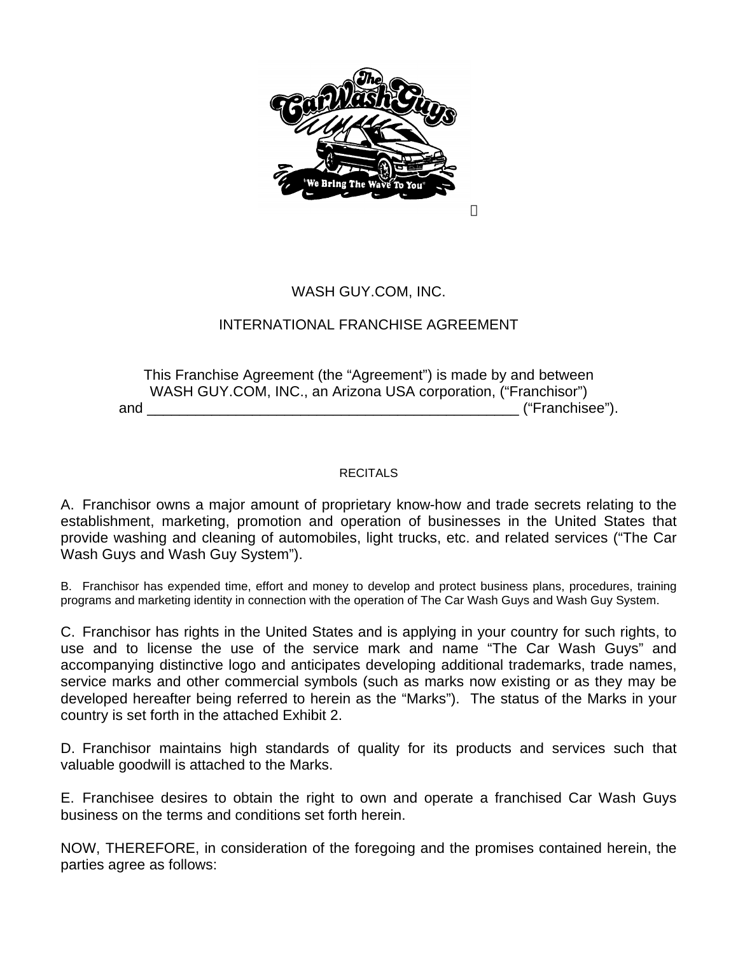

**TM** 

# WASH GUY.COM, INC.

# INTERNATIONAL FRANCHISE AGREEMENT

This Franchise Agreement (the "Agreement") is made by and between WASH GUY.COM, INC., an Arizona USA corporation, ("Franchisor") and \_\_\_\_\_\_\_\_\_\_\_\_\_\_\_\_\_\_\_\_\_\_\_\_\_\_\_\_\_\_\_\_\_\_\_\_\_\_\_\_\_\_\_\_\_\_ ("Franchisee").

# **RECITALS**

A. Franchisor owns a major amount of proprietary know-how and trade secrets relating to the establishment, marketing, promotion and operation of businesses in the United States that provide washing and cleaning of automobiles, light trucks, etc. and related services ("The Car Wash Guys and Wash Guy System").

B. Franchisor has expended time, effort and money to develop and protect business plans, procedures, training programs and marketing identity in connection with the operation of The Car Wash Guys and Wash Guy System.

C. Franchisor has rights in the United States and is applying in your country for such rights, to use and to license the use of the service mark and name "The Car Wash Guys" and accompanying distinctive logo and anticipates developing additional trademarks, trade names, service marks and other commercial symbols (such as marks now existing or as they may be developed hereafter being referred to herein as the "Marks"). The status of the Marks in your country is set forth in the attached Exhibit 2.

D. Franchisor maintains high standards of quality for its products and services such that valuable goodwill is attached to the Marks.

E. Franchisee desires to obtain the right to own and operate a franchised Car Wash Guys business on the terms and conditions set forth herein.

NOW, THEREFORE, in consideration of the foregoing and the promises contained herein, the parties agree as follows: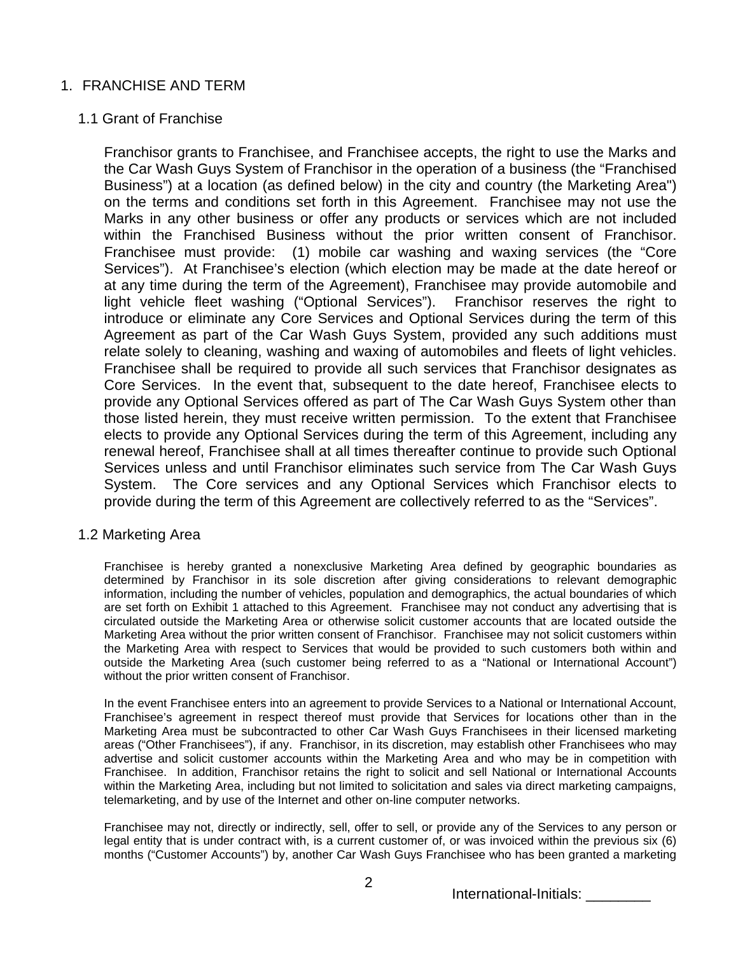# 1. FRANCHISE AND TERM

# 1.1 Grant of Franchise

Franchisor grants to Franchisee, and Franchisee accepts, the right to use the Marks and the Car Wash Guys System of Franchisor in the operation of a business (the "Franchised Business") at a location (as defined below) in the city and country (the Marketing Area") on the terms and conditions set forth in this Agreement. Franchisee may not use the Marks in any other business or offer any products or services which are not included within the Franchised Business without the prior written consent of Franchisor. Franchisee must provide: (1) mobile car washing and waxing services (the "Core Services"). At Franchisee's election (which election may be made at the date hereof or at any time during the term of the Agreement), Franchisee may provide automobile and light vehicle fleet washing ("Optional Services"). Franchisor reserves the right to introduce or eliminate any Core Services and Optional Services during the term of this Agreement as part of the Car Wash Guys System, provided any such additions must relate solely to cleaning, washing and waxing of automobiles and fleets of light vehicles. Franchisee shall be required to provide all such services that Franchisor designates as Core Services. In the event that, subsequent to the date hereof, Franchisee elects to provide any Optional Services offered as part of The Car Wash Guys System other than those listed herein, they must receive written permission. To the extent that Franchisee elects to provide any Optional Services during the term of this Agreement, including any renewal hereof, Franchisee shall at all times thereafter continue to provide such Optional Services unless and until Franchisor eliminates such service from The Car Wash Guys System. The Core services and any Optional Services which Franchisor elects to provide during the term of this Agreement are collectively referred to as the "Services".

# 1.2 Marketing Area

Franchisee is hereby granted a nonexclusive Marketing Area defined by geographic boundaries as determined by Franchisor in its sole discretion after giving considerations to relevant demographic information, including the number of vehicles, population and demographics, the actual boundaries of which are set forth on Exhibit 1 attached to this Agreement. Franchisee may not conduct any advertising that is circulated outside the Marketing Area or otherwise solicit customer accounts that are located outside the Marketing Area without the prior written consent of Franchisor. Franchisee may not solicit customers within the Marketing Area with respect to Services that would be provided to such customers both within and outside the Marketing Area (such customer being referred to as a "National or International Account") without the prior written consent of Franchisor.

In the event Franchisee enters into an agreement to provide Services to a National or International Account, Franchisee's agreement in respect thereof must provide that Services for locations other than in the Marketing Area must be subcontracted to other Car Wash Guys Franchisees in their licensed marketing areas ("Other Franchisees"), if any. Franchisor, in its discretion, may establish other Franchisees who may advertise and solicit customer accounts within the Marketing Area and who may be in competition with Franchisee. In addition, Franchisor retains the right to solicit and sell National or International Accounts within the Marketing Area, including but not limited to solicitation and sales via direct marketing campaigns, telemarketing, and by use of the Internet and other on-line computer networks.

Franchisee may not, directly or indirectly, sell, offer to sell, or provide any of the Services to any person or legal entity that is under contract with, is a current customer of, or was invoiced within the previous six (6) months ("Customer Accounts") by, another Car Wash Guys Franchisee who has been granted a marketing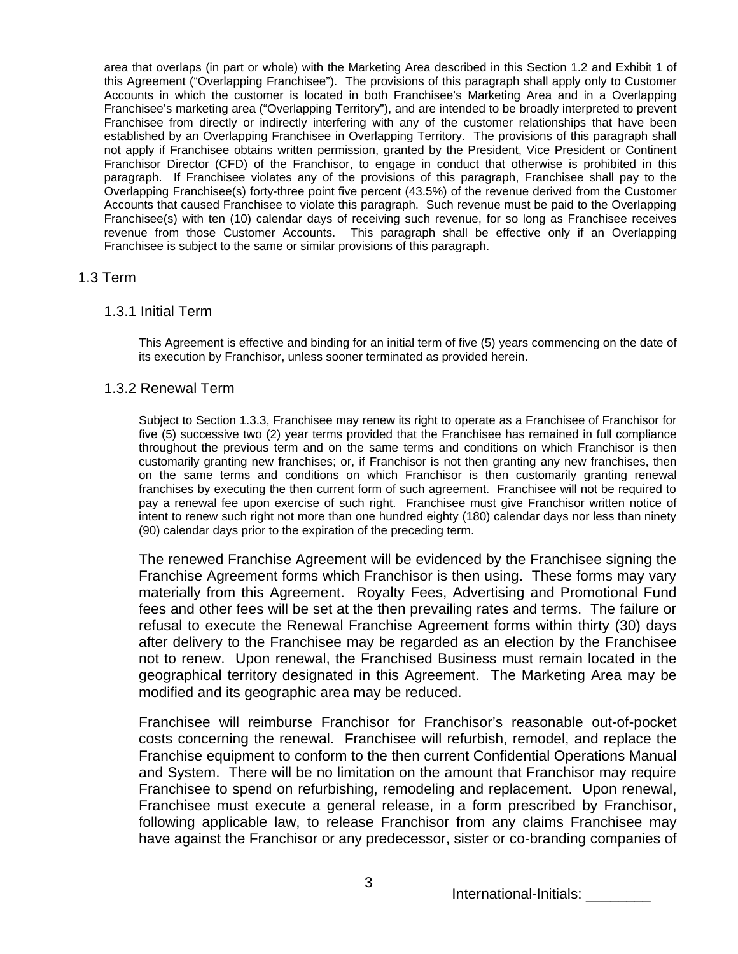area that overlaps (in part or whole) with the Marketing Area described in this Section 1.2 and Exhibit 1 of this Agreement ("Overlapping Franchisee"). The provisions of this paragraph shall apply only to Customer Accounts in which the customer is located in both Franchisee's Marketing Area and in a Overlapping Franchisee's marketing area ("Overlapping Territory"), and are intended to be broadly interpreted to prevent Franchisee from directly or indirectly interfering with any of the customer relationships that have been established by an Overlapping Franchisee in Overlapping Territory. The provisions of this paragraph shall not apply if Franchisee obtains written permission, granted by the President, Vice President or Continent Franchisor Director (CFD) of the Franchisor, to engage in conduct that otherwise is prohibited in this paragraph. If Franchisee violates any of the provisions of this paragraph, Franchisee shall pay to the Overlapping Franchisee(s) forty-three point five percent (43.5%) of the revenue derived from the Customer Accounts that caused Franchisee to violate this paragraph. Such revenue must be paid to the Overlapping Franchisee(s) with ten (10) calendar days of receiving such revenue, for so long as Franchisee receives revenue from those Customer Accounts. This paragraph shall be effective only if an Overlapping Franchisee is subject to the same or similar provisions of this paragraph.

## 1.3 Term

## 1.3.1 Initial Term

This Agreement is effective and binding for an initial term of five (5) years commencing on the date of its execution by Franchisor, unless sooner terminated as provided herein.

## 1.3.2 Renewal Term

Subject to Section 1.3.3, Franchisee may renew its right to operate as a Franchisee of Franchisor for five (5) successive two (2) year terms provided that the Franchisee has remained in full compliance throughout the previous term and on the same terms and conditions on which Franchisor is then customarily granting new franchises; or, if Franchisor is not then granting any new franchises, then on the same terms and conditions on which Franchisor is then customarily granting renewal franchises by executing the then current form of such agreement. Franchisee will not be required to pay a renewal fee upon exercise of such right. Franchisee must give Franchisor written notice of intent to renew such right not more than one hundred eighty (180) calendar days nor less than ninety (90) calendar days prior to the expiration of the preceding term.

The renewed Franchise Agreement will be evidenced by the Franchisee signing the Franchise Agreement forms which Franchisor is then using. These forms may vary materially from this Agreement. Royalty Fees, Advertising and Promotional Fund fees and other fees will be set at the then prevailing rates and terms. The failure or refusal to execute the Renewal Franchise Agreement forms within thirty (30) days after delivery to the Franchisee may be regarded as an election by the Franchisee not to renew. Upon renewal, the Franchised Business must remain located in the geographical territory designated in this Agreement. The Marketing Area may be modified and its geographic area may be reduced.

Franchisee will reimburse Franchisor for Franchisor's reasonable out-of-pocket costs concerning the renewal. Franchisee will refurbish, remodel, and replace the Franchise equipment to conform to the then current Confidential Operations Manual and System. There will be no limitation on the amount that Franchisor may require Franchisee to spend on refurbishing, remodeling and replacement. Upon renewal, Franchisee must execute a general release, in a form prescribed by Franchisor, following applicable law, to release Franchisor from any claims Franchisee may have against the Franchisor or any predecessor, sister or co-branding companies of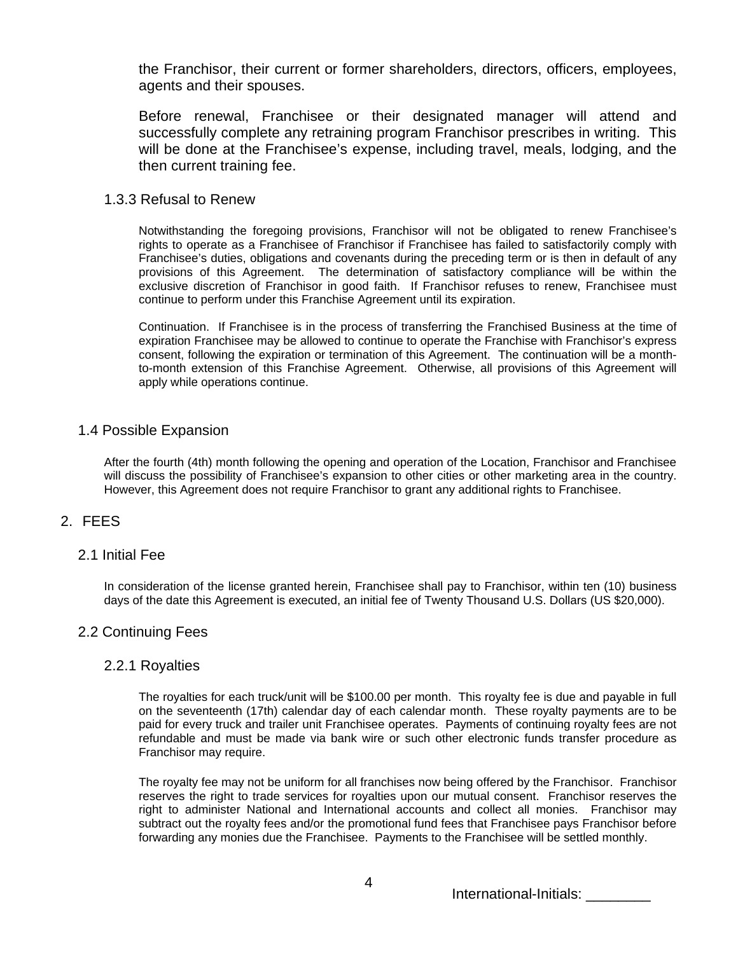the Franchisor, their current or former shareholders, directors, officers, employees, agents and their spouses.

Before renewal, Franchisee or their designated manager will attend and successfully complete any retraining program Franchisor prescribes in writing. This will be done at the Franchisee's expense, including travel, meals, lodging, and the then current training fee.

## 1.3.3 Refusal to Renew

Notwithstanding the foregoing provisions, Franchisor will not be obligated to renew Franchisee's rights to operate as a Franchisee of Franchisor if Franchisee has failed to satisfactorily comply with Franchisee's duties, obligations and covenants during the preceding term or is then in default of any provisions of this Agreement. The determination of satisfactory compliance will be within the exclusive discretion of Franchisor in good faith. If Franchisor refuses to renew, Franchisee must continue to perform under this Franchise Agreement until its expiration.

Continuation. If Franchisee is in the process of transferring the Franchised Business at the time of expiration Franchisee may be allowed to continue to operate the Franchise with Franchisor's express consent, following the expiration or termination of this Agreement. The continuation will be a monthto-month extension of this Franchise Agreement. Otherwise, all provisions of this Agreement will apply while operations continue.

# 1.4 Possible Expansion

After the fourth (4th) month following the opening and operation of the Location, Franchisor and Franchisee will discuss the possibility of Franchisee's expansion to other cities or other marketing area in the country. However, this Agreement does not require Franchisor to grant any additional rights to Franchisee.

# 2. FEES

# 2.1 Initial Fee

In consideration of the license granted herein, Franchisee shall pay to Franchisor, within ten (10) business days of the date this Agreement is executed, an initial fee of Twenty Thousand U.S. Dollars (US \$20,000).

# 2.2 Continuing Fees

### 2.2.1 Royalties

The royalties for each truck/unit will be \$100.00 per month. This royalty fee is due and payable in full on the seventeenth (17th) calendar day of each calendar month. These royalty payments are to be paid for every truck and trailer unit Franchisee operates. Payments of continuing royalty fees are not refundable and must be made via bank wire or such other electronic funds transfer procedure as Franchisor may require.

The royalty fee may not be uniform for all franchises now being offered by the Franchisor. Franchisor reserves the right to trade services for royalties upon our mutual consent. Franchisor reserves the right to administer National and International accounts and collect all monies. Franchisor may subtract out the royalty fees and/or the promotional fund fees that Franchisee pays Franchisor before forwarding any monies due the Franchisee. Payments to the Franchisee will be settled monthly.

International-Initials: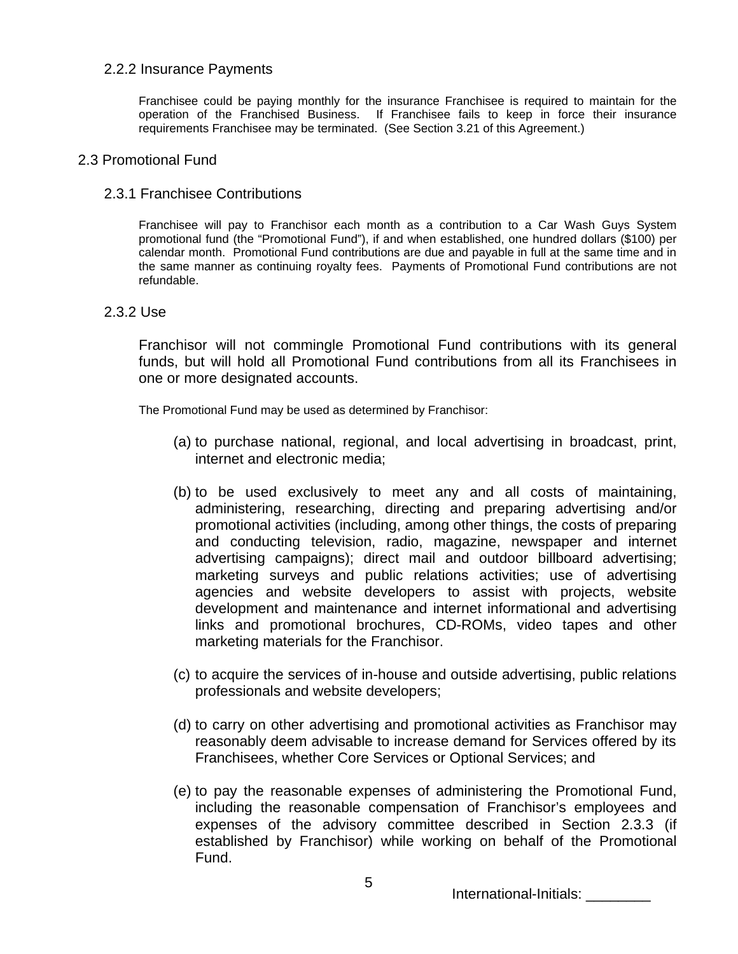# 2.2.2 Insurance Payments

Franchisee could be paying monthly for the insurance Franchisee is required to maintain for the operation of the Franchised Business. If Franchisee fails to keep in force their insurance requirements Franchisee may be terminated. (See Section 3.21 of this Agreement.)

### 2.3 Promotional Fund

## 2.3.1 Franchisee Contributions

Franchisee will pay to Franchisor each month as a contribution to a Car Wash Guys System promotional fund (the "Promotional Fund"), if and when established, one hundred dollars (\$100) per calendar month. Promotional Fund contributions are due and payable in full at the same time and in the same manner as continuing royalty fees. Payments of Promotional Fund contributions are not refundable.

## 2.3.2 Use

Franchisor will not commingle Promotional Fund contributions with its general funds, but will hold all Promotional Fund contributions from all its Franchisees in one or more designated accounts.

The Promotional Fund may be used as determined by Franchisor:

- (a) to purchase national, regional, and local advertising in broadcast, print, internet and electronic media;
- (b) to be used exclusively to meet any and all costs of maintaining, administering, researching, directing and preparing advertising and/or promotional activities (including, among other things, the costs of preparing and conducting television, radio, magazine, newspaper and internet advertising campaigns); direct mail and outdoor billboard advertising; marketing surveys and public relations activities; use of advertising agencies and website developers to assist with projects, website development and maintenance and internet informational and advertising links and promotional brochures, CD-ROMs, video tapes and other marketing materials for the Franchisor.
- (c) to acquire the services of in-house and outside advertising, public relations professionals and website developers;
- (d) to carry on other advertising and promotional activities as Franchisor may reasonably deem advisable to increase demand for Services offered by its Franchisees, whether Core Services or Optional Services; and
- (e) to pay the reasonable expenses of administering the Promotional Fund, including the reasonable compensation of Franchisor's employees and expenses of the advisory committee described in Section 2.3.3 (if established by Franchisor) while working on behalf of the Promotional Fund.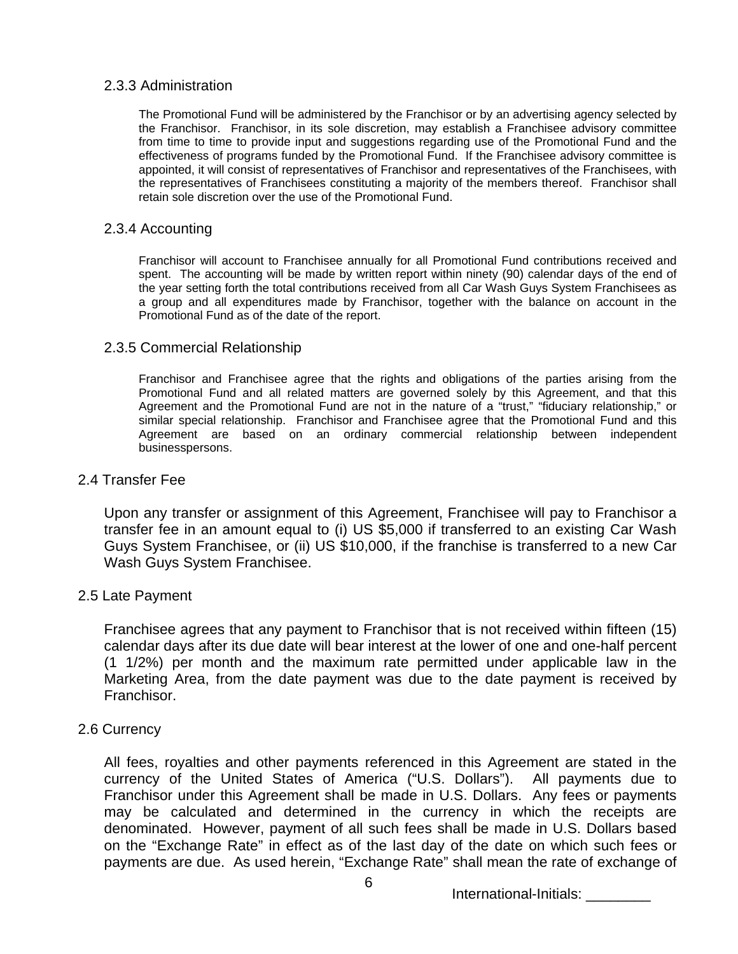# 2.3.3 Administration

The Promotional Fund will be administered by the Franchisor or by an advertising agency selected by the Franchisor. Franchisor, in its sole discretion, may establish a Franchisee advisory committee from time to time to provide input and suggestions regarding use of the Promotional Fund and the effectiveness of programs funded by the Promotional Fund. If the Franchisee advisory committee is appointed, it will consist of representatives of Franchisor and representatives of the Franchisees, with the representatives of Franchisees constituting a majority of the members thereof. Franchisor shall retain sole discretion over the use of the Promotional Fund.

### 2.3.4 Accounting

Franchisor will account to Franchisee annually for all Promotional Fund contributions received and spent. The accounting will be made by written report within ninety (90) calendar days of the end of the year setting forth the total contributions received from all Car Wash Guys System Franchisees as a group and all expenditures made by Franchisor, together with the balance on account in the Promotional Fund as of the date of the report.

# 2.3.5 Commercial Relationship

Franchisor and Franchisee agree that the rights and obligations of the parties arising from the Promotional Fund and all related matters are governed solely by this Agreement, and that this Agreement and the Promotional Fund are not in the nature of a "trust," "fiduciary relationship," or similar special relationship. Franchisor and Franchisee agree that the Promotional Fund and this Agreement are based on an ordinary commercial relationship between independent businesspersons.

### 2.4 Transfer Fee

Upon any transfer or assignment of this Agreement, Franchisee will pay to Franchisor a transfer fee in an amount equal to (i) US \$5,000 if transferred to an existing Car Wash Guys System Franchisee, or (ii) US \$10,000, if the franchise is transferred to a new Car Wash Guys System Franchisee.

# 2.5 Late Payment

Franchisee agrees that any payment to Franchisor that is not received within fifteen (15) calendar days after its due date will bear interest at the lower of one and one-half percent (1 1/2%) per month and the maximum rate permitted under applicable law in the Marketing Area, from the date payment was due to the date payment is received by Franchisor.

# 2.6 Currency

All fees, royalties and other payments referenced in this Agreement are stated in the currency of the United States of America ("U.S. Dollars"). All payments due to Franchisor under this Agreement shall be made in U.S. Dollars. Any fees or payments may be calculated and determined in the currency in which the receipts are denominated. However, payment of all such fees shall be made in U.S. Dollars based on the "Exchange Rate" in effect as of the last day of the date on which such fees or payments are due. As used herein, "Exchange Rate" shall mean the rate of exchange of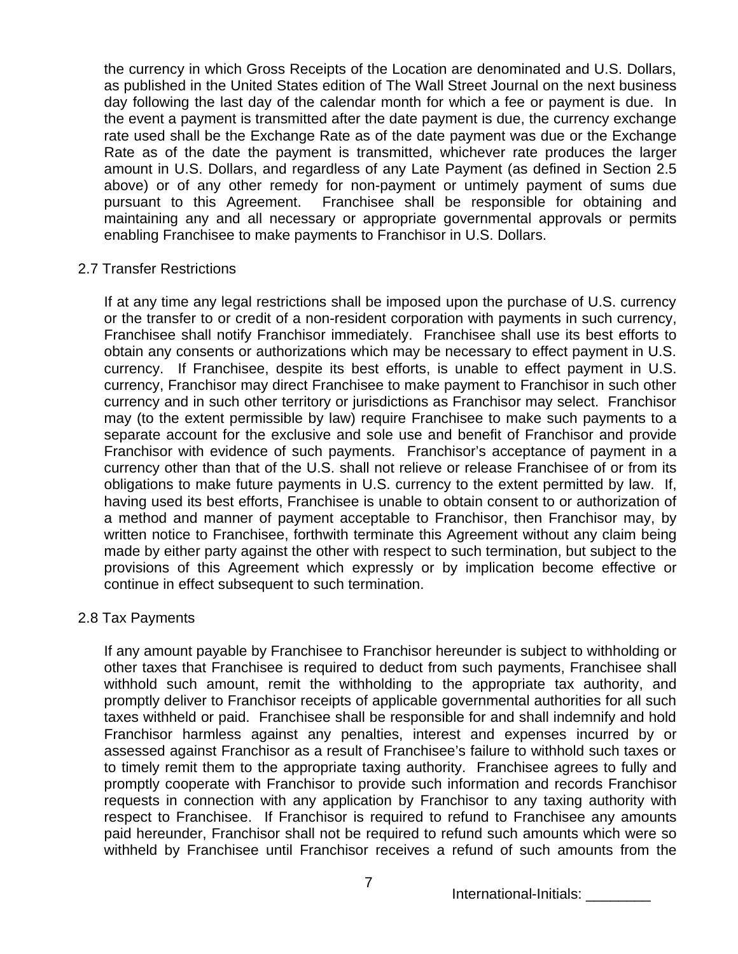the currency in which Gross Receipts of the Location are denominated and U.S. Dollars, as published in the United States edition of The Wall Street Journal on the next business day following the last day of the calendar month for which a fee or payment is due. In the event a payment is transmitted after the date payment is due, the currency exchange rate used shall be the Exchange Rate as of the date payment was due or the Exchange Rate as of the date the payment is transmitted, whichever rate produces the larger amount in U.S. Dollars, and regardless of any Late Payment (as defined in Section 2.5 above) or of any other remedy for non-payment or untimely payment of sums due pursuant to this Agreement. Franchisee shall be responsible for obtaining and maintaining any and all necessary or appropriate governmental approvals or permits enabling Franchisee to make payments to Franchisor in U.S. Dollars.

# 2.7 Transfer Restrictions

If at any time any legal restrictions shall be imposed upon the purchase of U.S. currency or the transfer to or credit of a non-resident corporation with payments in such currency, Franchisee shall notify Franchisor immediately. Franchisee shall use its best efforts to obtain any consents or authorizations which may be necessary to effect payment in U.S. currency. If Franchisee, despite its best efforts, is unable to effect payment in U.S. currency, Franchisor may direct Franchisee to make payment to Franchisor in such other currency and in such other territory or jurisdictions as Franchisor may select. Franchisor may (to the extent permissible by law) require Franchisee to make such payments to a separate account for the exclusive and sole use and benefit of Franchisor and provide Franchisor with evidence of such payments. Franchisor's acceptance of payment in a currency other than that of the U.S. shall not relieve or release Franchisee of or from its obligations to make future payments in U.S. currency to the extent permitted by law. If, having used its best efforts, Franchisee is unable to obtain consent to or authorization of a method and manner of payment acceptable to Franchisor, then Franchisor may, by written notice to Franchisee, forthwith terminate this Agreement without any claim being made by either party against the other with respect to such termination, but subject to the provisions of this Agreement which expressly or by implication become effective or continue in effect subsequent to such termination.

# 2.8 Tax Payments

If any amount payable by Franchisee to Franchisor hereunder is subject to withholding or other taxes that Franchisee is required to deduct from such payments, Franchisee shall withhold such amount, remit the withholding to the appropriate tax authority, and promptly deliver to Franchisor receipts of applicable governmental authorities for all such taxes withheld or paid. Franchisee shall be responsible for and shall indemnify and hold Franchisor harmless against any penalties, interest and expenses incurred by or assessed against Franchisor as a result of Franchisee's failure to withhold such taxes or to timely remit them to the appropriate taxing authority. Franchisee agrees to fully and promptly cooperate with Franchisor to provide such information and records Franchisor requests in connection with any application by Franchisor to any taxing authority with respect to Franchisee. If Franchisor is required to refund to Franchisee any amounts paid hereunder, Franchisor shall not be required to refund such amounts which were so withheld by Franchisee until Franchisor receives a refund of such amounts from the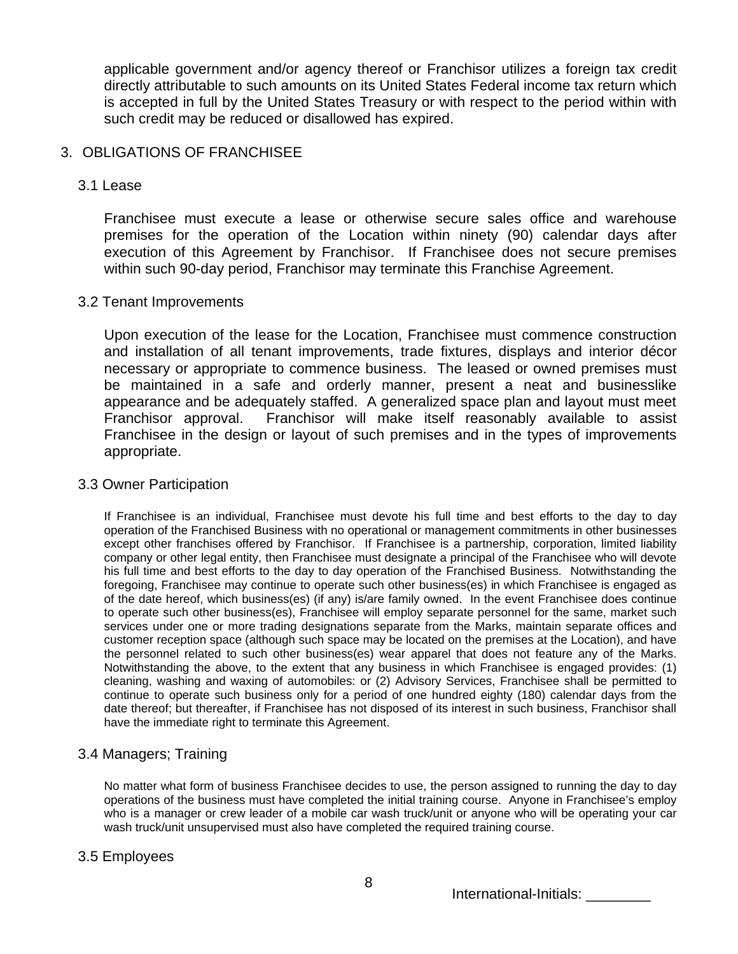applicable government and/or agency thereof or Franchisor utilizes a foreign tax credit directly attributable to such amounts on its United States Federal income tax return which is accepted in full by the United States Treasury or with respect to the period within with such credit may be reduced or disallowed has expired.

# 3. OBLIGATIONS OF FRANCHISEE

## 3.1 Lease

Franchisee must execute a lease or otherwise secure sales office and warehouse premises for the operation of the Location within ninety (90) calendar days after execution of this Agreement by Franchisor. If Franchisee does not secure premises within such 90-day period, Franchisor may terminate this Franchise Agreement.

## 3.2 Tenant Improvements

Upon execution of the lease for the Location, Franchisee must commence construction and installation of all tenant improvements, trade fixtures, displays and interior décor necessary or appropriate to commence business. The leased or owned premises must be maintained in a safe and orderly manner, present a neat and businesslike appearance and be adequately staffed. A generalized space plan and layout must meet Franchisor approval. Franchisor will make itself reasonably available to assist Franchisee in the design or layout of such premises and in the types of improvements appropriate.

### 3.3 Owner Participation

If Franchisee is an individual, Franchisee must devote his full time and best efforts to the day to day operation of the Franchised Business with no operational or management commitments in other businesses except other franchises offered by Franchisor. If Franchisee is a partnership, corporation, limited liability company or other legal entity, then Franchisee must designate a principal of the Franchisee who will devote his full time and best efforts to the day to day operation of the Franchised Business. Notwithstanding the foregoing, Franchisee may continue to operate such other business(es) in which Franchisee is engaged as of the date hereof, which business(es) (if any) is/are family owned. In the event Franchisee does continue to operate such other business(es), Franchisee will employ separate personnel for the same, market such services under one or more trading designations separate from the Marks, maintain separate offices and customer reception space (although such space may be located on the premises at the Location), and have the personnel related to such other business(es) wear apparel that does not feature any of the Marks. Notwithstanding the above, to the extent that any business in which Franchisee is engaged provides: (1) cleaning, washing and waxing of automobiles: or (2) Advisory Services, Franchisee shall be permitted to continue to operate such business only for a period of one hundred eighty (180) calendar days from the date thereof; but thereafter, if Franchisee has not disposed of its interest in such business, Franchisor shall have the immediate right to terminate this Agreement.

# 3.4 Managers; Training

No matter what form of business Franchisee decides to use, the person assigned to running the day to day operations of the business must have completed the initial training course. Anyone in Franchisee's employ who is a manager or crew leader of a mobile car wash truck/unit or anyone who will be operating your car wash truck/unit unsupervised must also have completed the required training course.

# 3.5 Employees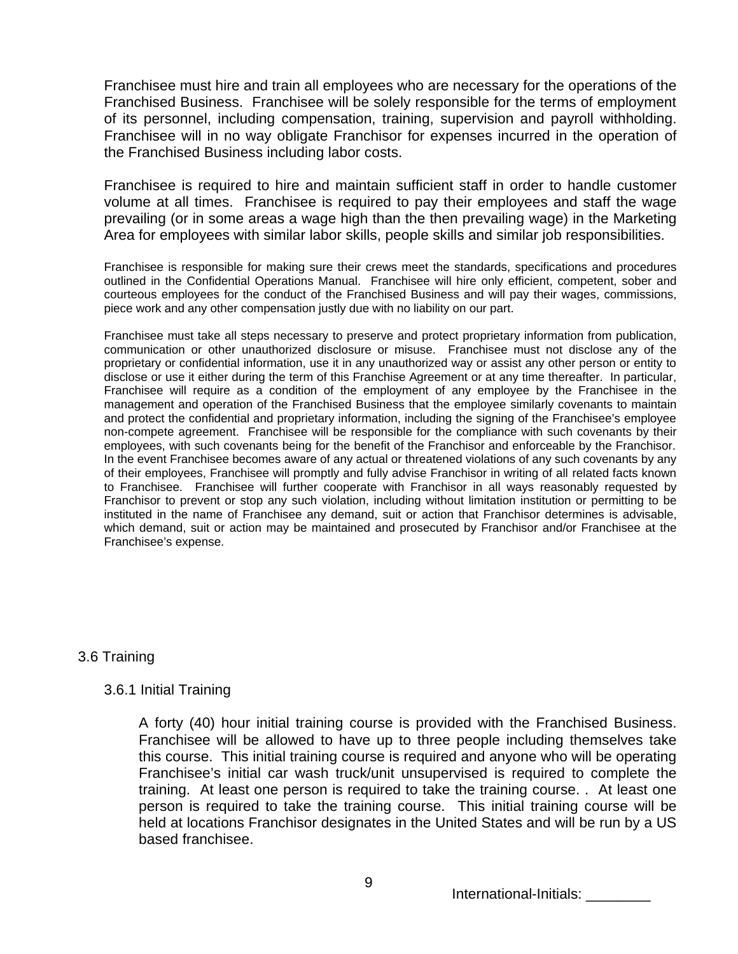Franchisee must hire and train all employees who are necessary for the operations of the Franchised Business. Franchisee will be solely responsible for the terms of employment of its personnel, including compensation, training, supervision and payroll withholding. Franchisee will in no way obligate Franchisor for expenses incurred in the operation of the Franchised Business including labor costs.

Franchisee is required to hire and maintain sufficient staff in order to handle customer volume at all times. Franchisee is required to pay their employees and staff the wage prevailing (or in some areas a wage high than the then prevailing wage) in the Marketing Area for employees with similar labor skills, people skills and similar job responsibilities.

Franchisee is responsible for making sure their crews meet the standards, specifications and procedures outlined in the Confidential Operations Manual. Franchisee will hire only efficient, competent, sober and courteous employees for the conduct of the Franchised Business and will pay their wages, commissions, piece work and any other compensation justly due with no liability on our part.

Franchisee must take all steps necessary to preserve and protect proprietary information from publication, communication or other unauthorized disclosure or misuse. Franchisee must not disclose any of the proprietary or confidential information, use it in any unauthorized way or assist any other person or entity to disclose or use it either during the term of this Franchise Agreement or at any time thereafter. In particular, Franchisee will require as a condition of the employment of any employee by the Franchisee in the management and operation of the Franchised Business that the employee similarly covenants to maintain and protect the confidential and proprietary information, including the signing of the Franchisee's employee non-compete agreement. Franchisee will be responsible for the compliance with such covenants by their employees, with such covenants being for the benefit of the Franchisor and enforceable by the Franchisor. In the event Franchisee becomes aware of any actual or threatened violations of any such covenants by any of their employees, Franchisee will promptly and fully advise Franchisor in writing of all related facts known to Franchisee. Franchisee will further cooperate with Franchisor in all ways reasonably requested by Franchisor to prevent or stop any such violation, including without limitation institution or permitting to be instituted in the name of Franchisee any demand, suit or action that Franchisor determines is advisable, which demand, suit or action may be maintained and prosecuted by Franchisor and/or Franchisee at the Franchisee's expense.

# 3.6 Training

# 3.6.1 Initial Training

A forty (40) hour initial training course is provided with the Franchised Business. Franchisee will be allowed to have up to three people including themselves take this course. This initial training course is required and anyone who will be operating Franchisee's initial car wash truck/unit unsupervised is required to complete the training. At least one person is required to take the training course. . At least one person is required to take the training course. This initial training course will be held at locations Franchisor designates in the United States and will be run by a US based franchisee.

International-Initials: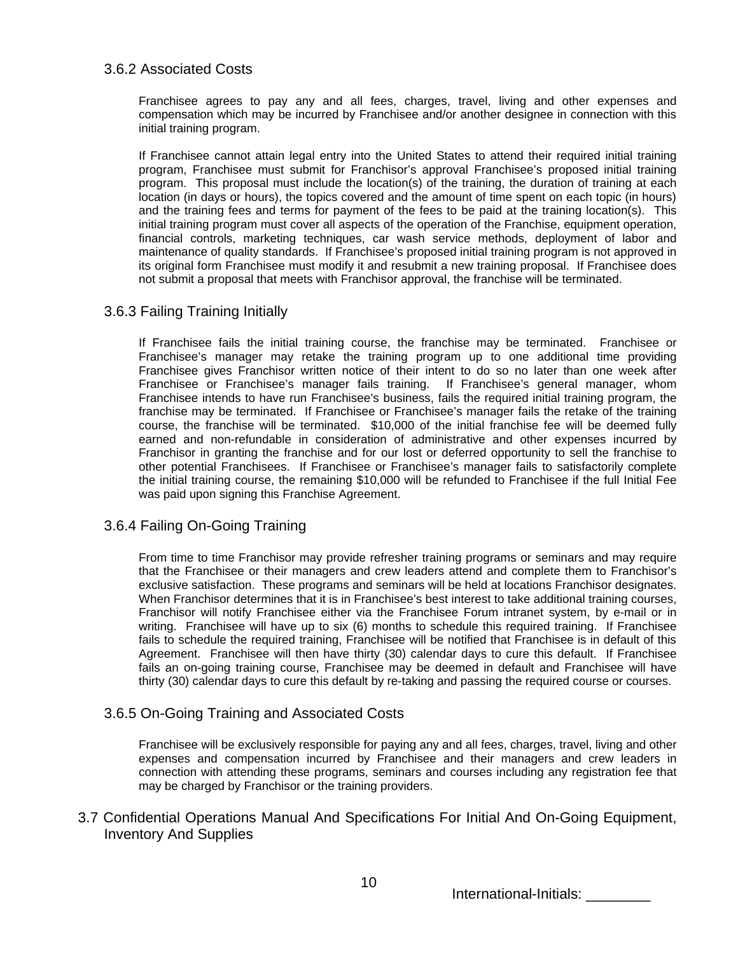## 3.6.2 Associated Costs

Franchisee agrees to pay any and all fees, charges, travel, living and other expenses and compensation which may be incurred by Franchisee and/or another designee in connection with this initial training program.

If Franchisee cannot attain legal entry into the United States to attend their required initial training program, Franchisee must submit for Franchisor's approval Franchisee's proposed initial training program. This proposal must include the location(s) of the training, the duration of training at each location (in days or hours), the topics covered and the amount of time spent on each topic (in hours) and the training fees and terms for payment of the fees to be paid at the training location(s). This initial training program must cover all aspects of the operation of the Franchise, equipment operation, financial controls, marketing techniques, car wash service methods, deployment of labor and maintenance of quality standards. If Franchisee's proposed initial training program is not approved in its original form Franchisee must modify it and resubmit a new training proposal. If Franchisee does not submit a proposal that meets with Franchisor approval, the franchise will be terminated.

## 3.6.3 Failing Training Initially

If Franchisee fails the initial training course, the franchise may be terminated. Franchisee or Franchisee's manager may retake the training program up to one additional time providing Franchisee gives Franchisor written notice of their intent to do so no later than one week after Franchisee or Franchisee's manager fails training. If Franchisee's general manager, whom Franchisee intends to have run Franchisee's business, fails the required initial training program, the franchise may be terminated. If Franchisee or Franchisee's manager fails the retake of the training course, the franchise will be terminated. \$10,000 of the initial franchise fee will be deemed fully earned and non-refundable in consideration of administrative and other expenses incurred by Franchisor in granting the franchise and for our lost or deferred opportunity to sell the franchise to other potential Franchisees. If Franchisee or Franchisee's manager fails to satisfactorily complete the initial training course, the remaining \$10,000 will be refunded to Franchisee if the full Initial Fee was paid upon signing this Franchise Agreement.

# 3.6.4 Failing On-Going Training

From time to time Franchisor may provide refresher training programs or seminars and may require that the Franchisee or their managers and crew leaders attend and complete them to Franchisor's exclusive satisfaction. These programs and seminars will be held at locations Franchisor designates. When Franchisor determines that it is in Franchisee's best interest to take additional training courses, Franchisor will notify Franchisee either via the Franchisee Forum intranet system, by e-mail or in writing. Franchisee will have up to six (6) months to schedule this required training. If Franchisee fails to schedule the required training, Franchisee will be notified that Franchisee is in default of this Agreement. Franchisee will then have thirty (30) calendar days to cure this default. If Franchisee fails an on-going training course, Franchisee may be deemed in default and Franchisee will have thirty (30) calendar days to cure this default by re-taking and passing the required course or courses.

# 3.6.5 On-Going Training and Associated Costs

Franchisee will be exclusively responsible for paying any and all fees, charges, travel, living and other expenses and compensation incurred by Franchisee and their managers and crew leaders in connection with attending these programs, seminars and courses including any registration fee that may be charged by Franchisor or the training providers.

3.7 Confidential Operations Manual And Specifications For Initial And On-Going Equipment, Inventory And Supplies

International-Initials: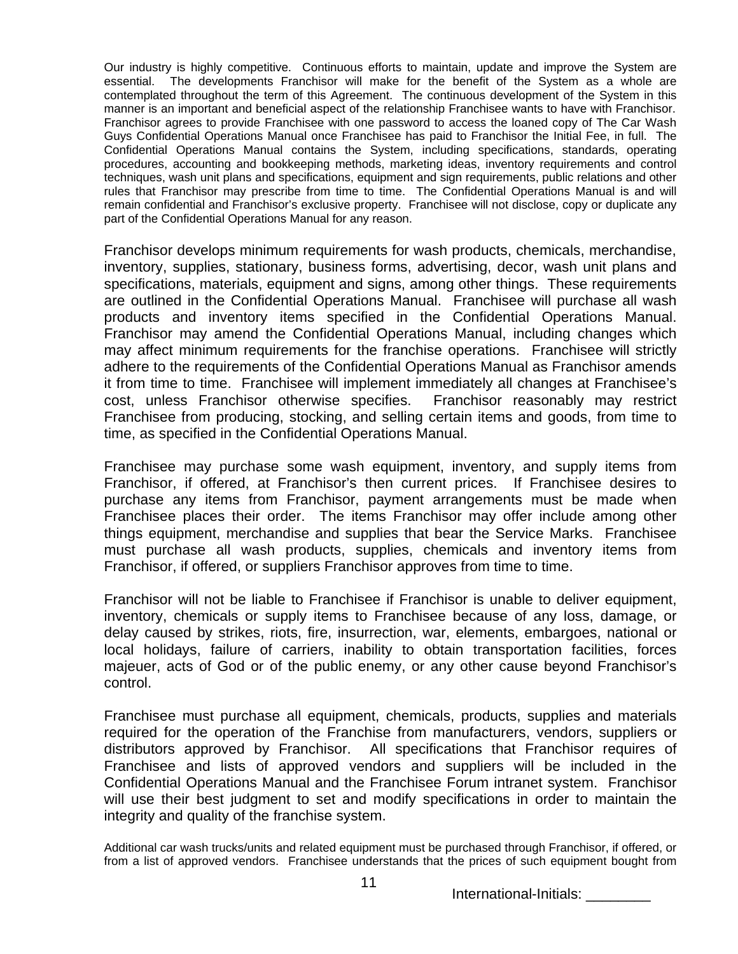Our industry is highly competitive. Continuous efforts to maintain, update and improve the System are essential. The developments Franchisor will make for the benefit of the System as a whole are contemplated throughout the term of this Agreement. The continuous development of the System in this manner is an important and beneficial aspect of the relationship Franchisee wants to have with Franchisor. Franchisor agrees to provide Franchisee with one password to access the loaned copy of The Car Wash Guys Confidential Operations Manual once Franchisee has paid to Franchisor the Initial Fee, in full. The Confidential Operations Manual contains the System, including specifications, standards, operating procedures, accounting and bookkeeping methods, marketing ideas, inventory requirements and control techniques, wash unit plans and specifications, equipment and sign requirements, public relations and other rules that Franchisor may prescribe from time to time. The Confidential Operations Manual is and will remain confidential and Franchisor's exclusive property. Franchisee will not disclose, copy or duplicate any part of the Confidential Operations Manual for any reason.

Franchisor develops minimum requirements for wash products, chemicals, merchandise, inventory, supplies, stationary, business forms, advertising, decor, wash unit plans and specifications, materials, equipment and signs, among other things. These requirements are outlined in the Confidential Operations Manual. Franchisee will purchase all wash products and inventory items specified in the Confidential Operations Manual. Franchisor may amend the Confidential Operations Manual, including changes which may affect minimum requirements for the franchise operations. Franchisee will strictly adhere to the requirements of the Confidential Operations Manual as Franchisor amends it from time to time. Franchisee will implement immediately all changes at Franchisee's cost, unless Franchisor otherwise specifies. Franchisor reasonably may restrict Franchisee from producing, stocking, and selling certain items and goods, from time to time, as specified in the Confidential Operations Manual.

Franchisee may purchase some wash equipment, inventory, and supply items from Franchisor, if offered, at Franchisor's then current prices. If Franchisee desires to purchase any items from Franchisor, payment arrangements must be made when Franchisee places their order. The items Franchisor may offer include among other things equipment, merchandise and supplies that bear the Service Marks. Franchisee must purchase all wash products, supplies, chemicals and inventory items from Franchisor, if offered, or suppliers Franchisor approves from time to time.

Franchisor will not be liable to Franchisee if Franchisor is unable to deliver equipment, inventory, chemicals or supply items to Franchisee because of any loss, damage, or delay caused by strikes, riots, fire, insurrection, war, elements, embargoes, national or local holidays, failure of carriers, inability to obtain transportation facilities, forces majeuer, acts of God or of the public enemy, or any other cause beyond Franchisor's control.

Franchisee must purchase all equipment, chemicals, products, supplies and materials required for the operation of the Franchise from manufacturers, vendors, suppliers or distributors approved by Franchisor. All specifications that Franchisor requires of Franchisee and lists of approved vendors and suppliers will be included in the Confidential Operations Manual and the Franchisee Forum intranet system. Franchisor will use their best judgment to set and modify specifications in order to maintain the integrity and quality of the franchise system.

Additional car wash trucks/units and related equipment must be purchased through Franchisor, if offered, or from a list of approved vendors. Franchisee understands that the prices of such equipment bought from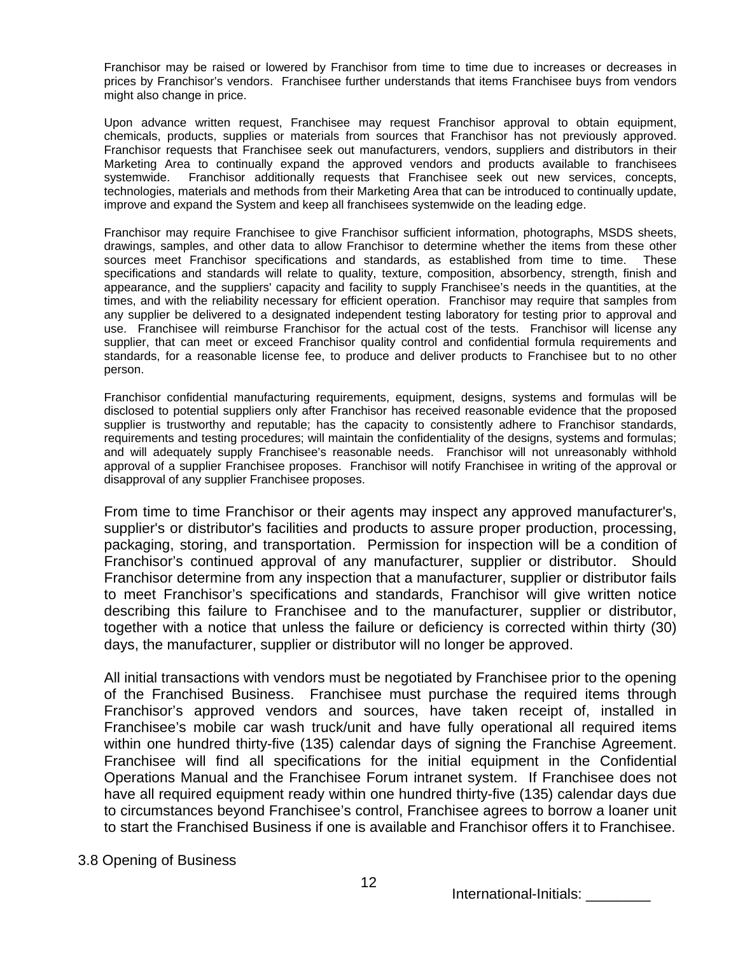Franchisor may be raised or lowered by Franchisor from time to time due to increases or decreases in prices by Franchisor's vendors. Franchisee further understands that items Franchisee buys from vendors might also change in price.

Upon advance written request, Franchisee may request Franchisor approval to obtain equipment, chemicals, products, supplies or materials from sources that Franchisor has not previously approved. Franchisor requests that Franchisee seek out manufacturers, vendors, suppliers and distributors in their Marketing Area to continually expand the approved vendors and products available to franchisees systemwide. Franchisor additionally requests that Franchisee seek out new services, concepts, technologies, materials and methods from their Marketing Area that can be introduced to continually update, improve and expand the System and keep all franchisees systemwide on the leading edge.

Franchisor may require Franchisee to give Franchisor sufficient information, photographs, MSDS sheets, drawings, samples, and other data to allow Franchisor to determine whether the items from these other sources meet Franchisor specifications and standards, as established from time to time. These specifications and standards will relate to quality, texture, composition, absorbency, strength, finish and appearance, and the suppliers' capacity and facility to supply Franchisee's needs in the quantities, at the times, and with the reliability necessary for efficient operation. Franchisor may require that samples from any supplier be delivered to a designated independent testing laboratory for testing prior to approval and use. Franchisee will reimburse Franchisor for the actual cost of the tests. Franchisor will license any supplier, that can meet or exceed Franchisor quality control and confidential formula requirements and standards, for a reasonable license fee, to produce and deliver products to Franchisee but to no other person.

Franchisor confidential manufacturing requirements, equipment, designs, systems and formulas will be disclosed to potential suppliers only after Franchisor has received reasonable evidence that the proposed supplier is trustworthy and reputable; has the capacity to consistently adhere to Franchisor standards, requirements and testing procedures; will maintain the confidentiality of the designs, systems and formulas; and will adequately supply Franchisee's reasonable needs. Franchisor will not unreasonably withhold approval of a supplier Franchisee proposes. Franchisor will notify Franchisee in writing of the approval or disapproval of any supplier Franchisee proposes.

From time to time Franchisor or their agents may inspect any approved manufacturer's, supplier's or distributor's facilities and products to assure proper production, processing, packaging, storing, and transportation. Permission for inspection will be a condition of Franchisor's continued approval of any manufacturer, supplier or distributor. Should Franchisor determine from any inspection that a manufacturer, supplier or distributor fails to meet Franchisor's specifications and standards, Franchisor will give written notice describing this failure to Franchisee and to the manufacturer, supplier or distributor, together with a notice that unless the failure or deficiency is corrected within thirty (30) days, the manufacturer, supplier or distributor will no longer be approved.

All initial transactions with vendors must be negotiated by Franchisee prior to the opening of the Franchised Business. Franchisee must purchase the required items through Franchisor's approved vendors and sources, have taken receipt of, installed in Franchisee's mobile car wash truck/unit and have fully operational all required items within one hundred thirty-five (135) calendar days of signing the Franchise Agreement. Franchisee will find all specifications for the initial equipment in the Confidential Operations Manual and the Franchisee Forum intranet system. If Franchisee does not have all required equipment ready within one hundred thirty-five (135) calendar days due to circumstances beyond Franchisee's control, Franchisee agrees to borrow a loaner unit to start the Franchised Business if one is available and Franchisor offers it to Franchisee.

# 3.8 Opening of Business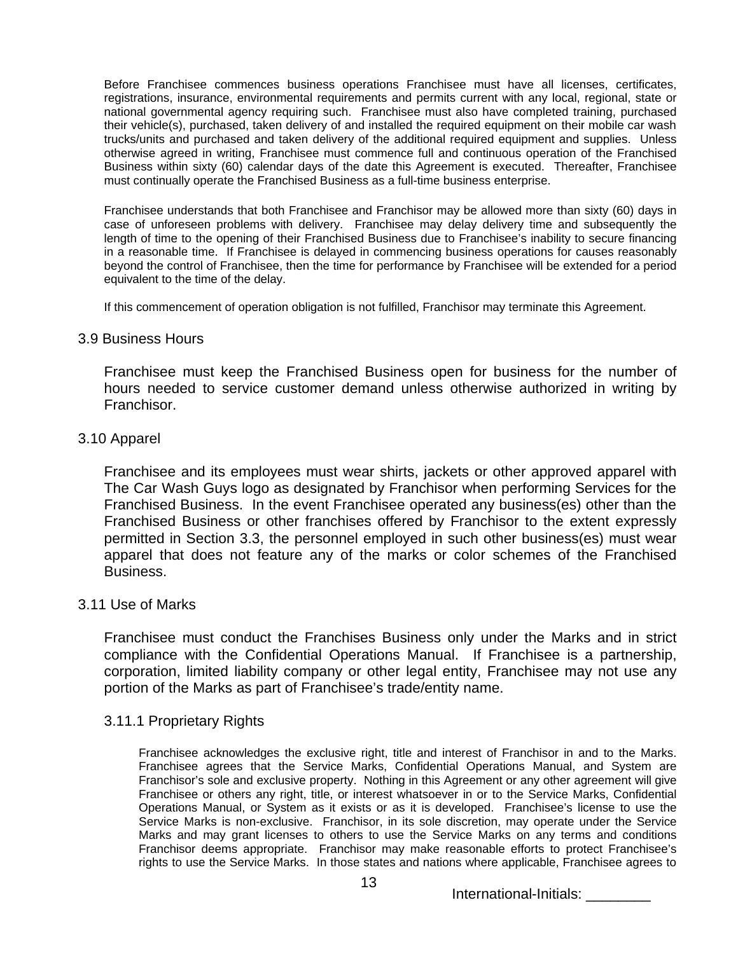Before Franchisee commences business operations Franchisee must have all licenses, certificates, registrations, insurance, environmental requirements and permits current with any local, regional, state or national governmental agency requiring such. Franchisee must also have completed training, purchased their vehicle(s), purchased, taken delivery of and installed the required equipment on their mobile car wash trucks/units and purchased and taken delivery of the additional required equipment and supplies. Unless otherwise agreed in writing, Franchisee must commence full and continuous operation of the Franchised Business within sixty (60) calendar days of the date this Agreement is executed. Thereafter, Franchisee must continually operate the Franchised Business as a full-time business enterprise.

Franchisee understands that both Franchisee and Franchisor may be allowed more than sixty (60) days in case of unforeseen problems with delivery. Franchisee may delay delivery time and subsequently the length of time to the opening of their Franchised Business due to Franchisee's inability to secure financing in a reasonable time. If Franchisee is delayed in commencing business operations for causes reasonably beyond the control of Franchisee, then the time for performance by Franchisee will be extended for a period equivalent to the time of the delay.

If this commencement of operation obligation is not fulfilled, Franchisor may terminate this Agreement.

## 3.9 Business Hours

Franchisee must keep the Franchised Business open for business for the number of hours needed to service customer demand unless otherwise authorized in writing by Franchisor.

# 3.10 Apparel

Franchisee and its employees must wear shirts, jackets or other approved apparel with The Car Wash Guys logo as designated by Franchisor when performing Services for the Franchised Business. In the event Franchisee operated any business(es) other than the Franchised Business or other franchises offered by Franchisor to the extent expressly permitted in Section 3.3, the personnel employed in such other business(es) must wear apparel that does not feature any of the marks or color schemes of the Franchised Business.

# 3.11 Use of Marks

Franchisee must conduct the Franchises Business only under the Marks and in strict compliance with the Confidential Operations Manual. If Franchisee is a partnership, corporation, limited liability company or other legal entity, Franchisee may not use any portion of the Marks as part of Franchisee's trade/entity name.

### 3.11.1 Proprietary Rights

Franchisee acknowledges the exclusive right, title and interest of Franchisor in and to the Marks. Franchisee agrees that the Service Marks, Confidential Operations Manual, and System are Franchisor's sole and exclusive property. Nothing in this Agreement or any other agreement will give Franchisee or others any right, title, or interest whatsoever in or to the Service Marks, Confidential Operations Manual, or System as it exists or as it is developed. Franchisee's license to use the Service Marks is non-exclusive. Franchisor, in its sole discretion, may operate under the Service Marks and may grant licenses to others to use the Service Marks on any terms and conditions Franchisor deems appropriate. Franchisor may make reasonable efforts to protect Franchisee's rights to use the Service Marks. In those states and nations where applicable, Franchisee agrees to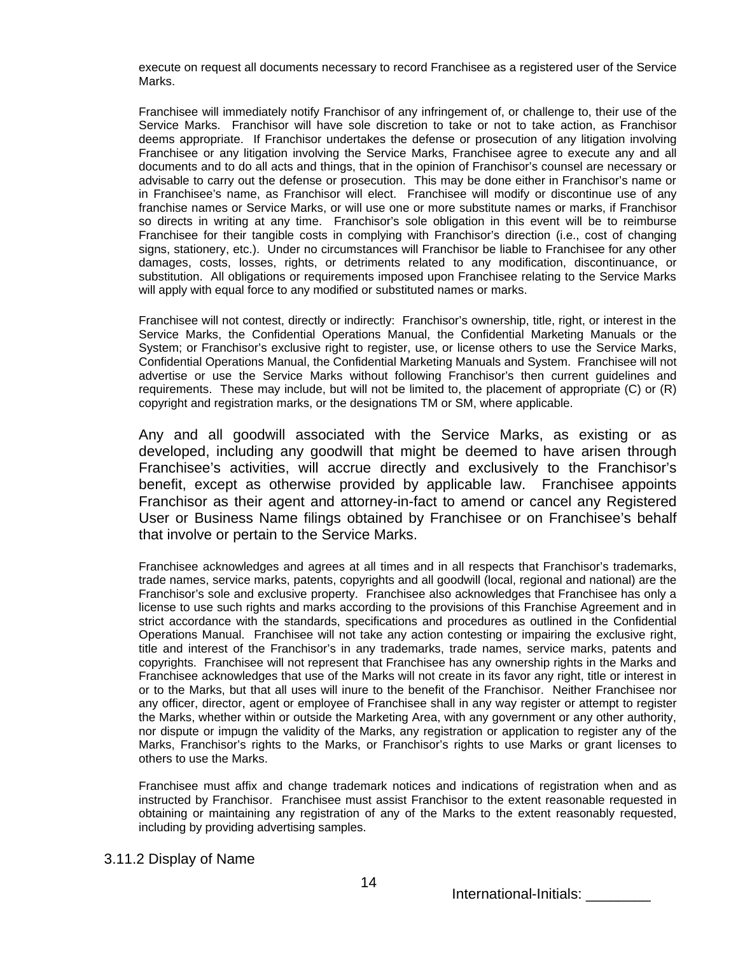execute on request all documents necessary to record Franchisee as a registered user of the Service Marks.

Franchisee will immediately notify Franchisor of any infringement of, or challenge to, their use of the Service Marks. Franchisor will have sole discretion to take or not to take action, as Franchisor deems appropriate. If Franchisor undertakes the defense or prosecution of any litigation involving Franchisee or any litigation involving the Service Marks, Franchisee agree to execute any and all documents and to do all acts and things, that in the opinion of Franchisor's counsel are necessary or advisable to carry out the defense or prosecution. This may be done either in Franchisor's name or in Franchisee's name, as Franchisor will elect. Franchisee will modify or discontinue use of any franchise names or Service Marks, or will use one or more substitute names or marks, if Franchisor so directs in writing at any time. Franchisor's sole obligation in this event will be to reimburse Franchisee for their tangible costs in complying with Franchisor's direction (i.e., cost of changing signs, stationery, etc.). Under no circumstances will Franchisor be liable to Franchisee for any other damages, costs, losses, rights, or detriments related to any modification, discontinuance, or substitution. All obligations or requirements imposed upon Franchisee relating to the Service Marks will apply with equal force to any modified or substituted names or marks.

Franchisee will not contest, directly or indirectly: Franchisor's ownership, title, right, or interest in the Service Marks, the Confidential Operations Manual, the Confidential Marketing Manuals or the System; or Franchisor's exclusive right to register, use, or license others to use the Service Marks, Confidential Operations Manual, the Confidential Marketing Manuals and System. Franchisee will not advertise or use the Service Marks without following Franchisor's then current guidelines and requirements. These may include, but will not be limited to, the placement of appropriate (C) or (R) copyright and registration marks, or the designations TM or SM, where applicable.

Any and all goodwill associated with the Service Marks, as existing or as developed, including any goodwill that might be deemed to have arisen through Franchisee's activities, will accrue directly and exclusively to the Franchisor's benefit, except as otherwise provided by applicable law. Franchisee appoints Franchisor as their agent and attorney-in-fact to amend or cancel any Registered User or Business Name filings obtained by Franchisee or on Franchisee's behalf that involve or pertain to the Service Marks.

Franchisee acknowledges and agrees at all times and in all respects that Franchisor's trademarks, trade names, service marks, patents, copyrights and all goodwill (local, regional and national) are the Franchisor's sole and exclusive property. Franchisee also acknowledges that Franchisee has only a license to use such rights and marks according to the provisions of this Franchise Agreement and in strict accordance with the standards, specifications and procedures as outlined in the Confidential Operations Manual. Franchisee will not take any action contesting or impairing the exclusive right, title and interest of the Franchisor's in any trademarks, trade names, service marks, patents and copyrights. Franchisee will not represent that Franchisee has any ownership rights in the Marks and Franchisee acknowledges that use of the Marks will not create in its favor any right, title or interest in or to the Marks, but that all uses will inure to the benefit of the Franchisor. Neither Franchisee nor any officer, director, agent or employee of Franchisee shall in any way register or attempt to register the Marks, whether within or outside the Marketing Area, with any government or any other authority, nor dispute or impugn the validity of the Marks, any registration or application to register any of the Marks, Franchisor's rights to the Marks, or Franchisor's rights to use Marks or grant licenses to others to use the Marks.

Franchisee must affix and change trademark notices and indications of registration when and as instructed by Franchisor. Franchisee must assist Franchisor to the extent reasonable requested in obtaining or maintaining any registration of any of the Marks to the extent reasonably requested, including by providing advertising samples.

### 3.11.2 Display of Name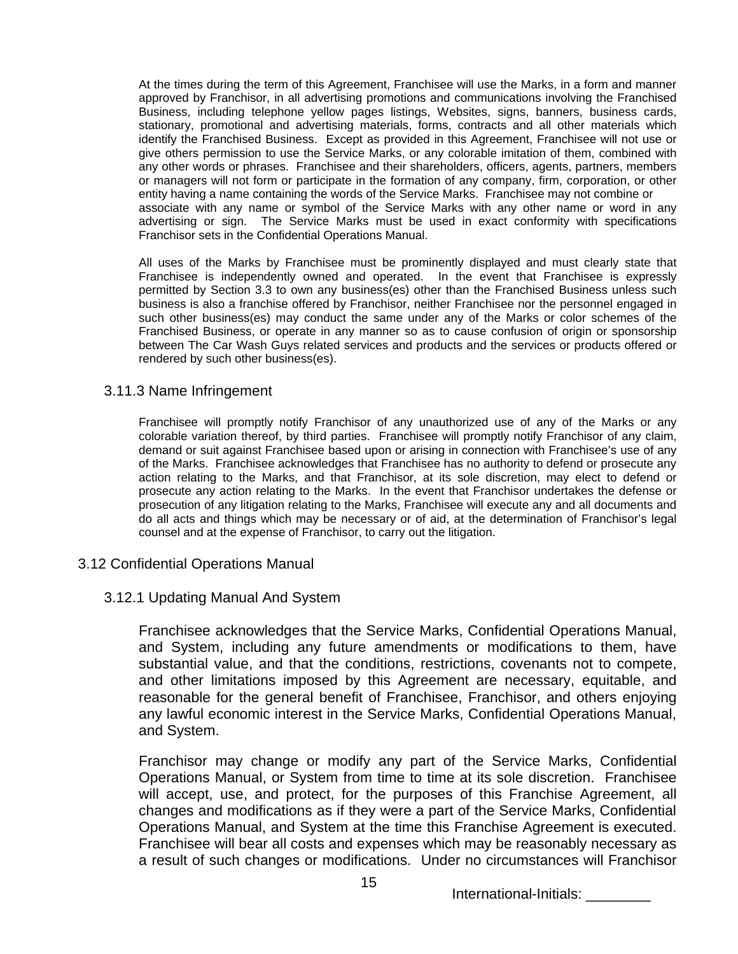At the times during the term of this Agreement, Franchisee will use the Marks, in a form and manner approved by Franchisor, in all advertising promotions and communications involving the Franchised Business, including telephone yellow pages listings, Websites, signs, banners, business cards, stationary, promotional and advertising materials, forms, contracts and all other materials which identify the Franchised Business. Except as provided in this Agreement, Franchisee will not use or give others permission to use the Service Marks, or any colorable imitation of them, combined with any other words or phrases. Franchisee and their shareholders, officers, agents, partners, members or managers will not form or participate in the formation of any company, firm, corporation, or other entity having a name containing the words of the Service Marks. Franchisee may not combine or associate with any name or symbol of the Service Marks with any other name or word in any advertising or sign. The Service Marks must be used in exact conformity with specifications Franchisor sets in the Confidential Operations Manual.

All uses of the Marks by Franchisee must be prominently displayed and must clearly state that Franchisee is independently owned and operated. In the event that Franchisee is expressly permitted by Section 3.3 to own any business(es) other than the Franchised Business unless such business is also a franchise offered by Franchisor, neither Franchisee nor the personnel engaged in such other business(es) may conduct the same under any of the Marks or color schemes of the Franchised Business, or operate in any manner so as to cause confusion of origin or sponsorship between The Car Wash Guys related services and products and the services or products offered or rendered by such other business(es).

### 3.11.3 Name Infringement

Franchisee will promptly notify Franchisor of any unauthorized use of any of the Marks or any colorable variation thereof, by third parties. Franchisee will promptly notify Franchisor of any claim, demand or suit against Franchisee based upon or arising in connection with Franchisee's use of any of the Marks. Franchisee acknowledges that Franchisee has no authority to defend or prosecute any action relating to the Marks, and that Franchisor, at its sole discretion, may elect to defend or prosecute any action relating to the Marks. In the event that Franchisor undertakes the defense or prosecution of any litigation relating to the Marks, Franchisee will execute any and all documents and do all acts and things which may be necessary or of aid, at the determination of Franchisor's legal counsel and at the expense of Franchisor, to carry out the litigation.

# 3.12 Confidential Operations Manual

# 3.12.1 Updating Manual And System

Franchisee acknowledges that the Service Marks, Confidential Operations Manual, and System, including any future amendments or modifications to them, have substantial value, and that the conditions, restrictions, covenants not to compete, and other limitations imposed by this Agreement are necessary, equitable, and reasonable for the general benefit of Franchisee, Franchisor, and others enjoying any lawful economic interest in the Service Marks, Confidential Operations Manual, and System.

Franchisor may change or modify any part of the Service Marks, Confidential Operations Manual, or System from time to time at its sole discretion. Franchisee will accept, use, and protect, for the purposes of this Franchise Agreement, all changes and modifications as if they were a part of the Service Marks, Confidential Operations Manual, and System at the time this Franchise Agreement is executed. Franchisee will bear all costs and expenses which may be reasonably necessary as a result of such changes or modifications. Under no circumstances will Franchisor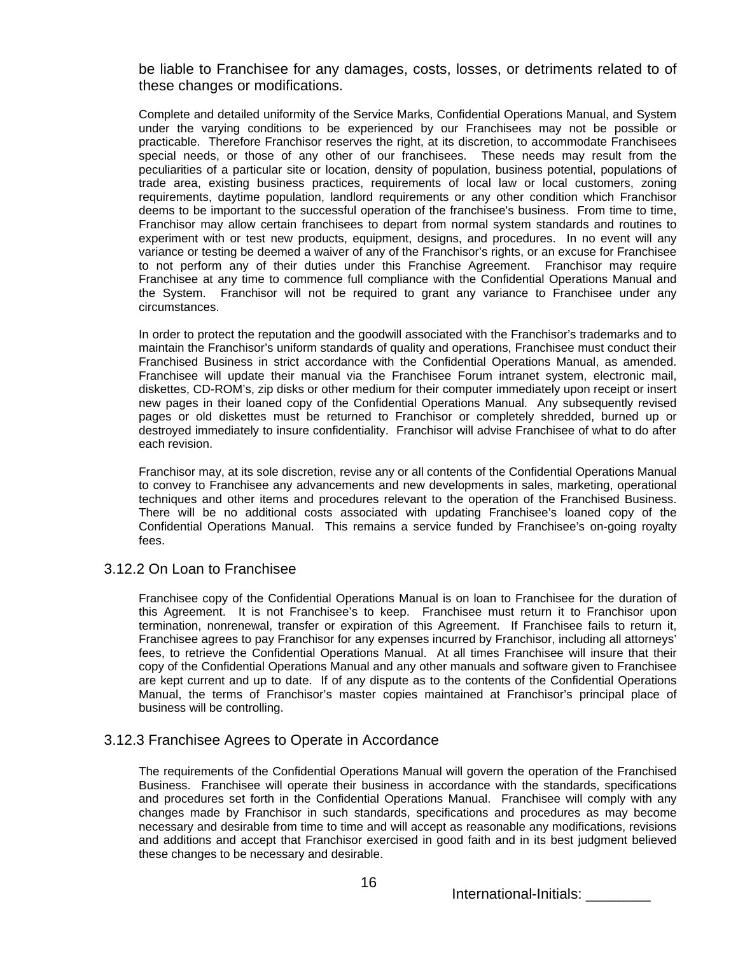be liable to Franchisee for any damages, costs, losses, or detriments related to of these changes or modifications.

Complete and detailed uniformity of the Service Marks, Confidential Operations Manual, and System under the varying conditions to be experienced by our Franchisees may not be possible or practicable. Therefore Franchisor reserves the right, at its discretion, to accommodate Franchisees special needs, or those of any other of our franchisees. These needs may result from the peculiarities of a particular site or location, density of population, business potential, populations of trade area, existing business practices, requirements of local law or local customers, zoning requirements, daytime population, landlord requirements or any other condition which Franchisor deems to be important to the successful operation of the franchisee's business. From time to time, Franchisor may allow certain franchisees to depart from normal system standards and routines to experiment with or test new products, equipment, designs, and procedures. In no event will any variance or testing be deemed a waiver of any of the Franchisor's rights, or an excuse for Franchisee to not perform any of their duties under this Franchise Agreement. Franchisor may require Franchisee at any time to commence full compliance with the Confidential Operations Manual and the System. Franchisor will not be required to grant any variance to Franchisee under any circumstances.

In order to protect the reputation and the goodwill associated with the Franchisor's trademarks and to maintain the Franchisor's uniform standards of quality and operations, Franchisee must conduct their Franchised Business in strict accordance with the Confidential Operations Manual, as amended. Franchisee will update their manual via the Franchisee Forum intranet system, electronic mail, diskettes, CD-ROM's, zip disks or other medium for their computer immediately upon receipt or insert new pages in their loaned copy of the Confidential Operations Manual. Any subsequently revised pages or old diskettes must be returned to Franchisor or completely shredded, burned up or destroyed immediately to insure confidentiality. Franchisor will advise Franchisee of what to do after each revision.

Franchisor may, at its sole discretion, revise any or all contents of the Confidential Operations Manual to convey to Franchisee any advancements and new developments in sales, marketing, operational techniques and other items and procedures relevant to the operation of the Franchised Business. There will be no additional costs associated with updating Franchisee's loaned copy of the Confidential Operations Manual. This remains a service funded by Franchisee's on-going royalty fees.

### 3.12.2 On Loan to Franchisee

Franchisee copy of the Confidential Operations Manual is on loan to Franchisee for the duration of this Agreement. It is not Franchisee's to keep. Franchisee must return it to Franchisor upon termination, nonrenewal, transfer or expiration of this Agreement. If Franchisee fails to return it, Franchisee agrees to pay Franchisor for any expenses incurred by Franchisor, including all attorneys' fees, to retrieve the Confidential Operations Manual. At all times Franchisee will insure that their copy of the Confidential Operations Manual and any other manuals and software given to Franchisee are kept current and up to date. If of any dispute as to the contents of the Confidential Operations Manual, the terms of Franchisor's master copies maintained at Franchisor's principal place of business will be controlling.

### 3.12.3 Franchisee Agrees to Operate in Accordance

The requirements of the Confidential Operations Manual will govern the operation of the Franchised Business. Franchisee will operate their business in accordance with the standards, specifications and procedures set forth in the Confidential Operations Manual. Franchisee will comply with any changes made by Franchisor in such standards, specifications and procedures as may become necessary and desirable from time to time and will accept as reasonable any modifications, revisions and additions and accept that Franchisor exercised in good faith and in its best judgment believed these changes to be necessary and desirable.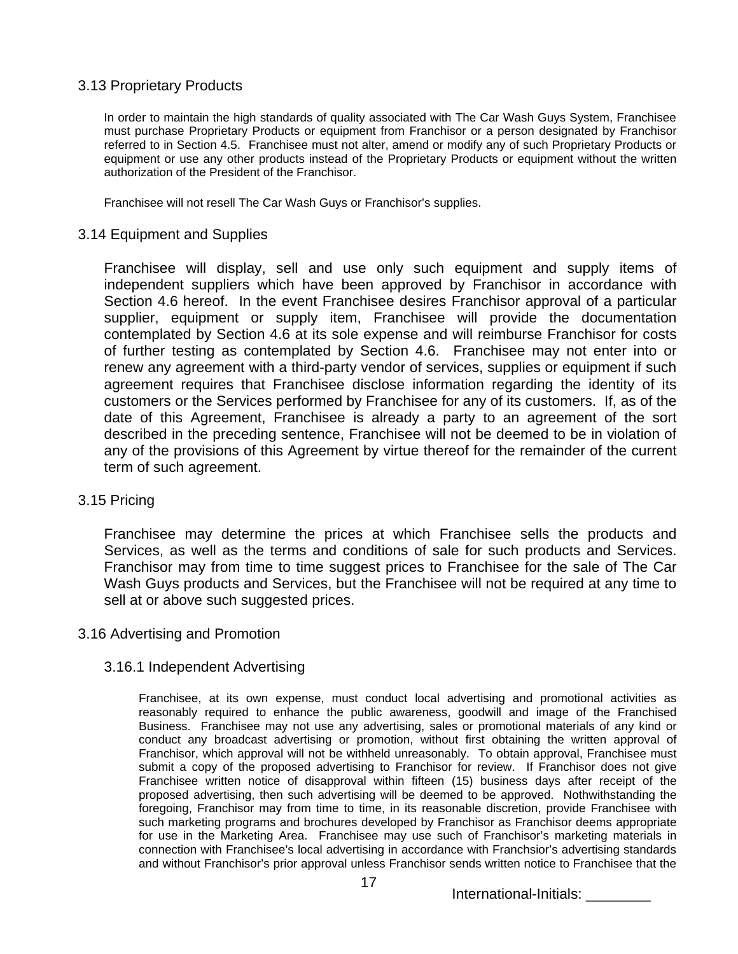# 3.13 Proprietary Products

In order to maintain the high standards of quality associated with The Car Wash Guys System, Franchisee must purchase Proprietary Products or equipment from Franchisor or a person designated by Franchisor referred to in Section 4.5. Franchisee must not alter, amend or modify any of such Proprietary Products or equipment or use any other products instead of the Proprietary Products or equipment without the written authorization of the President of the Franchisor.

Franchisee will not resell The Car Wash Guys or Franchisor's supplies.

## 3.14 Equipment and Supplies

Franchisee will display, sell and use only such equipment and supply items of independent suppliers which have been approved by Franchisor in accordance with Section 4.6 hereof. In the event Franchisee desires Franchisor approval of a particular supplier, equipment or supply item, Franchisee will provide the documentation contemplated by Section 4.6 at its sole expense and will reimburse Franchisor for costs of further testing as contemplated by Section 4.6. Franchisee may not enter into or renew any agreement with a third-party vendor of services, supplies or equipment if such agreement requires that Franchisee disclose information regarding the identity of its customers or the Services performed by Franchisee for any of its customers. If, as of the date of this Agreement, Franchisee is already a party to an agreement of the sort described in the preceding sentence, Franchisee will not be deemed to be in violation of any of the provisions of this Agreement by virtue thereof for the remainder of the current term of such agreement.

### 3.15 Pricing

Franchisee may determine the prices at which Franchisee sells the products and Services, as well as the terms and conditions of sale for such products and Services. Franchisor may from time to time suggest prices to Franchisee for the sale of The Car Wash Guys products and Services, but the Franchisee will not be required at any time to sell at or above such suggested prices.

### 3.16 Advertising and Promotion

### 3.16.1 Independent Advertising

Franchisee, at its own expense, must conduct local advertising and promotional activities as reasonably required to enhance the public awareness, goodwill and image of the Franchised Business. Franchisee may not use any advertising, sales or promotional materials of any kind or conduct any broadcast advertising or promotion, without first obtaining the written approval of Franchisor, which approval will not be withheld unreasonably. To obtain approval, Franchisee must submit a copy of the proposed advertising to Franchisor for review. If Franchisor does not give Franchisee written notice of disapproval within fifteen (15) business days after receipt of the proposed advertising, then such advertising will be deemed to be approved. Nothwithstanding the foregoing, Franchisor may from time to time, in its reasonable discretion, provide Franchisee with such marketing programs and brochures developed by Franchisor as Franchisor deems appropriate for use in the Marketing Area. Franchisee may use such of Franchisor's marketing materials in connection with Franchisee's local advertising in accordance with Franchsior's advertising standards and without Franchisor's prior approval unless Franchisor sends written notice to Franchisee that the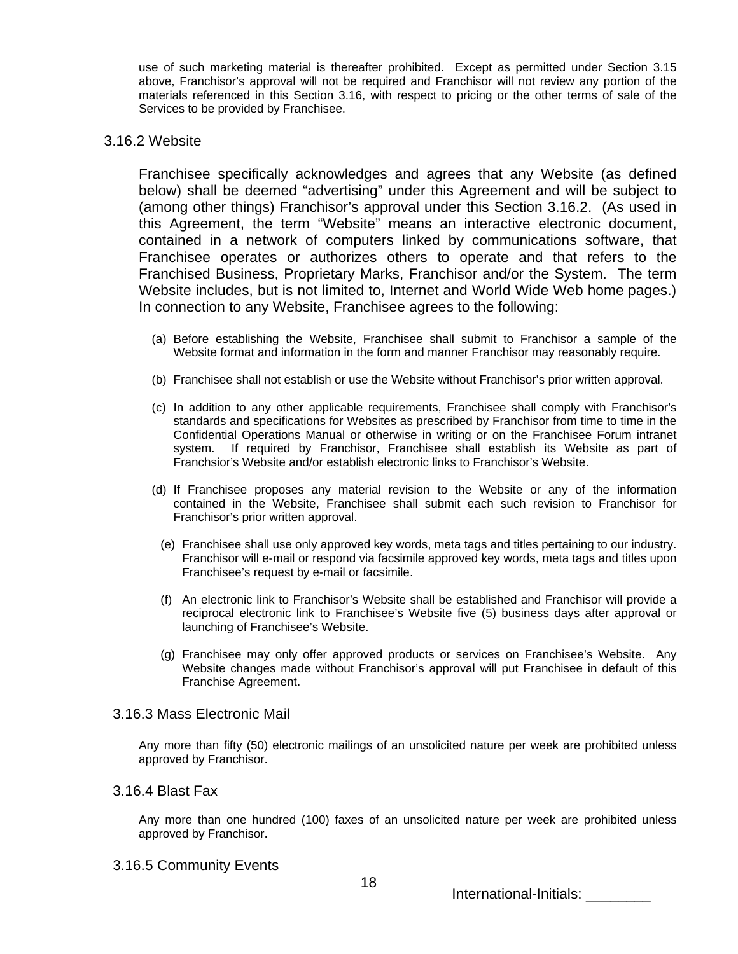use of such marketing material is thereafter prohibited. Except as permitted under Section 3.15 above, Franchisor's approval will not be required and Franchisor will not review any portion of the materials referenced in this Section 3.16, with respect to pricing or the other terms of sale of the Services to be provided by Franchisee.

## 3.16.2 Website

Franchisee specifically acknowledges and agrees that any Website (as defined below) shall be deemed "advertising" under this Agreement and will be subject to (among other things) Franchisor's approval under this Section 3.16.2. (As used in this Agreement, the term "Website" means an interactive electronic document, contained in a network of computers linked by communications software, that Franchisee operates or authorizes others to operate and that refers to the Franchised Business, Proprietary Marks, Franchisor and/or the System. The term Website includes, but is not limited to, Internet and World Wide Web home pages.) In connection to any Website, Franchisee agrees to the following:

- (a) Before establishing the Website, Franchisee shall submit to Franchisor a sample of the Website format and information in the form and manner Franchisor may reasonably require.
- (b) Franchisee shall not establish or use the Website without Franchisor's prior written approval.
- (c) In addition to any other applicable requirements, Franchisee shall comply with Franchisor's standards and specifications for Websites as prescribed by Franchisor from time to time in the Confidential Operations Manual or otherwise in writing or on the Franchisee Forum intranet system. If required by Franchisor, Franchisee shall establish its Website as part of Franchsior's Website and/or establish electronic links to Franchisor's Website.
- (d) If Franchisee proposes any material revision to the Website or any of the information contained in the Website, Franchisee shall submit each such revision to Franchisor for Franchisor's prior written approval.
	- (e) Franchisee shall use only approved key words, meta tags and titles pertaining to our industry. Franchisor will e-mail or respond via facsimile approved key words, meta tags and titles upon Franchisee's request by e-mail or facsimile.
	- (f) An electronic link to Franchisor's Website shall be established and Franchisor will provide a reciprocal electronic link to Franchisee's Website five (5) business days after approval or launching of Franchisee's Website.
	- (g) Franchisee may only offer approved products or services on Franchisee's Website. Any Website changes made without Franchisor's approval will put Franchisee in default of this Franchise Agreement.

### 3.16.3 Mass Electronic Mail

Any more than fifty (50) electronic mailings of an unsolicited nature per week are prohibited unless approved by Franchisor.

## 3.16.4 Blast Fax

Any more than one hundred (100) faxes of an unsolicited nature per week are prohibited unless approved by Franchisor.

3.16.5 Community Events

International-Initials: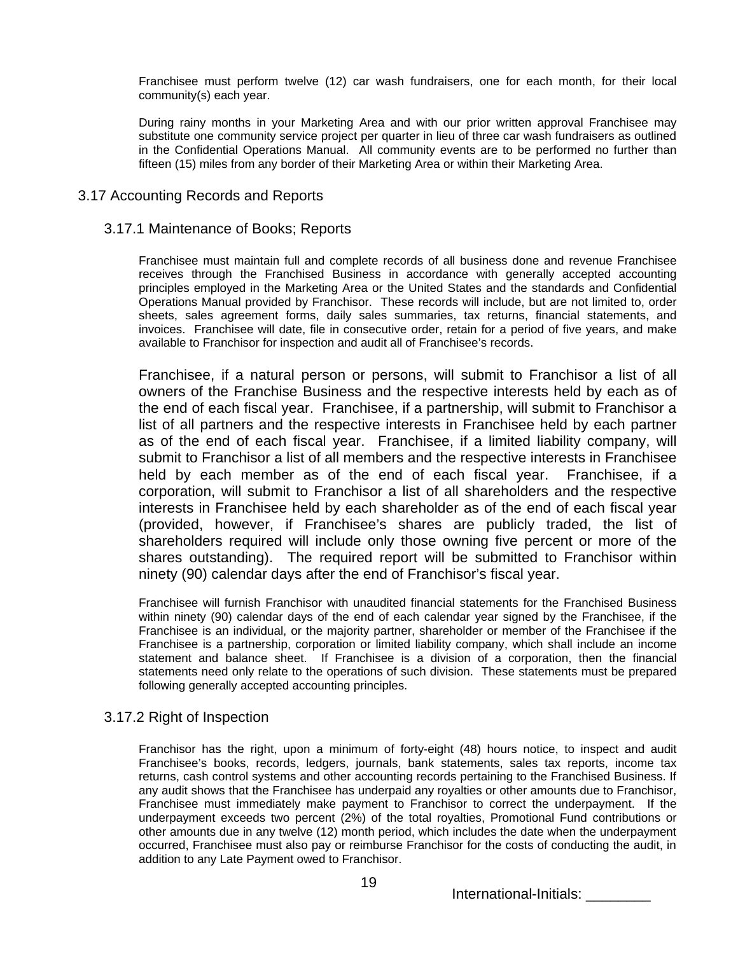Franchisee must perform twelve (12) car wash fundraisers, one for each month, for their local community(s) each year.

During rainy months in your Marketing Area and with our prior written approval Franchisee may substitute one community service project per quarter in lieu of three car wash fundraisers as outlined in the Confidential Operations Manual. All community events are to be performed no further than fifteen (15) miles from any border of their Marketing Area or within their Marketing Area.

### 3.17 Accounting Records and Reports

### 3.17.1 Maintenance of Books; Reports

Franchisee must maintain full and complete records of all business done and revenue Franchisee receives through the Franchised Business in accordance with generally accepted accounting principles employed in the Marketing Area or the United States and the standards and Confidential Operations Manual provided by Franchisor. These records will include, but are not limited to, order sheets, sales agreement forms, daily sales summaries, tax returns, financial statements, and invoices. Franchisee will date, file in consecutive order, retain for a period of five years, and make available to Franchisor for inspection and audit all of Franchisee's records.

Franchisee, if a natural person or persons, will submit to Franchisor a list of all owners of the Franchise Business and the respective interests held by each as of the end of each fiscal year. Franchisee, if a partnership, will submit to Franchisor a list of all partners and the respective interests in Franchisee held by each partner as of the end of each fiscal year. Franchisee, if a limited liability company, will submit to Franchisor a list of all members and the respective interests in Franchisee held by each member as of the end of each fiscal year. Franchisee, if a corporation, will submit to Franchisor a list of all shareholders and the respective interests in Franchisee held by each shareholder as of the end of each fiscal year (provided, however, if Franchisee's shares are publicly traded, the list of shareholders required will include only those owning five percent or more of the shares outstanding). The required report will be submitted to Franchisor within ninety (90) calendar days after the end of Franchisor's fiscal year.

Franchisee will furnish Franchisor with unaudited financial statements for the Franchised Business within ninety (90) calendar days of the end of each calendar year signed by the Franchisee, if the Franchisee is an individual, or the majority partner, shareholder or member of the Franchisee if the Franchisee is a partnership, corporation or limited liability company, which shall include an income statement and balance sheet. If Franchisee is a division of a corporation, then the financial statements need only relate to the operations of such division. These statements must be prepared following generally accepted accounting principles.

### 3.17.2 Right of Inspection

Franchisor has the right, upon a minimum of forty-eight (48) hours notice, to inspect and audit Franchisee's books, records, ledgers, journals, bank statements, sales tax reports, income tax returns, cash control systems and other accounting records pertaining to the Franchised Business. If any audit shows that the Franchisee has underpaid any royalties or other amounts due to Franchisor, Franchisee must immediately make payment to Franchisor to correct the underpayment. If the underpayment exceeds two percent (2%) of the total royalties, Promotional Fund contributions or other amounts due in any twelve (12) month period, which includes the date when the underpayment occurred, Franchisee must also pay or reimburse Franchisor for the costs of conducting the audit, in addition to any Late Payment owed to Franchisor.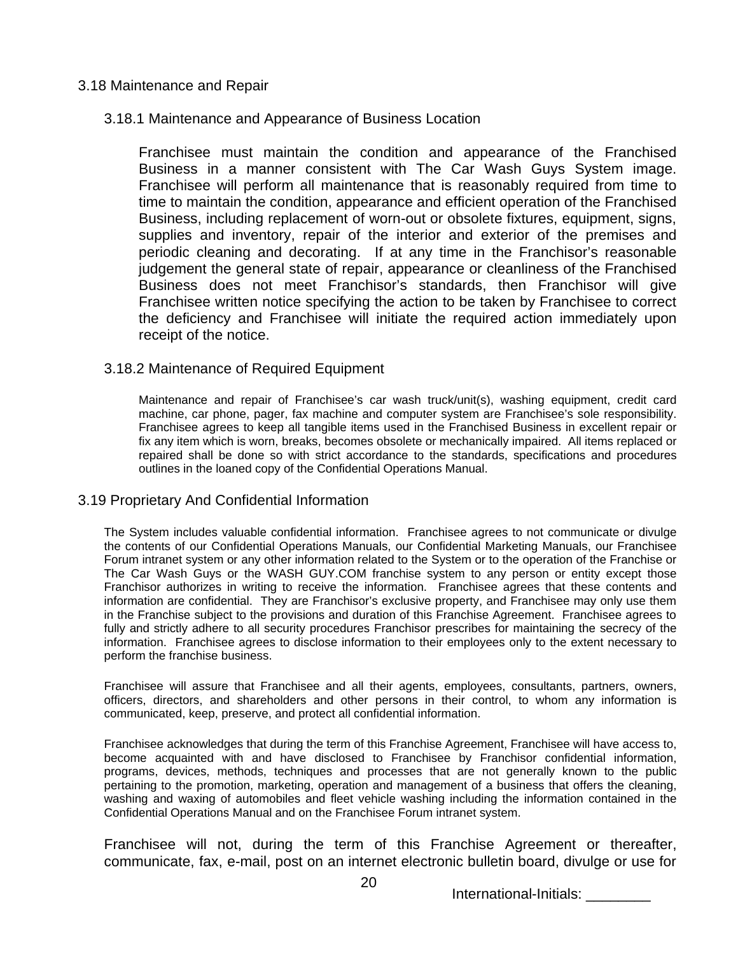# 3.18 Maintenance and Repair

# 3.18.1 Maintenance and Appearance of Business Location

Franchisee must maintain the condition and appearance of the Franchised Business in a manner consistent with The Car Wash Guys System image. Franchisee will perform all maintenance that is reasonably required from time to time to maintain the condition, appearance and efficient operation of the Franchised Business, including replacement of worn-out or obsolete fixtures, equipment, signs, supplies and inventory, repair of the interior and exterior of the premises and periodic cleaning and decorating. If at any time in the Franchisor's reasonable judgement the general state of repair, appearance or cleanliness of the Franchised Business does not meet Franchisor's standards, then Franchisor will give Franchisee written notice specifying the action to be taken by Franchisee to correct the deficiency and Franchisee will initiate the required action immediately upon receipt of the notice.

# 3.18.2 Maintenance of Required Equipment

Maintenance and repair of Franchisee's car wash truck/unit(s), washing equipment, credit card machine, car phone, pager, fax machine and computer system are Franchisee's sole responsibility. Franchisee agrees to keep all tangible items used in the Franchised Business in excellent repair or fix any item which is worn, breaks, becomes obsolete or mechanically impaired. All items replaced or repaired shall be done so with strict accordance to the standards, specifications and procedures outlines in the loaned copy of the Confidential Operations Manual.

# 3.19 Proprietary And Confidential Information

The System includes valuable confidential information. Franchisee agrees to not communicate or divulge the contents of our Confidential Operations Manuals, our Confidential Marketing Manuals, our Franchisee Forum intranet system or any other information related to the System or to the operation of the Franchise or The Car Wash Guys or the WASH GUY.COM franchise system to any person or entity except those Franchisor authorizes in writing to receive the information. Franchisee agrees that these contents and information are confidential. They are Franchisor's exclusive property, and Franchisee may only use them in the Franchise subject to the provisions and duration of this Franchise Agreement. Franchisee agrees to fully and strictly adhere to all security procedures Franchisor prescribes for maintaining the secrecy of the information. Franchisee agrees to disclose information to their employees only to the extent necessary to perform the franchise business.

Franchisee will assure that Franchisee and all their agents, employees, consultants, partners, owners, officers, directors, and shareholders and other persons in their control, to whom any information is communicated, keep, preserve, and protect all confidential information.

Franchisee acknowledges that during the term of this Franchise Agreement, Franchisee will have access to, become acquainted with and have disclosed to Franchisee by Franchisor confidential information, programs, devices, methods, techniques and processes that are not generally known to the public pertaining to the promotion, marketing, operation and management of a business that offers the cleaning, washing and waxing of automobiles and fleet vehicle washing including the information contained in the Confidential Operations Manual and on the Franchisee Forum intranet system.

Franchisee will not, during the term of this Franchise Agreement or thereafter, communicate, fax, e-mail, post on an internet electronic bulletin board, divulge or use for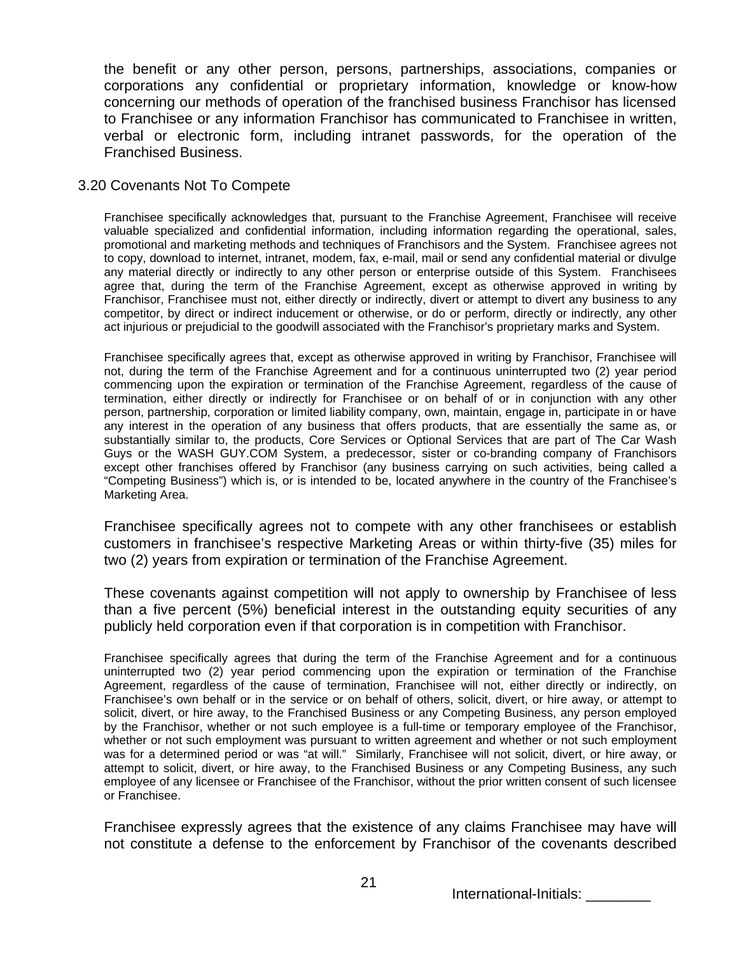the benefit or any other person, persons, partnerships, associations, companies or corporations any confidential or proprietary information, knowledge or know-how concerning our methods of operation of the franchised business Franchisor has licensed to Franchisee or any information Franchisor has communicated to Franchisee in written, verbal or electronic form, including intranet passwords, for the operation of the Franchised Business.

## 3.20 Covenants Not To Compete

Franchisee specifically acknowledges that, pursuant to the Franchise Agreement, Franchisee will receive valuable specialized and confidential information, including information regarding the operational, sales, promotional and marketing methods and techniques of Franchisors and the System. Franchisee agrees not to copy, download to internet, intranet, modem, fax, e-mail, mail or send any confidential material or divulge any material directly or indirectly to any other person or enterprise outside of this System. Franchisees agree that, during the term of the Franchise Agreement, except as otherwise approved in writing by Franchisor, Franchisee must not, either directly or indirectly, divert or attempt to divert any business to any competitor, by direct or indirect inducement or otherwise, or do or perform, directly or indirectly, any other act injurious or prejudicial to the goodwill associated with the Franchisor's proprietary marks and System.

Franchisee specifically agrees that, except as otherwise approved in writing by Franchisor, Franchisee will not, during the term of the Franchise Agreement and for a continuous uninterrupted two (2) year period commencing upon the expiration or termination of the Franchise Agreement, regardless of the cause of termination, either directly or indirectly for Franchisee or on behalf of or in conjunction with any other person, partnership, corporation or limited liability company, own, maintain, engage in, participate in or have any interest in the operation of any business that offers products, that are essentially the same as, or substantially similar to, the products, Core Services or Optional Services that are part of The Car Wash Guys or the WASH GUY.COM System, a predecessor, sister or co-branding company of Franchisors except other franchises offered by Franchisor (any business carrying on such activities, being called a "Competing Business") which is, or is intended to be, located anywhere in the country of the Franchisee's Marketing Area.

Franchisee specifically agrees not to compete with any other franchisees or establish customers in franchisee's respective Marketing Areas or within thirty-five (35) miles for two (2) years from expiration or termination of the Franchise Agreement.

These covenants against competition will not apply to ownership by Franchisee of less than a five percent (5%) beneficial interest in the outstanding equity securities of any publicly held corporation even if that corporation is in competition with Franchisor.

Franchisee specifically agrees that during the term of the Franchise Agreement and for a continuous uninterrupted two (2) year period commencing upon the expiration or termination of the Franchise Agreement, regardless of the cause of termination, Franchisee will not, either directly or indirectly, on Franchisee's own behalf or in the service or on behalf of others, solicit, divert, or hire away, or attempt to solicit, divert, or hire away, to the Franchised Business or any Competing Business, any person employed by the Franchisor, whether or not such employee is a full-time or temporary employee of the Franchisor, whether or not such employment was pursuant to written agreement and whether or not such employment was for a determined period or was "at will." Similarly, Franchisee will not solicit, divert, or hire away, or attempt to solicit, divert, or hire away, to the Franchised Business or any Competing Business, any such employee of any licensee or Franchisee of the Franchisor, without the prior written consent of such licensee or Franchisee.

Franchisee expressly agrees that the existence of any claims Franchisee may have will not constitute a defense to the enforcement by Franchisor of the covenants described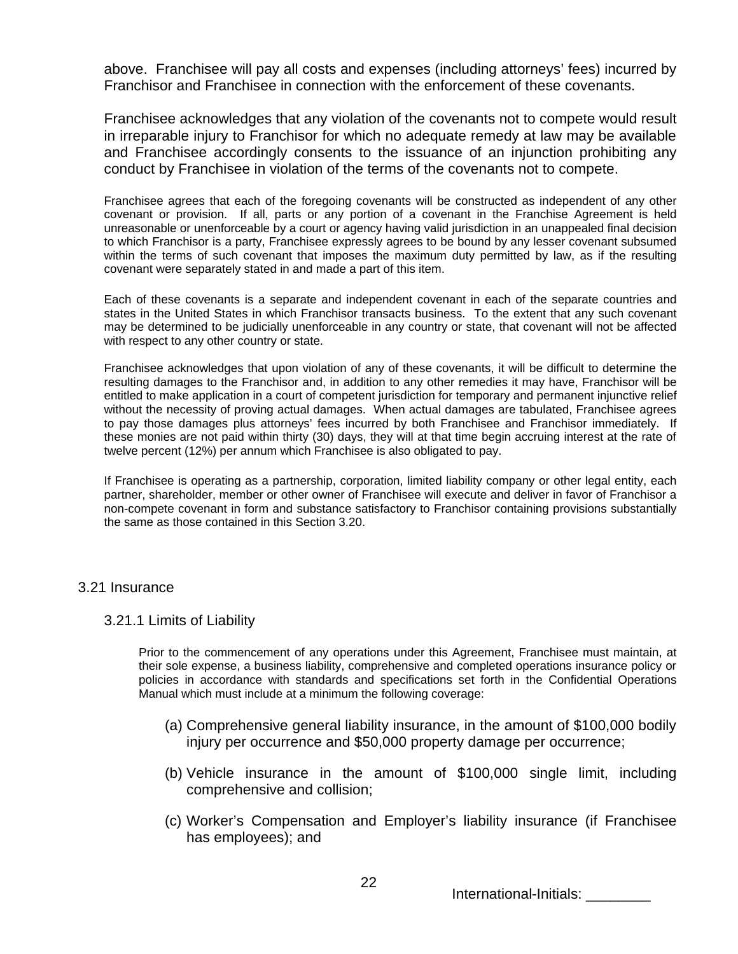above. Franchisee will pay all costs and expenses (including attorneys' fees) incurred by Franchisor and Franchisee in connection with the enforcement of these covenants.

Franchisee acknowledges that any violation of the covenants not to compete would result in irreparable injury to Franchisor for which no adequate remedy at law may be available and Franchisee accordingly consents to the issuance of an injunction prohibiting any conduct by Franchisee in violation of the terms of the covenants not to compete.

Franchisee agrees that each of the foregoing covenants will be constructed as independent of any other covenant or provision. If all, parts or any portion of a covenant in the Franchise Agreement is held unreasonable or unenforceable by a court or agency having valid jurisdiction in an unappealed final decision to which Franchisor is a party, Franchisee expressly agrees to be bound by any lesser covenant subsumed within the terms of such covenant that imposes the maximum duty permitted by law, as if the resulting covenant were separately stated in and made a part of this item.

Each of these covenants is a separate and independent covenant in each of the separate countries and states in the United States in which Franchisor transacts business. To the extent that any such covenant may be determined to be judicially unenforceable in any country or state, that covenant will not be affected with respect to any other country or state.

Franchisee acknowledges that upon violation of any of these covenants, it will be difficult to determine the resulting damages to the Franchisor and, in addition to any other remedies it may have, Franchisor will be entitled to make application in a court of competent jurisdiction for temporary and permanent injunctive relief without the necessity of proving actual damages. When actual damages are tabulated, Franchisee agrees to pay those damages plus attorneys' fees incurred by both Franchisee and Franchisor immediately. If these monies are not paid within thirty (30) days, they will at that time begin accruing interest at the rate of twelve percent (12%) per annum which Franchisee is also obligated to pay.

If Franchisee is operating as a partnership, corporation, limited liability company or other legal entity, each partner, shareholder, member or other owner of Franchisee will execute and deliver in favor of Franchisor a non-compete covenant in form and substance satisfactory to Franchisor containing provisions substantially the same as those contained in this Section 3.20.

# 3.21 Insurance

### 3.21.1 Limits of Liability

Prior to the commencement of any operations under this Agreement, Franchisee must maintain, at their sole expense, a business liability, comprehensive and completed operations insurance policy or policies in accordance with standards and specifications set forth in the Confidential Operations Manual which must include at a minimum the following coverage:

- (a) Comprehensive general liability insurance, in the amount of \$100,000 bodily injury per occurrence and \$50,000 property damage per occurrence;
- (b) Vehicle insurance in the amount of \$100,000 single limit, including comprehensive and collision;
- (c) Worker's Compensation and Employer's liability insurance (if Franchisee has employees); and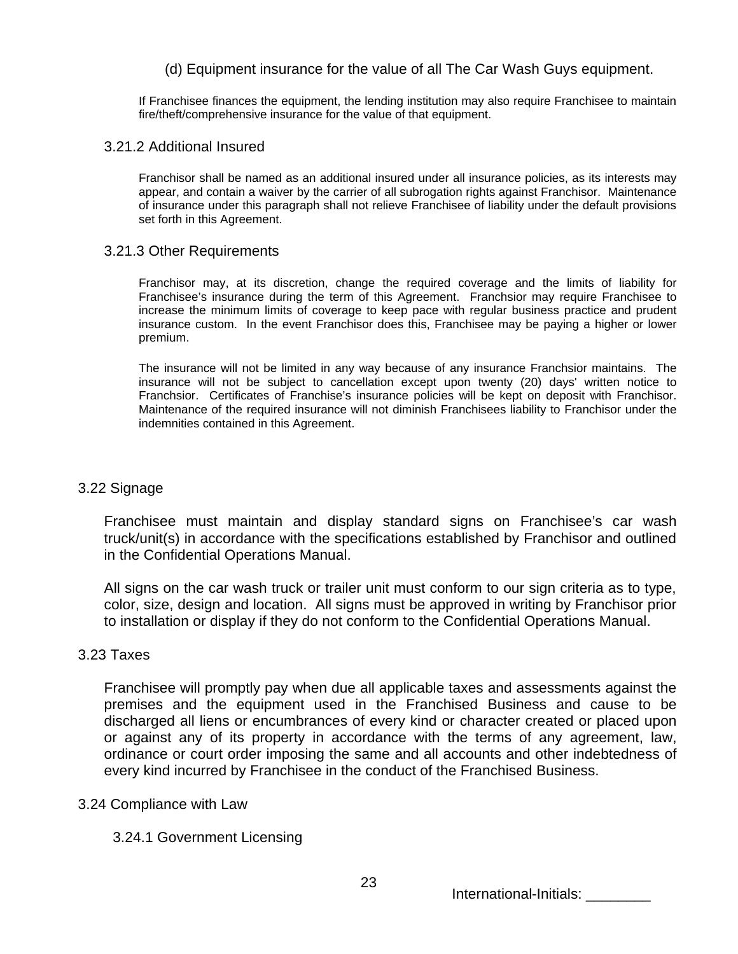# (d) Equipment insurance for the value of all The Car Wash Guys equipment.

If Franchisee finances the equipment, the lending institution may also require Franchisee to maintain fire/theft/comprehensive insurance for the value of that equipment.

### 3.21.2 Additional Insured

Franchisor shall be named as an additional insured under all insurance policies, as its interests may appear, and contain a waiver by the carrier of all subrogation rights against Franchisor. Maintenance of insurance under this paragraph shall not relieve Franchisee of liability under the default provisions set forth in this Agreement.

## 3.21.3 Other Requirements

Franchisor may, at its discretion, change the required coverage and the limits of liability for Franchisee's insurance during the term of this Agreement. Franchsior may require Franchisee to increase the minimum limits of coverage to keep pace with regular business practice and prudent insurance custom. In the event Franchisor does this, Franchisee may be paying a higher or lower premium.

The insurance will not be limited in any way because of any insurance Franchsior maintains. The insurance will not be subject to cancellation except upon twenty (20) days' written notice to Franchsior. Certificates of Franchise's insurance policies will be kept on deposit with Franchisor. Maintenance of the required insurance will not diminish Franchisees liability to Franchisor under the indemnities contained in this Agreement.

# 3.22 Signage

Franchisee must maintain and display standard signs on Franchisee's car wash truck/unit(s) in accordance with the specifications established by Franchisor and outlined in the Confidential Operations Manual.

All signs on the car wash truck or trailer unit must conform to our sign criteria as to type, color, size, design and location. All signs must be approved in writing by Franchisor prior to installation or display if they do not conform to the Confidential Operations Manual.

# 3.23 Taxes

Franchisee will promptly pay when due all applicable taxes and assessments against the premises and the equipment used in the Franchised Business and cause to be discharged all liens or encumbrances of every kind or character created or placed upon or against any of its property in accordance with the terms of any agreement, law, ordinance or court order imposing the same and all accounts and other indebtedness of every kind incurred by Franchisee in the conduct of the Franchised Business.

# 3.24 Compliance with Law

# 3.24.1 Government Licensing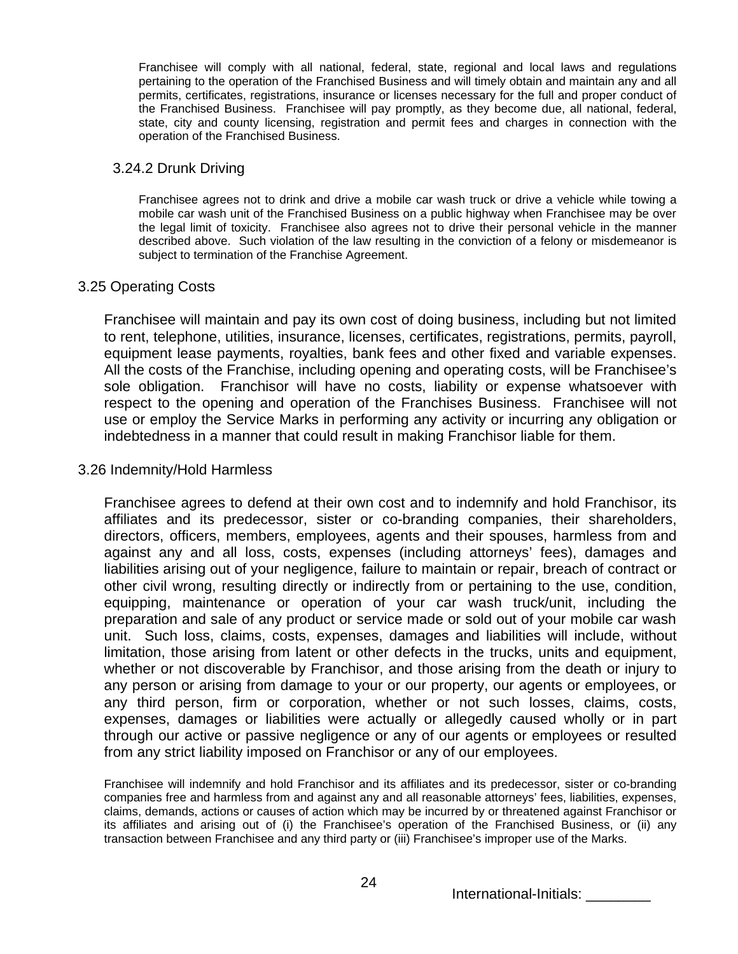Franchisee will comply with all national, federal, state, regional and local laws and regulations pertaining to the operation of the Franchised Business and will timely obtain and maintain any and all permits, certificates, registrations, insurance or licenses necessary for the full and proper conduct of the Franchised Business. Franchisee will pay promptly, as they become due, all national, federal, state, city and county licensing, registration and permit fees and charges in connection with the operation of the Franchised Business.

## 3.24.2 Drunk Driving

Franchisee agrees not to drink and drive a mobile car wash truck or drive a vehicle while towing a mobile car wash unit of the Franchised Business on a public highway when Franchisee may be over the legal limit of toxicity. Franchisee also agrees not to drive their personal vehicle in the manner described above. Such violation of the law resulting in the conviction of a felony or misdemeanor is subject to termination of the Franchise Agreement.

# 3.25 Operating Costs

Franchisee will maintain and pay its own cost of doing business, including but not limited to rent, telephone, utilities, insurance, licenses, certificates, registrations, permits, payroll, equipment lease payments, royalties, bank fees and other fixed and variable expenses. All the costs of the Franchise, including opening and operating costs, will be Franchisee's sole obligation. Franchisor will have no costs, liability or expense whatsoever with respect to the opening and operation of the Franchises Business. Franchisee will not use or employ the Service Marks in performing any activity or incurring any obligation or indebtedness in a manner that could result in making Franchisor liable for them.

# 3.26 Indemnity/Hold Harmless

Franchisee agrees to defend at their own cost and to indemnify and hold Franchisor, its affiliates and its predecessor, sister or co-branding companies, their shareholders, directors, officers, members, employees, agents and their spouses, harmless from and against any and all loss, costs, expenses (including attorneys' fees), damages and liabilities arising out of your negligence, failure to maintain or repair, breach of contract or other civil wrong, resulting directly or indirectly from or pertaining to the use, condition, equipping, maintenance or operation of your car wash truck/unit, including the preparation and sale of any product or service made or sold out of your mobile car wash unit. Such loss, claims, costs, expenses, damages and liabilities will include, without limitation, those arising from latent or other defects in the trucks, units and equipment, whether or not discoverable by Franchisor, and those arising from the death or injury to any person or arising from damage to your or our property, our agents or employees, or any third person, firm or corporation, whether or not such losses, claims, costs, expenses, damages or liabilities were actually or allegedly caused wholly or in part through our active or passive negligence or any of our agents or employees or resulted from any strict liability imposed on Franchisor or any of our employees.

Franchisee will indemnify and hold Franchisor and its affiliates and its predecessor, sister or co-branding companies free and harmless from and against any and all reasonable attorneys' fees, liabilities, expenses, claims, demands, actions or causes of action which may be incurred by or threatened against Franchisor or its affiliates and arising out of (i) the Franchisee's operation of the Franchised Business, or (ii) any transaction between Franchisee and any third party or (iii) Franchisee's improper use of the Marks.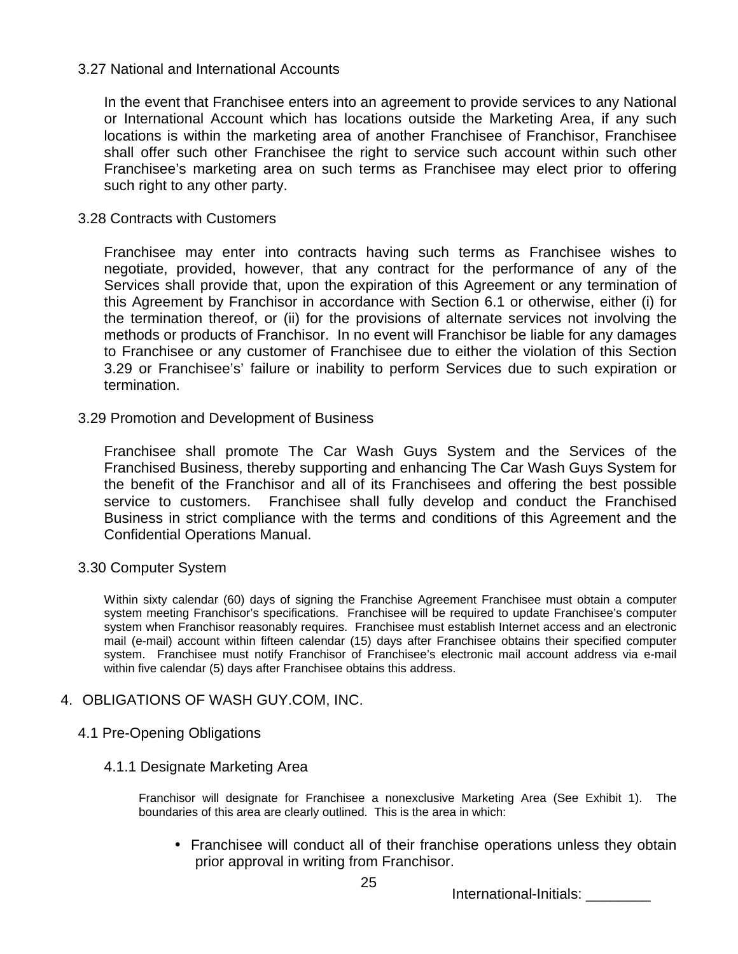# 3.27 National and International Accounts

In the event that Franchisee enters into an agreement to provide services to any National or International Account which has locations outside the Marketing Area, if any such locations is within the marketing area of another Franchisee of Franchisor, Franchisee shall offer such other Franchisee the right to service such account within such other Franchisee's marketing area on such terms as Franchisee may elect prior to offering such right to any other party.

# 3.28 Contracts with Customers

Franchisee may enter into contracts having such terms as Franchisee wishes to negotiate, provided, however, that any contract for the performance of any of the Services shall provide that, upon the expiration of this Agreement or any termination of this Agreement by Franchisor in accordance with Section 6.1 or otherwise, either (i) for the termination thereof, or (ii) for the provisions of alternate services not involving the methods or products of Franchisor. In no event will Franchisor be liable for any damages to Franchisee or any customer of Franchisee due to either the violation of this Section 3.29 or Franchisee's' failure or inability to perform Services due to such expiration or termination.

# 3.29 Promotion and Development of Business

Franchisee shall promote The Car Wash Guys System and the Services of the Franchised Business, thereby supporting and enhancing The Car Wash Guys System for the benefit of the Franchisor and all of its Franchisees and offering the best possible service to customers. Franchisee shall fully develop and conduct the Franchised Business in strict compliance with the terms and conditions of this Agreement and the Confidential Operations Manual.

# 3.30 Computer System

Within sixty calendar (60) days of signing the Franchise Agreement Franchisee must obtain a computer system meeting Franchisor's specifications. Franchisee will be required to update Franchisee's computer system when Franchisor reasonably requires. Franchisee must establish Internet access and an electronic mail (e-mail) account within fifteen calendar (15) days after Franchisee obtains their specified computer system. Franchisee must notify Franchisor of Franchisee's electronic mail account address via e-mail within five calendar (5) days after Franchisee obtains this address.

# 4. OBLIGATIONS OF WASH GUY.COM, INC.

# 4.1 Pre-Opening Obligations

# 4.1.1 Designate Marketing Area

Franchisor will designate for Franchisee a nonexclusive Marketing Area (See Exhibit 1). The boundaries of this area are clearly outlined. This is the area in which:

• Franchisee will conduct all of their franchise operations unless they obtain prior approval in writing from Franchisor.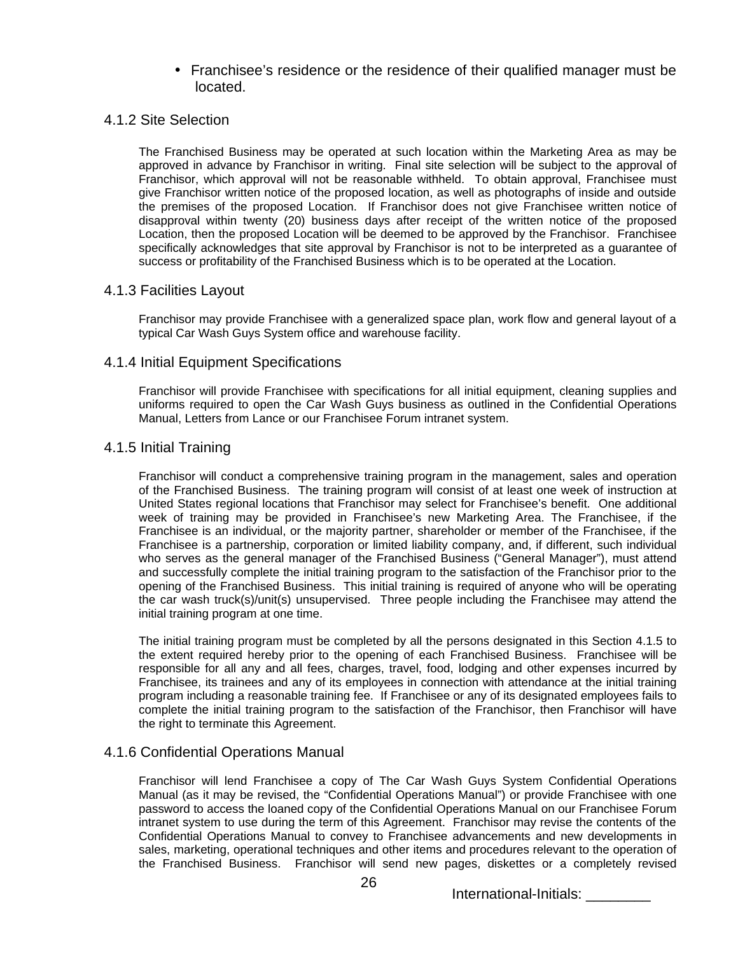• Franchisee's residence or the residence of their qualified manager must be located.

### 4.1.2 Site Selection

The Franchised Business may be operated at such location within the Marketing Area as may be approved in advance by Franchisor in writing. Final site selection will be subject to the approval of Franchisor, which approval will not be reasonable withheld. To obtain approval, Franchisee must give Franchisor written notice of the proposed location, as well as photographs of inside and outside the premises of the proposed Location. If Franchisor does not give Franchisee written notice of disapproval within twenty (20) business days after receipt of the written notice of the proposed Location, then the proposed Location will be deemed to be approved by the Franchisor. Franchisee specifically acknowledges that site approval by Franchisor is not to be interpreted as a guarantee of success or profitability of the Franchised Business which is to be operated at the Location.

## 4.1.3 Facilities Layout

Franchisor may provide Franchisee with a generalized space plan, work flow and general layout of a typical Car Wash Guys System office and warehouse facility.

## 4.1.4 Initial Equipment Specifications

Franchisor will provide Franchisee with specifications for all initial equipment, cleaning supplies and uniforms required to open the Car Wash Guys business as outlined in the Confidential Operations Manual, Letters from Lance or our Franchisee Forum intranet system.

## 4.1.5 Initial Training

Franchisor will conduct a comprehensive training program in the management, sales and operation of the Franchised Business. The training program will consist of at least one week of instruction at United States regional locations that Franchisor may select for Franchisee's benefit. One additional week of training may be provided in Franchisee's new Marketing Area. The Franchisee, if the Franchisee is an individual, or the majority partner, shareholder or member of the Franchisee, if the Franchisee is a partnership, corporation or limited liability company, and, if different, such individual who serves as the general manager of the Franchised Business ("General Manager"), must attend and successfully complete the initial training program to the satisfaction of the Franchisor prior to the opening of the Franchised Business. This initial training is required of anyone who will be operating the car wash truck(s)/unit(s) unsupervised. Three people including the Franchisee may attend the initial training program at one time.

The initial training program must be completed by all the persons designated in this Section 4.1.5 to the extent required hereby prior to the opening of each Franchised Business. Franchisee will be responsible for all any and all fees, charges, travel, food, lodging and other expenses incurred by Franchisee, its trainees and any of its employees in connection with attendance at the initial training program including a reasonable training fee. If Franchisee or any of its designated employees fails to complete the initial training program to the satisfaction of the Franchisor, then Franchisor will have the right to terminate this Agreement.

# 4.1.6 Confidential Operations Manual

Franchisor will lend Franchisee a copy of The Car Wash Guys System Confidential Operations Manual (as it may be revised, the "Confidential Operations Manual") or provide Franchisee with one password to access the loaned copy of the Confidential Operations Manual on our Franchisee Forum intranet system to use during the term of this Agreement. Franchisor may revise the contents of the Confidential Operations Manual to convey to Franchisee advancements and new developments in sales, marketing, operational techniques and other items and procedures relevant to the operation of the Franchised Business. Franchisor will send new pages, diskettes or a completely revised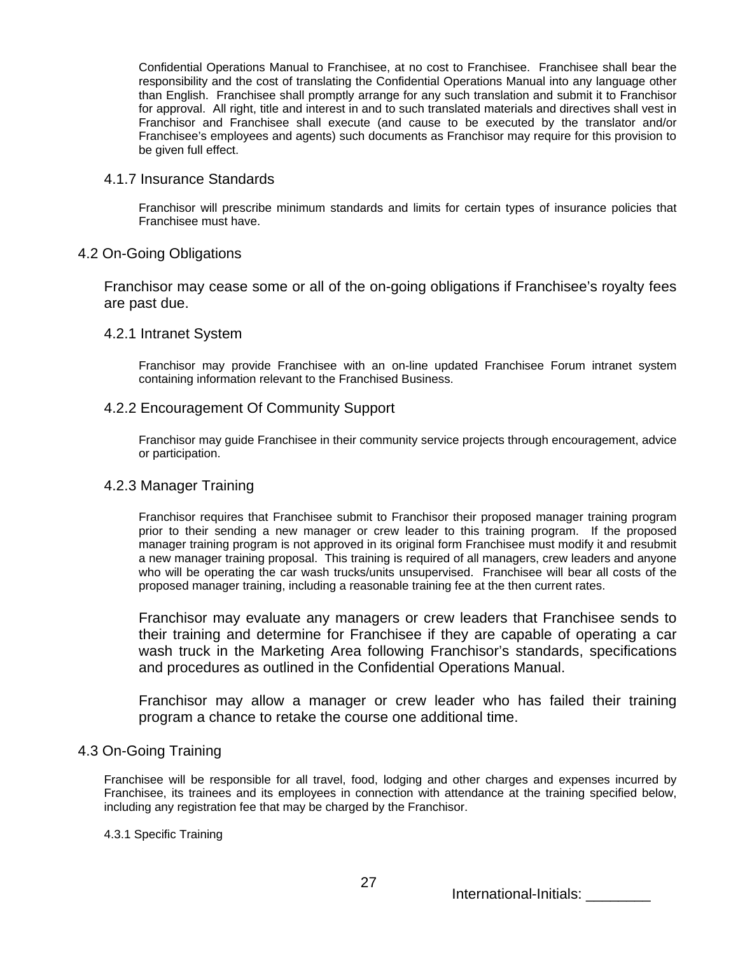Confidential Operations Manual to Franchisee, at no cost to Franchisee. Franchisee shall bear the responsibility and the cost of translating the Confidential Operations Manual into any language other than English. Franchisee shall promptly arrange for any such translation and submit it to Franchisor for approval. All right, title and interest in and to such translated materials and directives shall vest in Franchisor and Franchisee shall execute (and cause to be executed by the translator and/or Franchisee's employees and agents) such documents as Franchisor may require for this provision to be given full effect.

### 4.1.7 Insurance Standards

Franchisor will prescribe minimum standards and limits for certain types of insurance policies that Franchisee must have.

# 4.2 On-Going Obligations

Franchisor may cease some or all of the on-going obligations if Franchisee's royalty fees are past due.

## 4.2.1 Intranet System

Franchisor may provide Franchisee with an on-line updated Franchisee Forum intranet system containing information relevant to the Franchised Business.

## 4.2.2 Encouragement Of Community Support

Franchisor may guide Franchisee in their community service projects through encouragement, advice or participation.

### 4.2.3 Manager Training

Franchisor requires that Franchisee submit to Franchisor their proposed manager training program prior to their sending a new manager or crew leader to this training program. If the proposed manager training program is not approved in its original form Franchisee must modify it and resubmit a new manager training proposal. This training is required of all managers, crew leaders and anyone who will be operating the car wash trucks/units unsupervised. Franchisee will bear all costs of the proposed manager training, including a reasonable training fee at the then current rates.

Franchisor may evaluate any managers or crew leaders that Franchisee sends to their training and determine for Franchisee if they are capable of operating a car wash truck in the Marketing Area following Franchisor's standards, specifications and procedures as outlined in the Confidential Operations Manual.

Franchisor may allow a manager or crew leader who has failed their training program a chance to retake the course one additional time.

# 4.3 On-Going Training

Franchisee will be responsible for all travel, food, lodging and other charges and expenses incurred by Franchisee, its trainees and its employees in connection with attendance at the training specified below, including any registration fee that may be charged by the Franchisor.

#### 4.3.1 Specific Training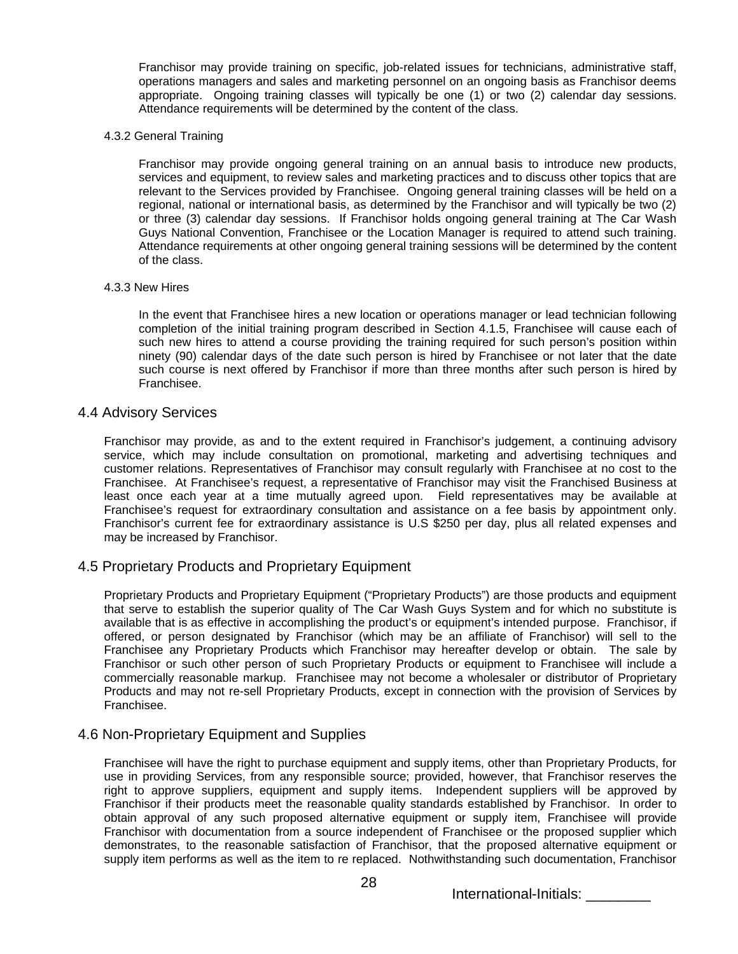Franchisor may provide training on specific, job-related issues for technicians, administrative staff, operations managers and sales and marketing personnel on an ongoing basis as Franchisor deems appropriate. Ongoing training classes will typically be one (1) or two (2) calendar day sessions. Attendance requirements will be determined by the content of the class.

4.3.2 General Training

Franchisor may provide ongoing general training on an annual basis to introduce new products, services and equipment, to review sales and marketing practices and to discuss other topics that are relevant to the Services provided by Franchisee. Ongoing general training classes will be held on a regional, national or international basis, as determined by the Franchisor and will typically be two (2) or three (3) calendar day sessions. If Franchisor holds ongoing general training at The Car Wash Guys National Convention, Franchisee or the Location Manager is required to attend such training. Attendance requirements at other ongoing general training sessions will be determined by the content of the class.

#### 4.3.3 New Hires

In the event that Franchisee hires a new location or operations manager or lead technician following completion of the initial training program described in Section 4.1.5, Franchisee will cause each of such new hires to attend a course providing the training required for such person's position within ninety (90) calendar days of the date such person is hired by Franchisee or not later that the date such course is next offered by Franchisor if more than three months after such person is hired by Franchisee.

#### 4.4 Advisory Services

Franchisor may provide, as and to the extent required in Franchisor's judgement, a continuing advisory service, which may include consultation on promotional, marketing and advertising techniques and customer relations. Representatives of Franchisor may consult regularly with Franchisee at no cost to the Franchisee. At Franchisee's request, a representative of Franchisor may visit the Franchised Business at least once each year at a time mutually agreed upon. Field representatives may be available at Franchisee's request for extraordinary consultation and assistance on a fee basis by appointment only. Franchisor's current fee for extraordinary assistance is U.S \$250 per day, plus all related expenses and may be increased by Franchisor.

### 4.5 Proprietary Products and Proprietary Equipment

Proprietary Products and Proprietary Equipment ("Proprietary Products") are those products and equipment that serve to establish the superior quality of The Car Wash Guys System and for which no substitute is available that is as effective in accomplishing the product's or equipment's intended purpose. Franchisor, if offered, or person designated by Franchisor (which may be an affiliate of Franchisor) will sell to the Franchisee any Proprietary Products which Franchisor may hereafter develop or obtain. The sale by Franchisor or such other person of such Proprietary Products or equipment to Franchisee will include a commercially reasonable markup. Franchisee may not become a wholesaler or distributor of Proprietary Products and may not re-sell Proprietary Products, except in connection with the provision of Services by Franchisee.

### 4.6 Non-Proprietary Equipment and Supplies

Franchisee will have the right to purchase equipment and supply items, other than Proprietary Products, for use in providing Services, from any responsible source; provided, however, that Franchisor reserves the right to approve suppliers, equipment and supply items. Independent suppliers will be approved by Franchisor if their products meet the reasonable quality standards established by Franchisor. In order to obtain approval of any such proposed alternative equipment or supply item, Franchisee will provide Franchisor with documentation from a source independent of Franchisee or the proposed supplier which demonstrates, to the reasonable satisfaction of Franchisor, that the proposed alternative equipment or supply item performs as well as the item to re replaced. Nothwithstanding such documentation, Franchisor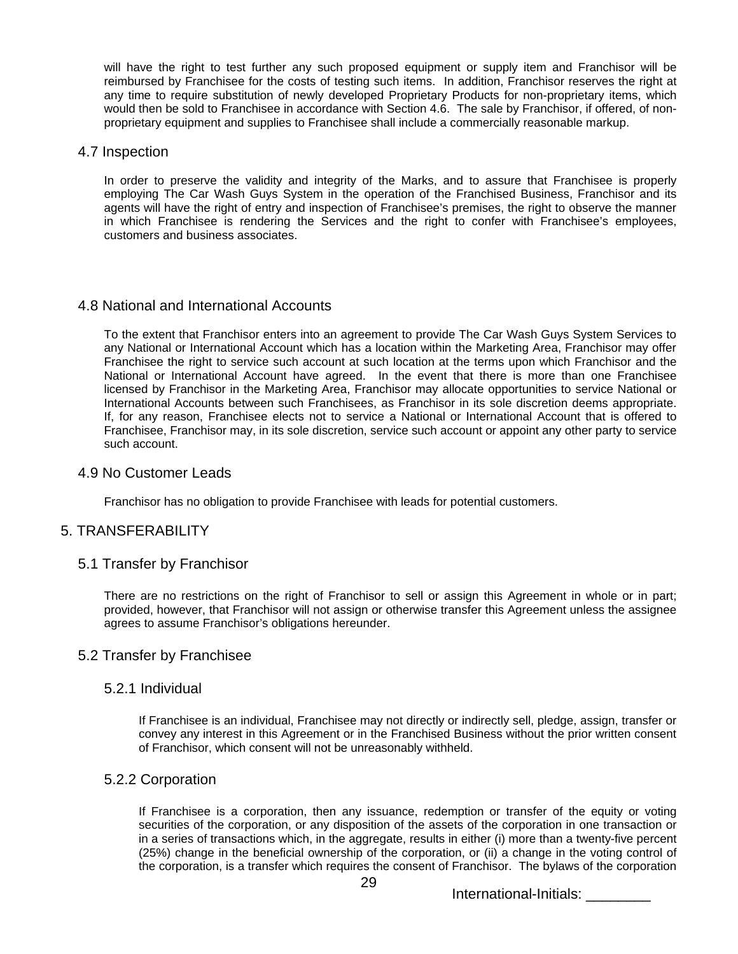will have the right to test further any such proposed equipment or supply item and Franchisor will be reimbursed by Franchisee for the costs of testing such items. In addition, Franchisor reserves the right at any time to require substitution of newly developed Proprietary Products for non-proprietary items, which would then be sold to Franchisee in accordance with Section 4.6. The sale by Franchisor, if offered, of nonproprietary equipment and supplies to Franchisee shall include a commercially reasonable markup.

### 4.7 Inspection

In order to preserve the validity and integrity of the Marks, and to assure that Franchisee is properly employing The Car Wash Guys System in the operation of the Franchised Business, Franchisor and its agents will have the right of entry and inspection of Franchisee's premises, the right to observe the manner in which Franchisee is rendering the Services and the right to confer with Franchisee's employees, customers and business associates.

### 4.8 National and International Accounts

To the extent that Franchisor enters into an agreement to provide The Car Wash Guys System Services to any National or International Account which has a location within the Marketing Area, Franchisor may offer Franchisee the right to service such account at such location at the terms upon which Franchisor and the National or International Account have agreed. In the event that there is more than one Franchisee licensed by Franchisor in the Marketing Area, Franchisor may allocate opportunities to service National or International Accounts between such Franchisees, as Franchisor in its sole discretion deems appropriate. If, for any reason, Franchisee elects not to service a National or International Account that is offered to Franchisee, Franchisor may, in its sole discretion, service such account or appoint any other party to service such account.

#### 4.9 No Customer Leads

Franchisor has no obligation to provide Franchisee with leads for potential customers.

### 5. TRANSFERABILITY

### 5.1 Transfer by Franchisor

There are no restrictions on the right of Franchisor to sell or assign this Agreement in whole or in part; provided, however, that Franchisor will not assign or otherwise transfer this Agreement unless the assignee agrees to assume Franchisor's obligations hereunder.

### 5.2 Transfer by Franchisee

#### 5.2.1 Individual

If Franchisee is an individual, Franchisee may not directly or indirectly sell, pledge, assign, transfer or convey any interest in this Agreement or in the Franchised Business without the prior written consent of Franchisor, which consent will not be unreasonably withheld.

### 5.2.2 Corporation

If Franchisee is a corporation, then any issuance, redemption or transfer of the equity or voting securities of the corporation, or any disposition of the assets of the corporation in one transaction or in a series of transactions which, in the aggregate, results in either (i) more than a twenty-five percent (25%) change in the beneficial ownership of the corporation, or (ii) a change in the voting control of the corporation, is a transfer which requires the consent of Franchisor. The bylaws of the corporation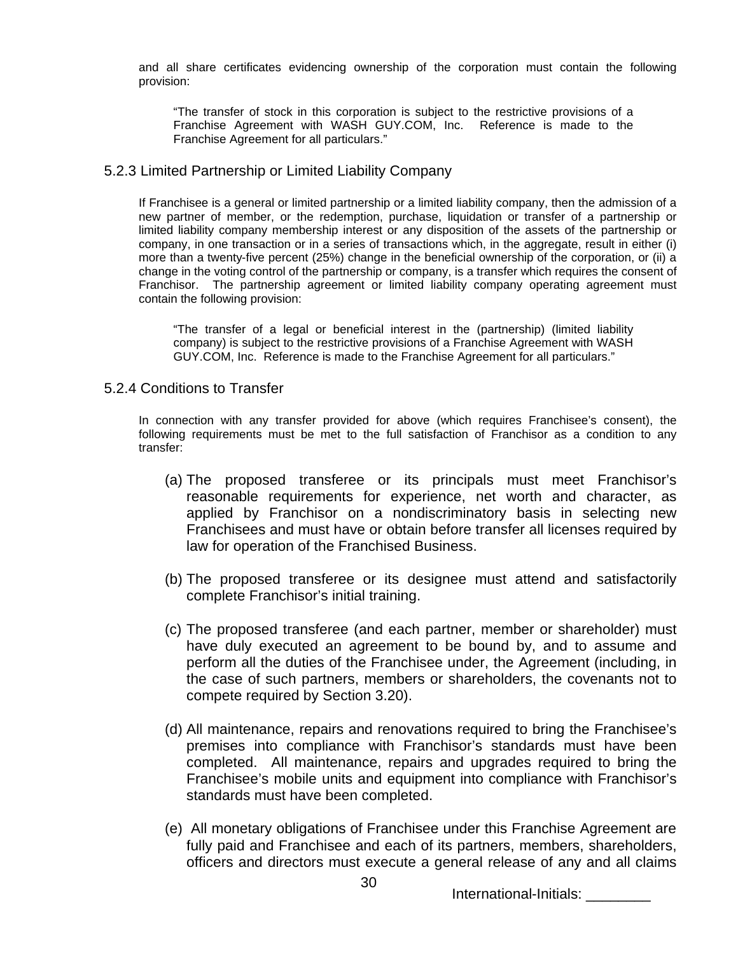and all share certificates evidencing ownership of the corporation must contain the following provision:

"The transfer of stock in this corporation is subject to the restrictive provisions of a Franchise Agreement with WASH GUY.COM, Inc. Reference is made to the Franchise Agreement for all particulars."

## 5.2.3 Limited Partnership or Limited Liability Company

If Franchisee is a general or limited partnership or a limited liability company, then the admission of a new partner of member, or the redemption, purchase, liquidation or transfer of a partnership or limited liability company membership interest or any disposition of the assets of the partnership or company, in one transaction or in a series of transactions which, in the aggregate, result in either (i) more than a twenty-five percent (25%) change in the beneficial ownership of the corporation, or (ii) a change in the voting control of the partnership or company, is a transfer which requires the consent of Franchisor. The partnership agreement or limited liability company operating agreement must contain the following provision:

"The transfer of a legal or beneficial interest in the (partnership) (limited liability company) is subject to the restrictive provisions of a Franchise Agreement with WASH GUY.COM, Inc. Reference is made to the Franchise Agreement for all particulars."

## 5.2.4 Conditions to Transfer

In connection with any transfer provided for above (which requires Franchisee's consent), the following requirements must be met to the full satisfaction of Franchisor as a condition to any transfer:

- (a) The proposed transferee or its principals must meet Franchisor's reasonable requirements for experience, net worth and character, as applied by Franchisor on a nondiscriminatory basis in selecting new Franchisees and must have or obtain before transfer all licenses required by law for operation of the Franchised Business.
- (b) The proposed transferee or its designee must attend and satisfactorily complete Franchisor's initial training.
- (c) The proposed transferee (and each partner, member or shareholder) must have duly executed an agreement to be bound by, and to assume and perform all the duties of the Franchisee under, the Agreement (including, in the case of such partners, members or shareholders, the covenants not to compete required by Section 3.20).
- (d) All maintenance, repairs and renovations required to bring the Franchisee's premises into compliance with Franchisor's standards must have been completed. All maintenance, repairs and upgrades required to bring the Franchisee's mobile units and equipment into compliance with Franchisor's standards must have been completed.
- (e) All monetary obligations of Franchisee under this Franchise Agreement are fully paid and Franchisee and each of its partners, members, shareholders, officers and directors must execute a general release of any and all claims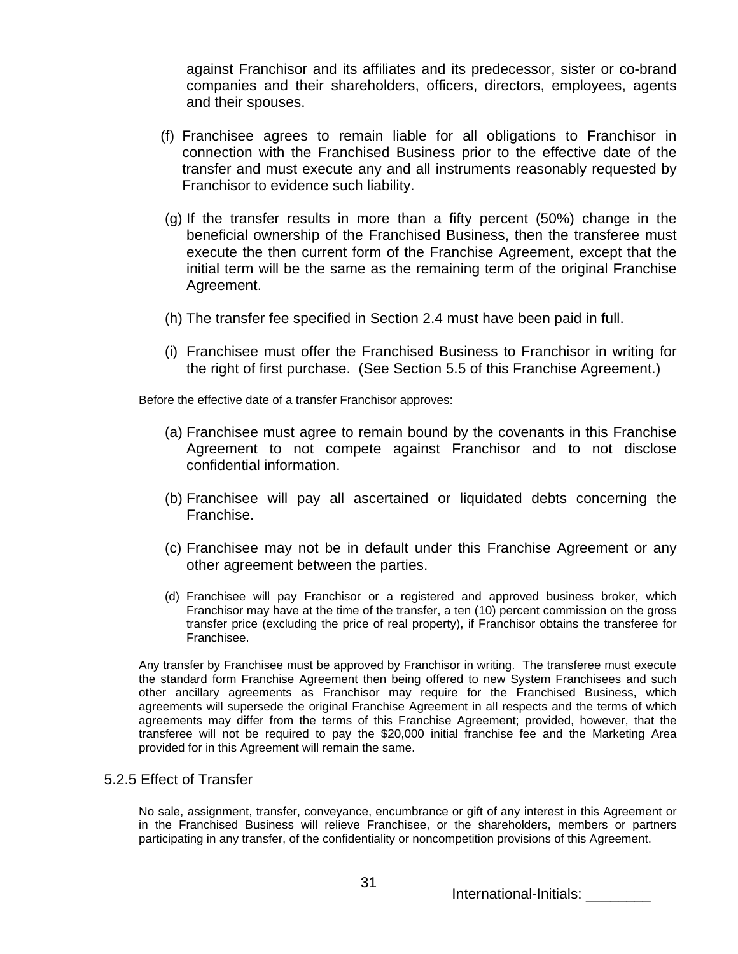against Franchisor and its affiliates and its predecessor, sister or co-brand companies and their shareholders, officers, directors, employees, agents and their spouses.

- (f) Franchisee agrees to remain liable for all obligations to Franchisor in connection with the Franchised Business prior to the effective date of the transfer and must execute any and all instruments reasonably requested by Franchisor to evidence such liability.
- (g) If the transfer results in more than a fifty percent (50%) change in the beneficial ownership of the Franchised Business, then the transferee must execute the then current form of the Franchise Agreement, except that the initial term will be the same as the remaining term of the original Franchise Agreement.
- (h) The transfer fee specified in Section 2.4 must have been paid in full.
- (i) Franchisee must offer the Franchised Business to Franchisor in writing for the right of first purchase. (See Section 5.5 of this Franchise Agreement.)

Before the effective date of a transfer Franchisor approves:

- (a) Franchisee must agree to remain bound by the covenants in this Franchise Agreement to not compete against Franchisor and to not disclose confidential information.
- (b) Franchisee will pay all ascertained or liquidated debts concerning the Franchise.
- (c) Franchisee may not be in default under this Franchise Agreement or any other agreement between the parties.
- (d) Franchisee will pay Franchisor or a registered and approved business broker, which Franchisor may have at the time of the transfer, a ten (10) percent commission on the gross transfer price (excluding the price of real property), if Franchisor obtains the transferee for Franchisee.

Any transfer by Franchisee must be approved by Franchisor in writing. The transferee must execute the standard form Franchise Agreement then being offered to new System Franchisees and such other ancillary agreements as Franchisor may require for the Franchised Business, which agreements will supersede the original Franchise Agreement in all respects and the terms of which agreements may differ from the terms of this Franchise Agreement; provided, however, that the transferee will not be required to pay the \$20,000 initial franchise fee and the Marketing Area provided for in this Agreement will remain the same.

# 5.2.5 Effect of Transfer

No sale, assignment, transfer, conveyance, encumbrance or gift of any interest in this Agreement or in the Franchised Business will relieve Franchisee, or the shareholders, members or partners participating in any transfer, of the confidentiality or noncompetition provisions of this Agreement.

International-Initials: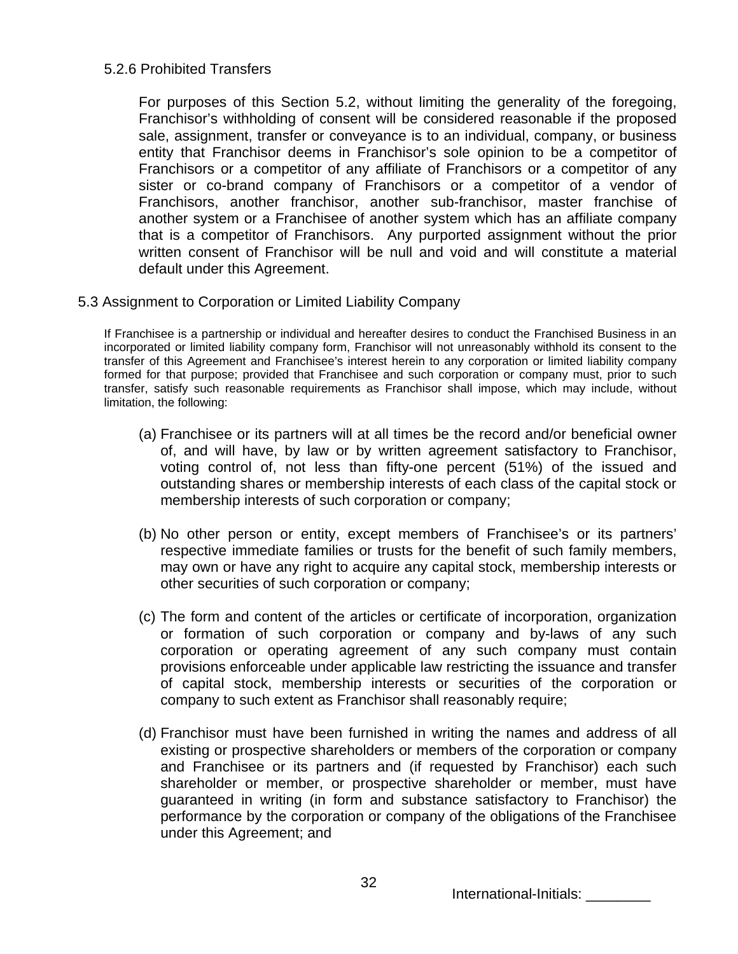# 5.2.6 Prohibited Transfers

For purposes of this Section 5.2, without limiting the generality of the foregoing, Franchisor's withholding of consent will be considered reasonable if the proposed sale, assignment, transfer or conveyance is to an individual, company, or business entity that Franchisor deems in Franchisor's sole opinion to be a competitor of Franchisors or a competitor of any affiliate of Franchisors or a competitor of any sister or co-brand company of Franchisors or a competitor of a vendor of Franchisors, another franchisor, another sub-franchisor, master franchise of another system or a Franchisee of another system which has an affiliate company that is a competitor of Franchisors. Any purported assignment without the prior written consent of Franchisor will be null and void and will constitute a material default under this Agreement.

5.3 Assignment to Corporation or Limited Liability Company

If Franchisee is a partnership or individual and hereafter desires to conduct the Franchised Business in an incorporated or limited liability company form, Franchisor will not unreasonably withhold its consent to the transfer of this Agreement and Franchisee's interest herein to any corporation or limited liability company formed for that purpose; provided that Franchisee and such corporation or company must, prior to such transfer, satisfy such reasonable requirements as Franchisor shall impose, which may include, without limitation, the following:

- (a) Franchisee or its partners will at all times be the record and/or beneficial owner of, and will have, by law or by written agreement satisfactory to Franchisor, voting control of, not less than fifty-one percent (51%) of the issued and outstanding shares or membership interests of each class of the capital stock or membership interests of such corporation or company;
- (b) No other person or entity, except members of Franchisee's or its partners' respective immediate families or trusts for the benefit of such family members, may own or have any right to acquire any capital stock, membership interests or other securities of such corporation or company;
- (c) The form and content of the articles or certificate of incorporation, organization or formation of such corporation or company and by-laws of any such corporation or operating agreement of any such company must contain provisions enforceable under applicable law restricting the issuance and transfer of capital stock, membership interests or securities of the corporation or company to such extent as Franchisor shall reasonably require;
- (d) Franchisor must have been furnished in writing the names and address of all existing or prospective shareholders or members of the corporation or company and Franchisee or its partners and (if requested by Franchisor) each such shareholder or member, or prospective shareholder or member, must have guaranteed in writing (in form and substance satisfactory to Franchisor) the performance by the corporation or company of the obligations of the Franchisee under this Agreement; and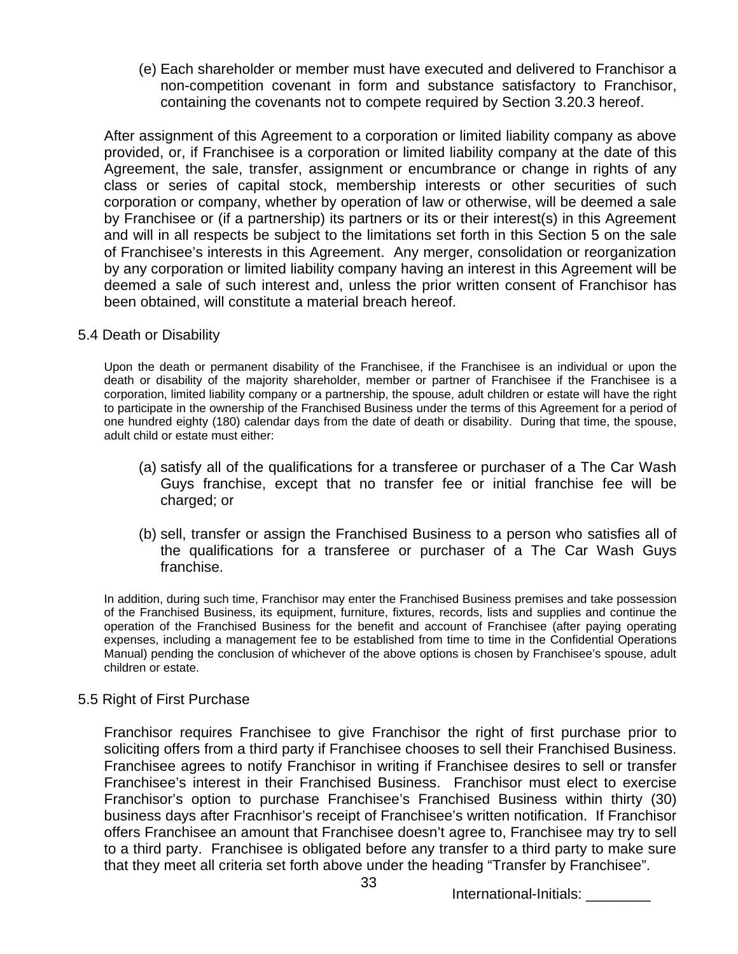(e) Each shareholder or member must have executed and delivered to Franchisor a non-competition covenant in form and substance satisfactory to Franchisor, containing the covenants not to compete required by Section 3.20.3 hereof.

After assignment of this Agreement to a corporation or limited liability company as above provided, or, if Franchisee is a corporation or limited liability company at the date of this Agreement, the sale, transfer, assignment or encumbrance or change in rights of any class or series of capital stock, membership interests or other securities of such corporation or company, whether by operation of law or otherwise, will be deemed a sale by Franchisee or (if a partnership) its partners or its or their interest(s) in this Agreement and will in all respects be subject to the limitations set forth in this Section 5 on the sale of Franchisee's interests in this Agreement. Any merger, consolidation or reorganization by any corporation or limited liability company having an interest in this Agreement will be deemed a sale of such interest and, unless the prior written consent of Franchisor has been obtained, will constitute a material breach hereof.

# 5.4 Death or Disability

Upon the death or permanent disability of the Franchisee, if the Franchisee is an individual or upon the death or disability of the majority shareholder, member or partner of Franchisee if the Franchisee is a corporation, limited liability company or a partnership, the spouse, adult children or estate will have the right to participate in the ownership of the Franchised Business under the terms of this Agreement for a period of one hundred eighty (180) calendar days from the date of death or disability. During that time, the spouse, adult child or estate must either:

- (a) satisfy all of the qualifications for a transferee or purchaser of a The Car Wash Guys franchise, except that no transfer fee or initial franchise fee will be charged; or
- (b) sell, transfer or assign the Franchised Business to a person who satisfies all of the qualifications for a transferee or purchaser of a The Car Wash Guys franchise.

In addition, during such time, Franchisor may enter the Franchised Business premises and take possession of the Franchised Business, its equipment, furniture, fixtures, records, lists and supplies and continue the operation of the Franchised Business for the benefit and account of Franchisee (after paying operating expenses, including a management fee to be established from time to time in the Confidential Operations Manual) pending the conclusion of whichever of the above options is chosen by Franchisee's spouse, adult children or estate.

# 5.5 Right of First Purchase

Franchisor requires Franchisee to give Franchisor the right of first purchase prior to soliciting offers from a third party if Franchisee chooses to sell their Franchised Business. Franchisee agrees to notify Franchisor in writing if Franchisee desires to sell or transfer Franchisee's interest in their Franchised Business. Franchisor must elect to exercise Franchisor's option to purchase Franchisee's Franchised Business within thirty (30) business days after Fracnhisor's receipt of Franchisee's written notification. If Franchisor offers Franchisee an amount that Franchisee doesn't agree to, Franchisee may try to sell to a third party. Franchisee is obligated before any transfer to a third party to make sure that they meet all criteria set forth above under the heading "Transfer by Franchisee".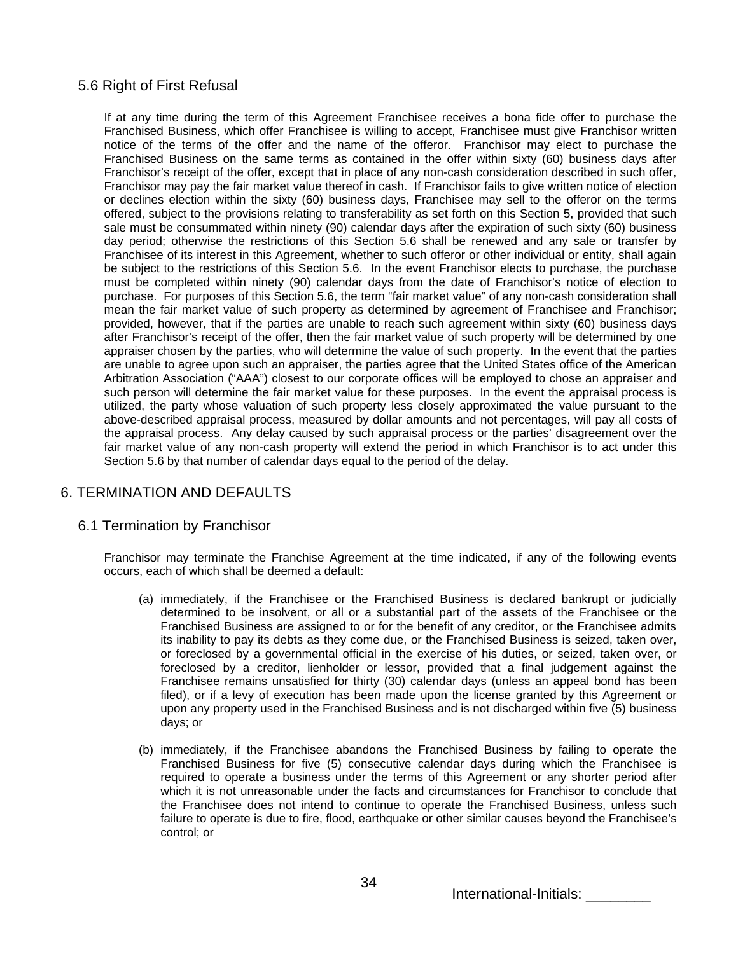# 5.6 Right of First Refusal

If at any time during the term of this Agreement Franchisee receives a bona fide offer to purchase the Franchised Business, which offer Franchisee is willing to accept, Franchisee must give Franchisor written notice of the terms of the offer and the name of the offeror. Franchisor may elect to purchase the Franchised Business on the same terms as contained in the offer within sixty (60) business days after Franchisor's receipt of the offer, except that in place of any non-cash consideration described in such offer, Franchisor may pay the fair market value thereof in cash. If Franchisor fails to give written notice of election or declines election within the sixty (60) business days, Franchisee may sell to the offeror on the terms offered, subject to the provisions relating to transferability as set forth on this Section 5, provided that such sale must be consummated within ninety (90) calendar days after the expiration of such sixty (60) business day period; otherwise the restrictions of this Section 5.6 shall be renewed and any sale or transfer by Franchisee of its interest in this Agreement, whether to such offeror or other individual or entity, shall again be subject to the restrictions of this Section 5.6. In the event Franchisor elects to purchase, the purchase must be completed within ninety (90) calendar days from the date of Franchisor's notice of election to purchase. For purposes of this Section 5.6, the term "fair market value" of any non-cash consideration shall mean the fair market value of such property as determined by agreement of Franchisee and Franchisor; provided, however, that if the parties are unable to reach such agreement within sixty (60) business days after Franchisor's receipt of the offer, then the fair market value of such property will be determined by one appraiser chosen by the parties, who will determine the value of such property. In the event that the parties are unable to agree upon such an appraiser, the parties agree that the United States office of the American Arbitration Association ("AAA") closest to our corporate offices will be employed to chose an appraiser and such person will determine the fair market value for these purposes. In the event the appraisal process is utilized, the party whose valuation of such property less closely approximated the value pursuant to the above-described appraisal process, measured by dollar amounts and not percentages, will pay all costs of the appraisal process. Any delay caused by such appraisal process or the parties' disagreement over the fair market value of any non-cash property will extend the period in which Franchisor is to act under this Section 5.6 by that number of calendar days equal to the period of the delay.

# 6. TERMINATION AND DEFAULTS

# 6.1 Termination by Franchisor

Franchisor may terminate the Franchise Agreement at the time indicated, if any of the following events occurs, each of which shall be deemed a default:

- (a) immediately, if the Franchisee or the Franchised Business is declared bankrupt or judicially determined to be insolvent, or all or a substantial part of the assets of the Franchisee or the Franchised Business are assigned to or for the benefit of any creditor, or the Franchisee admits its inability to pay its debts as they come due, or the Franchised Business is seized, taken over, or foreclosed by a governmental official in the exercise of his duties, or seized, taken over, or foreclosed by a creditor, lienholder or lessor, provided that a final judgement against the Franchisee remains unsatisfied for thirty (30) calendar days (unless an appeal bond has been filed), or if a levy of execution has been made upon the license granted by this Agreement or upon any property used in the Franchised Business and is not discharged within five (5) business days; or
- (b) immediately, if the Franchisee abandons the Franchised Business by failing to operate the Franchised Business for five (5) consecutive calendar days during which the Franchisee is required to operate a business under the terms of this Agreement or any shorter period after which it is not unreasonable under the facts and circumstances for Franchisor to conclude that the Franchisee does not intend to continue to operate the Franchised Business, unless such failure to operate is due to fire, flood, earthquake or other similar causes beyond the Franchisee's control; or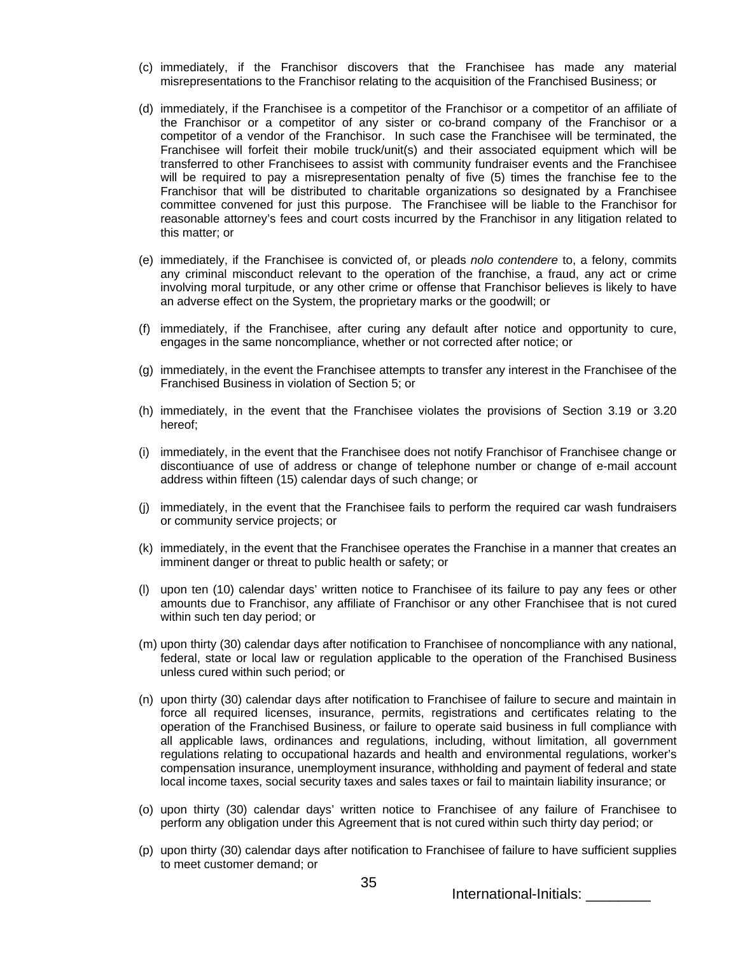- (c) immediately, if the Franchisor discovers that the Franchisee has made any material misrepresentations to the Franchisor relating to the acquisition of the Franchised Business; or
- (d) immediately, if the Franchisee is a competitor of the Franchisor or a competitor of an affiliate of the Franchisor or a competitor of any sister or co-brand company of the Franchisor or a competitor of a vendor of the Franchisor. In such case the Franchisee will be terminated, the Franchisee will forfeit their mobile truck/unit(s) and their associated equipment which will be transferred to other Franchisees to assist with community fundraiser events and the Franchisee will be required to pay a misrepresentation penalty of five (5) times the franchise fee to the Franchisor that will be distributed to charitable organizations so designated by a Franchisee committee convened for just this purpose. The Franchisee will be liable to the Franchisor for reasonable attorney's fees and court costs incurred by the Franchisor in any litigation related to this matter; or
- (e) immediately, if the Franchisee is convicted of, or pleads *nolo contendere* to, a felony, commits any criminal misconduct relevant to the operation of the franchise, a fraud, any act or crime involving moral turpitude, or any other crime or offense that Franchisor believes is likely to have an adverse effect on the System, the proprietary marks or the goodwill; or
- (f) immediately, if the Franchisee, after curing any default after notice and opportunity to cure, engages in the same noncompliance, whether or not corrected after notice; or
- (g) immediately, in the event the Franchisee attempts to transfer any interest in the Franchisee of the Franchised Business in violation of Section 5; or
- (h) immediately, in the event that the Franchisee violates the provisions of Section 3.19 or 3.20 hereof;
- (i) immediately, in the event that the Franchisee does not notify Franchisor of Franchisee change or discontiuance of use of address or change of telephone number or change of e-mail account address within fifteen (15) calendar days of such change; or
- (j) immediately, in the event that the Franchisee fails to perform the required car wash fundraisers or community service projects; or
- (k) immediately, in the event that the Franchisee operates the Franchise in a manner that creates an imminent danger or threat to public health or safety; or
- (l) upon ten (10) calendar days' written notice to Franchisee of its failure to pay any fees or other amounts due to Franchisor, any affiliate of Franchisor or any other Franchisee that is not cured within such ten day period; or
- (m) upon thirty (30) calendar days after notification to Franchisee of noncompliance with any national, federal, state or local law or regulation applicable to the operation of the Franchised Business unless cured within such period; or
- (n) upon thirty (30) calendar days after notification to Franchisee of failure to secure and maintain in force all required licenses, insurance, permits, registrations and certificates relating to the operation of the Franchised Business, or failure to operate said business in full compliance with all applicable laws, ordinances and regulations, including, without limitation, all government regulations relating to occupational hazards and health and environmental regulations, worker's compensation insurance, unemployment insurance, withholding and payment of federal and state local income taxes, social security taxes and sales taxes or fail to maintain liability insurance; or
- (o) upon thirty (30) calendar days' written notice to Franchisee of any failure of Franchisee to perform any obligation under this Agreement that is not cured within such thirty day period; or
- (p) upon thirty (30) calendar days after notification to Franchisee of failure to have sufficient supplies to meet customer demand; or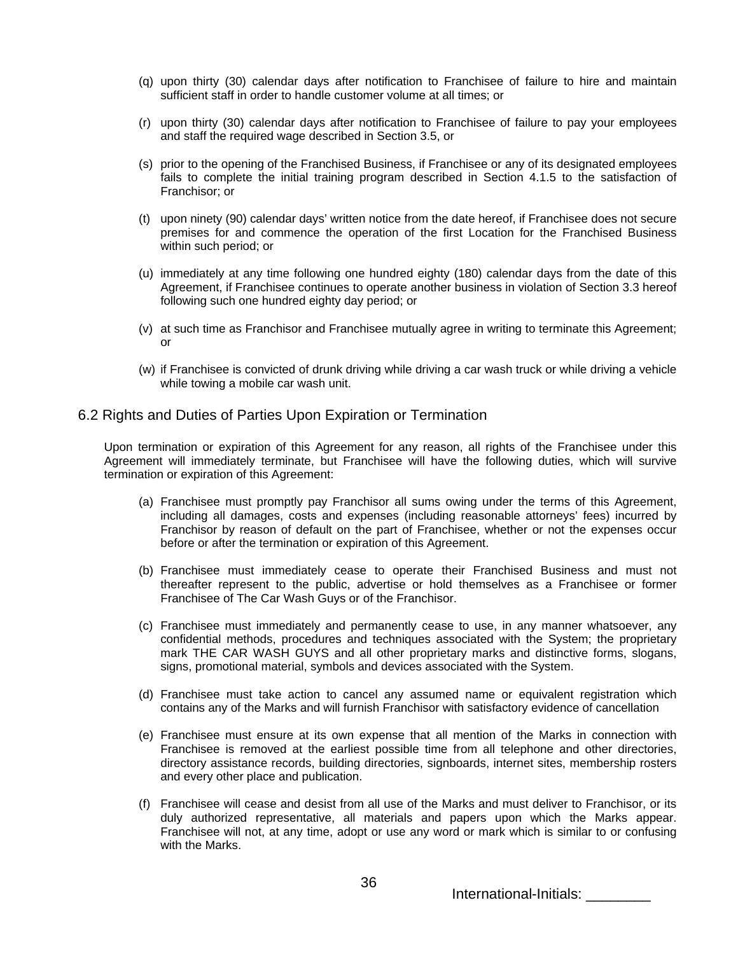- (q) upon thirty (30) calendar days after notification to Franchisee of failure to hire and maintain sufficient staff in order to handle customer volume at all times; or
- (r) upon thirty (30) calendar days after notification to Franchisee of failure to pay your employees and staff the required wage described in Section 3.5, or
- (s) prior to the opening of the Franchised Business, if Franchisee or any of its designated employees fails to complete the initial training program described in Section 4.1.5 to the satisfaction of Franchisor; or
- (t) upon ninety (90) calendar days' written notice from the date hereof, if Franchisee does not secure premises for and commence the operation of the first Location for the Franchised Business within such period; or
- (u) immediately at any time following one hundred eighty (180) calendar days from the date of this Agreement, if Franchisee continues to operate another business in violation of Section 3.3 hereof following such one hundred eighty day period; or
- (v) at such time as Franchisor and Franchisee mutually agree in writing to terminate this Agreement; or
- (w) if Franchisee is convicted of drunk driving while driving a car wash truck or while driving a vehicle while towing a mobile car wash unit.

### 6.2 Rights and Duties of Parties Upon Expiration or Termination

Upon termination or expiration of this Agreement for any reason, all rights of the Franchisee under this Agreement will immediately terminate, but Franchisee will have the following duties, which will survive termination or expiration of this Agreement:

- (a) Franchisee must promptly pay Franchisor all sums owing under the terms of this Agreement, including all damages, costs and expenses (including reasonable attorneys' fees) incurred by Franchisor by reason of default on the part of Franchisee, whether or not the expenses occur before or after the termination or expiration of this Agreement.
- (b) Franchisee must immediately cease to operate their Franchised Business and must not thereafter represent to the public, advertise or hold themselves as a Franchisee or former Franchisee of The Car Wash Guys or of the Franchisor.
- (c) Franchisee must immediately and permanently cease to use, in any manner whatsoever, any confidential methods, procedures and techniques associated with the System; the proprietary mark THE CAR WASH GUYS and all other proprietary marks and distinctive forms, slogans, signs, promotional material, symbols and devices associated with the System.
- (d) Franchisee must take action to cancel any assumed name or equivalent registration which contains any of the Marks and will furnish Franchisor with satisfactory evidence of cancellation
- (e) Franchisee must ensure at its own expense that all mention of the Marks in connection with Franchisee is removed at the earliest possible time from all telephone and other directories, directory assistance records, building directories, signboards, internet sites, membership rosters and every other place and publication.
- (f) Franchisee will cease and desist from all use of the Marks and must deliver to Franchisor, or its duly authorized representative, all materials and papers upon which the Marks appear. Franchisee will not, at any time, adopt or use any word or mark which is similar to or confusing with the Marks.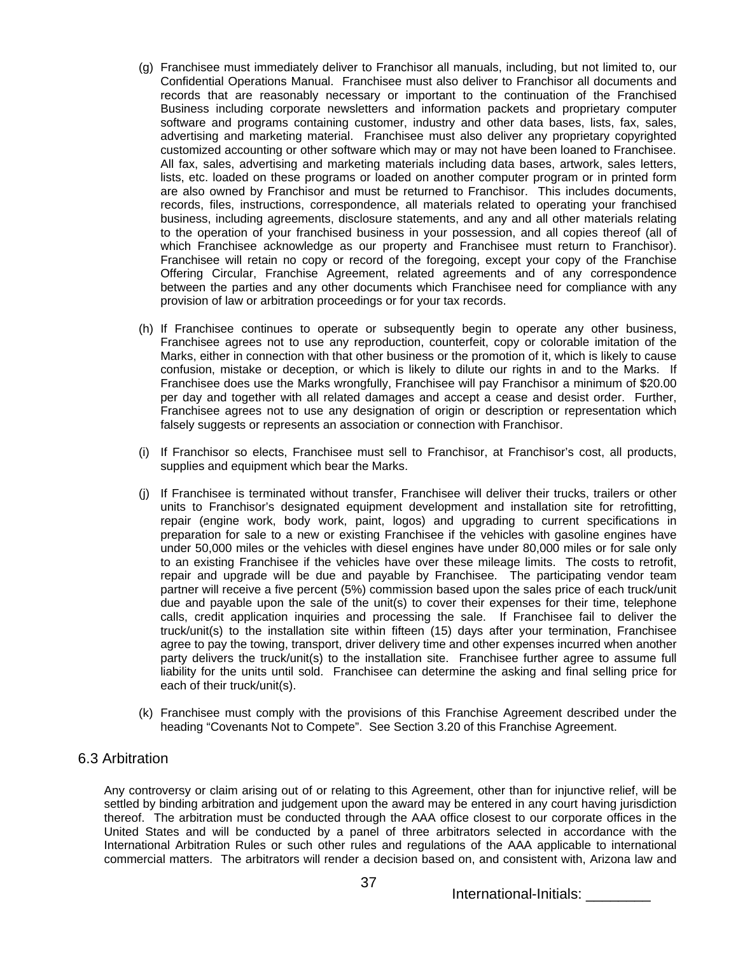- (g) Franchisee must immediately deliver to Franchisor all manuals, including, but not limited to, our Confidential Operations Manual. Franchisee must also deliver to Franchisor all documents and records that are reasonably necessary or important to the continuation of the Franchised Business including corporate newsletters and information packets and proprietary computer software and programs containing customer, industry and other data bases, lists, fax, sales, advertising and marketing material. Franchisee must also deliver any proprietary copyrighted customized accounting or other software which may or may not have been loaned to Franchisee. All fax, sales, advertising and marketing materials including data bases, artwork, sales letters, lists, etc. loaded on these programs or loaded on another computer program or in printed form are also owned by Franchisor and must be returned to Franchisor. This includes documents, records, files, instructions, correspondence, all materials related to operating your franchised business, including agreements, disclosure statements, and any and all other materials relating to the operation of your franchised business in your possession, and all copies thereof (all of which Franchisee acknowledge as our property and Franchisee must return to Franchisor). Franchisee will retain no copy or record of the foregoing, except your copy of the Franchise Offering Circular, Franchise Agreement, related agreements and of any correspondence between the parties and any other documents which Franchisee need for compliance with any provision of law or arbitration proceedings or for your tax records.
- (h) If Franchisee continues to operate or subsequently begin to operate any other business, Franchisee agrees not to use any reproduction, counterfeit, copy or colorable imitation of the Marks, either in connection with that other business or the promotion of it, which is likely to cause confusion, mistake or deception, or which is likely to dilute our rights in and to the Marks. If Franchisee does use the Marks wrongfully, Franchisee will pay Franchisor a minimum of \$20.00 per day and together with all related damages and accept a cease and desist order. Further, Franchisee agrees not to use any designation of origin or description or representation which falsely suggests or represents an association or connection with Franchisor.
- (i) If Franchisor so elects, Franchisee must sell to Franchisor, at Franchisor's cost, all products, supplies and equipment which bear the Marks.
- (j) If Franchisee is terminated without transfer, Franchisee will deliver their trucks, trailers or other units to Franchisor's designated equipment development and installation site for retrofitting, repair (engine work, body work, paint, logos) and upgrading to current specifications in preparation for sale to a new or existing Franchisee if the vehicles with gasoline engines have under 50,000 miles or the vehicles with diesel engines have under 80,000 miles or for sale only to an existing Franchisee if the vehicles have over these mileage limits. The costs to retrofit, repair and upgrade will be due and payable by Franchisee. The participating vendor team partner will receive a five percent (5%) commission based upon the sales price of each truck/unit due and payable upon the sale of the unit(s) to cover their expenses for their time, telephone calls, credit application inquiries and processing the sale. If Franchisee fail to deliver the truck/unit(s) to the installation site within fifteen (15) days after your termination, Franchisee agree to pay the towing, transport, driver delivery time and other expenses incurred when another party delivers the truck/unit(s) to the installation site. Franchisee further agree to assume full liability for the units until sold. Franchisee can determine the asking and final selling price for each of their truck/unit(s).
- (k) Franchisee must comply with the provisions of this Franchise Agreement described under the heading "Covenants Not to Compete". See Section 3.20 of this Franchise Agreement.

### 6.3 Arbitration

Any controversy or claim arising out of or relating to this Agreement, other than for injunctive relief, will be settled by binding arbitration and judgement upon the award may be entered in any court having jurisdiction thereof. The arbitration must be conducted through the AAA office closest to our corporate offices in the United States and will be conducted by a panel of three arbitrators selected in accordance with the International Arbitration Rules or such other rules and regulations of the AAA applicable to international commercial matters. The arbitrators will render a decision based on, and consistent with, Arizona law and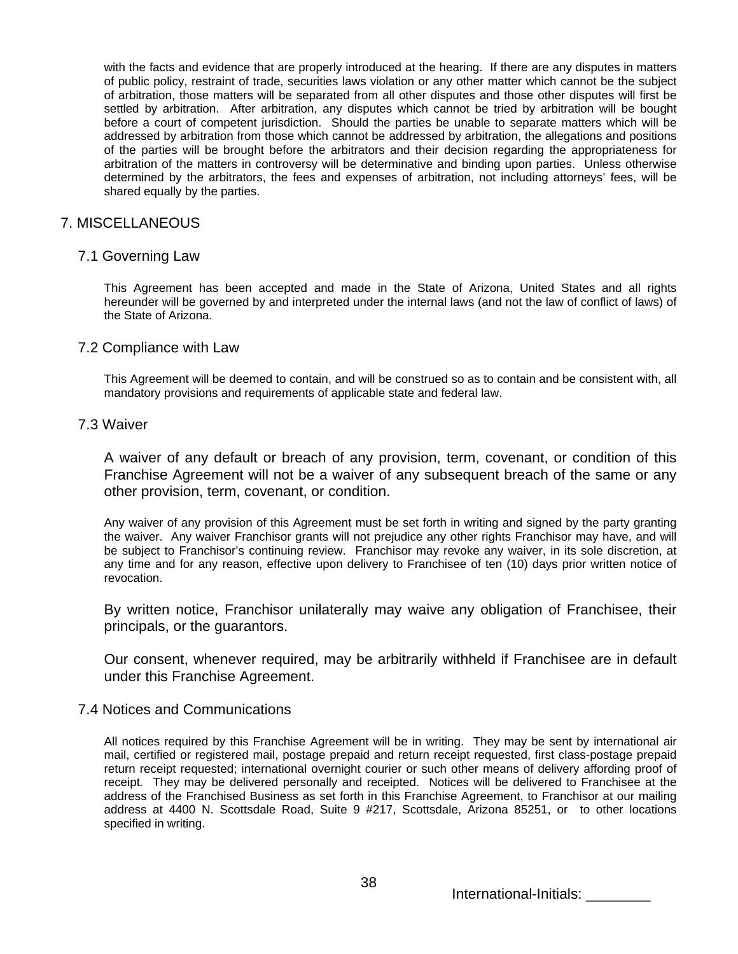with the facts and evidence that are properly introduced at the hearing. If there are any disputes in matters of public policy, restraint of trade, securities laws violation or any other matter which cannot be the subject of arbitration, those matters will be separated from all other disputes and those other disputes will first be settled by arbitration. After arbitration, any disputes which cannot be tried by arbitration will be bought before a court of competent jurisdiction. Should the parties be unable to separate matters which will be addressed by arbitration from those which cannot be addressed by arbitration, the allegations and positions of the parties will be brought before the arbitrators and their decision regarding the appropriateness for arbitration of the matters in controversy will be determinative and binding upon parties. Unless otherwise determined by the arbitrators, the fees and expenses of arbitration, not including attorneys' fees, will be shared equally by the parties.

### 7. MISCELLANEOUS

### 7.1 Governing Law

This Agreement has been accepted and made in the State of Arizona, United States and all rights hereunder will be governed by and interpreted under the internal laws (and not the law of conflict of laws) of the State of Arizona.

## 7.2 Compliance with Law

This Agreement will be deemed to contain, and will be construed so as to contain and be consistent with, all mandatory provisions and requirements of applicable state and federal law.

### 7.3 Waiver

A waiver of any default or breach of any provision, term, covenant, or condition of this Franchise Agreement will not be a waiver of any subsequent breach of the same or any other provision, term, covenant, or condition.

Any waiver of any provision of this Agreement must be set forth in writing and signed by the party granting the waiver. Any waiver Franchisor grants will not prejudice any other rights Franchisor may have, and will be subject to Franchisor's continuing review. Franchisor may revoke any waiver, in its sole discretion, at any time and for any reason, effective upon delivery to Franchisee of ten (10) days prior written notice of revocation.

By written notice, Franchisor unilaterally may waive any obligation of Franchisee, their principals, or the guarantors.

Our consent, whenever required, may be arbitrarily withheld if Franchisee are in default under this Franchise Agreement.

## 7.4 Notices and Communications

All notices required by this Franchise Agreement will be in writing. They may be sent by international air mail, certified or registered mail, postage prepaid and return receipt requested, first class-postage prepaid return receipt requested; international overnight courier or such other means of delivery affording proof of receipt. They may be delivered personally and receipted. Notices will be delivered to Franchisee at the address of the Franchised Business as set forth in this Franchise Agreement, to Franchisor at our mailing address at 4400 N. Scottsdale Road, Suite 9 #217, Scottsdale, Arizona 85251, or to other locations specified in writing.

International-Initials: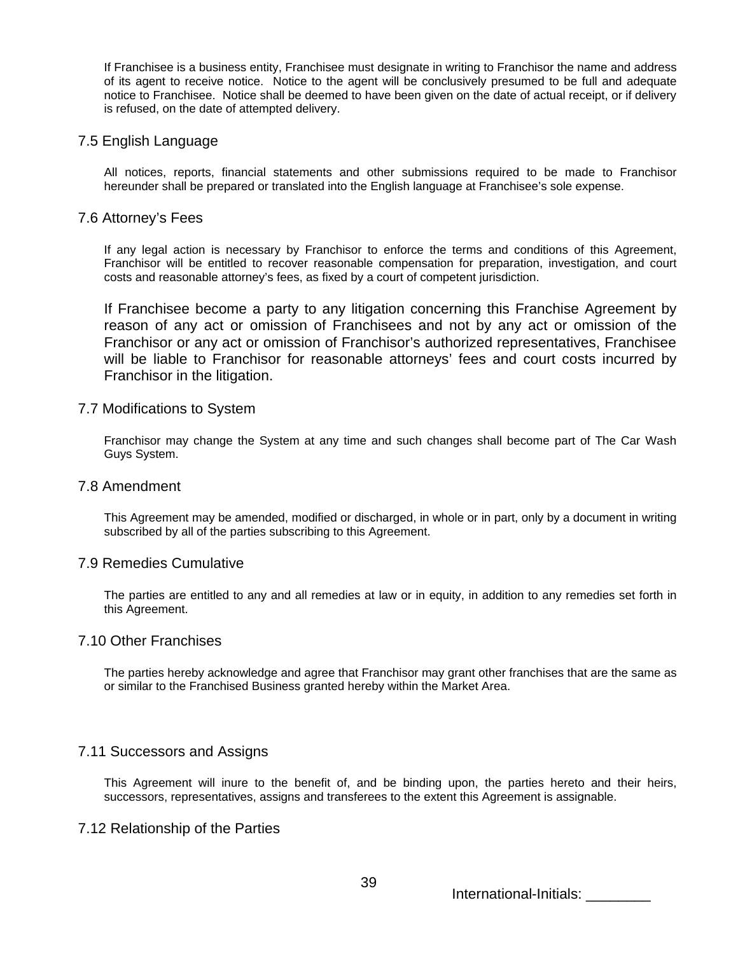If Franchisee is a business entity, Franchisee must designate in writing to Franchisor the name and address of its agent to receive notice. Notice to the agent will be conclusively presumed to be full and adequate notice to Franchisee. Notice shall be deemed to have been given on the date of actual receipt, or if delivery is refused, on the date of attempted delivery.

## 7.5 English Language

All notices, reports, financial statements and other submissions required to be made to Franchisor hereunder shall be prepared or translated into the English language at Franchisee's sole expense.

## 7.6 Attorney's Fees

If any legal action is necessary by Franchisor to enforce the terms and conditions of this Agreement, Franchisor will be entitled to recover reasonable compensation for preparation, investigation, and court costs and reasonable attorney's fees, as fixed by a court of competent jurisdiction.

If Franchisee become a party to any litigation concerning this Franchise Agreement by reason of any act or omission of Franchisees and not by any act or omission of the Franchisor or any act or omission of Franchisor's authorized representatives, Franchisee will be liable to Franchisor for reasonable attorneys' fees and court costs incurred by Franchisor in the litigation.

### 7.7 Modifications to System

Franchisor may change the System at any time and such changes shall become part of The Car Wash Guys System.

### 7.8 Amendment

This Agreement may be amended, modified or discharged, in whole or in part, only by a document in writing subscribed by all of the parties subscribing to this Agreement.

## 7.9 Remedies Cumulative

The parties are entitled to any and all remedies at law or in equity, in addition to any remedies set forth in this Agreement.

### 7.10 Other Franchises

The parties hereby acknowledge and agree that Franchisor may grant other franchises that are the same as or similar to the Franchised Business granted hereby within the Market Area.

# 7.11 Successors and Assigns

This Agreement will inure to the benefit of, and be binding upon, the parties hereto and their heirs, successors, representatives, assigns and transferees to the extent this Agreement is assignable.

# 7.12 Relationship of the Parties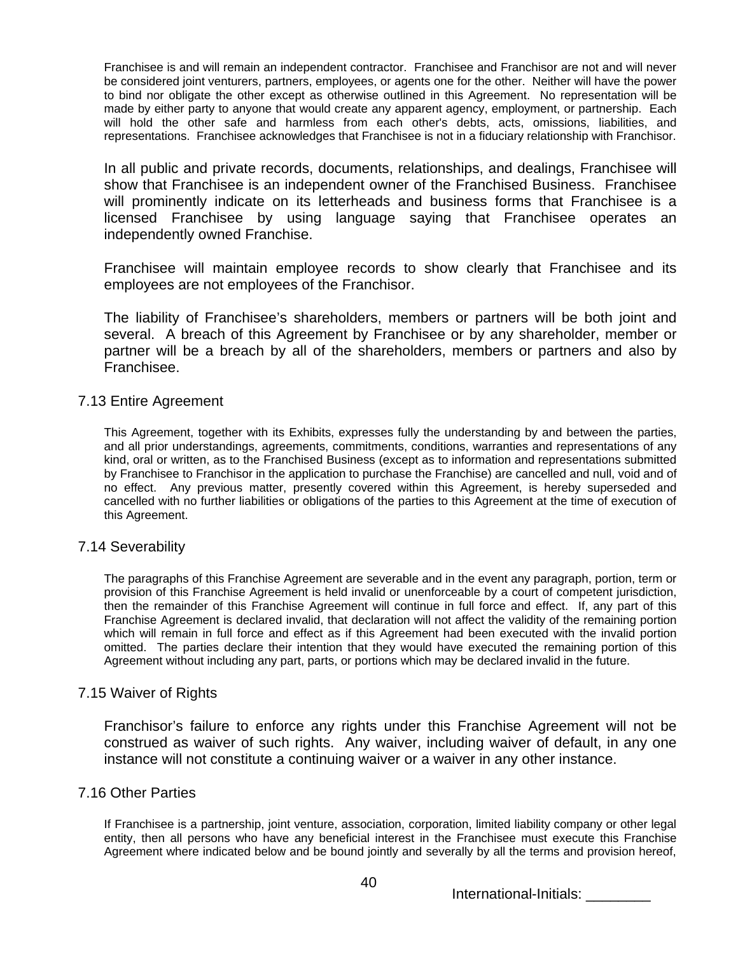Franchisee is and will remain an independent contractor. Franchisee and Franchisor are not and will never be considered joint venturers, partners, employees, or agents one for the other. Neither will have the power to bind nor obligate the other except as otherwise outlined in this Agreement. No representation will be made by either party to anyone that would create any apparent agency, employment, or partnership. Each will hold the other safe and harmless from each other's debts, acts, omissions, liabilities, and representations. Franchisee acknowledges that Franchisee is not in a fiduciary relationship with Franchisor.

In all public and private records, documents, relationships, and dealings, Franchisee will show that Franchisee is an independent owner of the Franchised Business. Franchisee will prominently indicate on its letterheads and business forms that Franchisee is a licensed Franchisee by using language saying that Franchisee operates an independently owned Franchise.

Franchisee will maintain employee records to show clearly that Franchisee and its employees are not employees of the Franchisor.

The liability of Franchisee's shareholders, members or partners will be both joint and several. A breach of this Agreement by Franchisee or by any shareholder, member or partner will be a breach by all of the shareholders, members or partners and also by Franchisee.

# 7.13 Entire Agreement

This Agreement, together with its Exhibits, expresses fully the understanding by and between the parties, and all prior understandings, agreements, commitments, conditions, warranties and representations of any kind, oral or written, as to the Franchised Business (except as to information and representations submitted by Franchisee to Franchisor in the application to purchase the Franchise) are cancelled and null, void and of no effect. Any previous matter, presently covered within this Agreement, is hereby superseded and cancelled with no further liabilities or obligations of the parties to this Agreement at the time of execution of this Agreement.

# 7.14 Severability

The paragraphs of this Franchise Agreement are severable and in the event any paragraph, portion, term or provision of this Franchise Agreement is held invalid or unenforceable by a court of competent jurisdiction, then the remainder of this Franchise Agreement will continue in full force and effect. If, any part of this Franchise Agreement is declared invalid, that declaration will not affect the validity of the remaining portion which will remain in full force and effect as if this Agreement had been executed with the invalid portion omitted. The parties declare their intention that they would have executed the remaining portion of this Agreement without including any part, parts, or portions which may be declared invalid in the future.

# 7.15 Waiver of Rights

Franchisor's failure to enforce any rights under this Franchise Agreement will not be construed as waiver of such rights. Any waiver, including waiver of default, in any one instance will not constitute a continuing waiver or a waiver in any other instance.

# 7.16 Other Parties

If Franchisee is a partnership, joint venture, association, corporation, limited liability company or other legal entity, then all persons who have any beneficial interest in the Franchisee must execute this Franchise Agreement where indicated below and be bound jointly and severally by all the terms and provision hereof,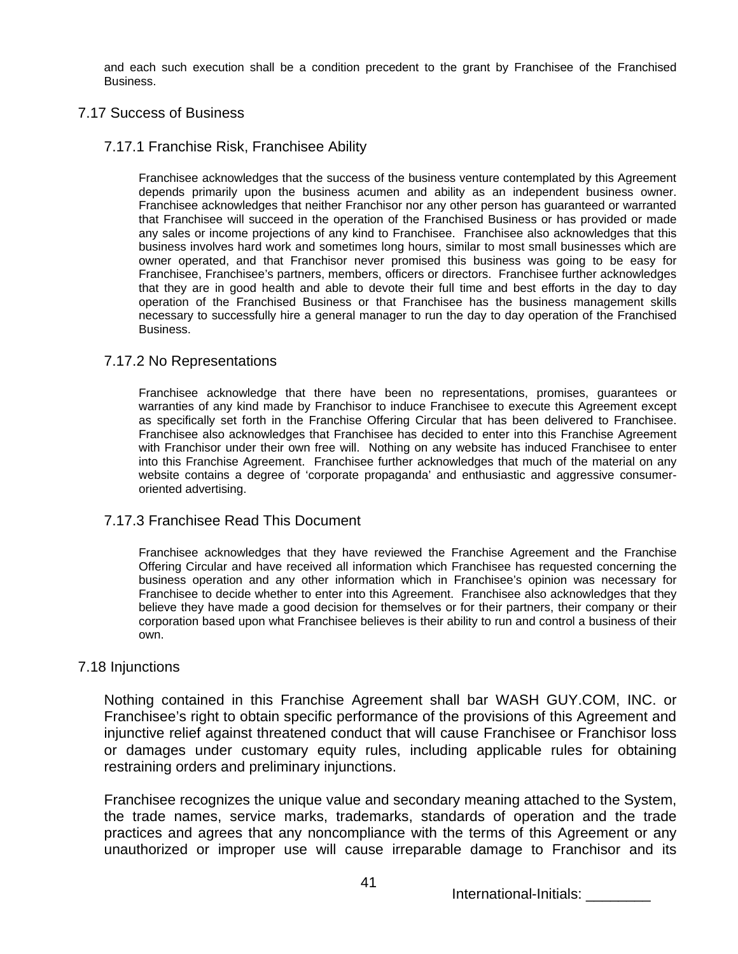and each such execution shall be a condition precedent to the grant by Franchisee of the Franchised Business.

# 7.17 Success of Business

# 7.17.1 Franchise Risk, Franchisee Ability

Franchisee acknowledges that the success of the business venture contemplated by this Agreement depends primarily upon the business acumen and ability as an independent business owner. Franchisee acknowledges that neither Franchisor nor any other person has guaranteed or warranted that Franchisee will succeed in the operation of the Franchised Business or has provided or made any sales or income projections of any kind to Franchisee. Franchisee also acknowledges that this business involves hard work and sometimes long hours, similar to most small businesses which are owner operated, and that Franchisor never promised this business was going to be easy for Franchisee, Franchisee's partners, members, officers or directors. Franchisee further acknowledges that they are in good health and able to devote their full time and best efforts in the day to day operation of the Franchised Business or that Franchisee has the business management skills necessary to successfully hire a general manager to run the day to day operation of the Franchised Business.

## 7.17.2 No Representations

Franchisee acknowledge that there have been no representations, promises, guarantees or warranties of any kind made by Franchisor to induce Franchisee to execute this Agreement except as specifically set forth in the Franchise Offering Circular that has been delivered to Franchisee. Franchisee also acknowledges that Franchisee has decided to enter into this Franchise Agreement with Franchisor under their own free will. Nothing on any website has induced Franchisee to enter into this Franchise Agreement. Franchisee further acknowledges that much of the material on any website contains a degree of 'corporate propaganda' and enthusiastic and aggressive consumeroriented advertising.

# 7.17.3 Franchisee Read This Document

Franchisee acknowledges that they have reviewed the Franchise Agreement and the Franchise Offering Circular and have received all information which Franchisee has requested concerning the business operation and any other information which in Franchisee's opinion was necessary for Franchisee to decide whether to enter into this Agreement. Franchisee also acknowledges that they believe they have made a good decision for themselves or for their partners, their company or their corporation based upon what Franchisee believes is their ability to run and control a business of their own.

### 7.18 Injunctions

Nothing contained in this Franchise Agreement shall bar WASH GUY.COM, INC. or Franchisee's right to obtain specific performance of the provisions of this Agreement and injunctive relief against threatened conduct that will cause Franchisee or Franchisor loss or damages under customary equity rules, including applicable rules for obtaining restraining orders and preliminary injunctions.

Franchisee recognizes the unique value and secondary meaning attached to the System, the trade names, service marks, trademarks, standards of operation and the trade practices and agrees that any noncompliance with the terms of this Agreement or any unauthorized or improper use will cause irreparable damage to Franchisor and its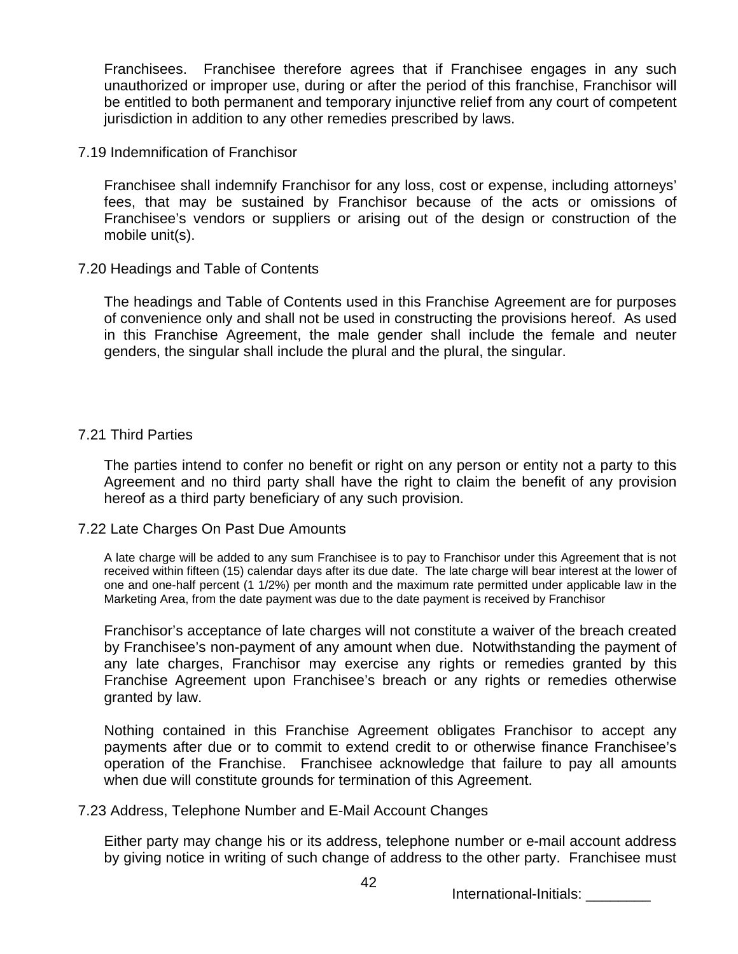Franchisees. Franchisee therefore agrees that if Franchisee engages in any such unauthorized or improper use, during or after the period of this franchise, Franchisor will be entitled to both permanent and temporary injunctive relief from any court of competent jurisdiction in addition to any other remedies prescribed by laws.

7.19 Indemnification of Franchisor

Franchisee shall indemnify Franchisor for any loss, cost or expense, including attorneys' fees, that may be sustained by Franchisor because of the acts or omissions of Franchisee's vendors or suppliers or arising out of the design or construction of the mobile unit(s).

7.20 Headings and Table of Contents

The headings and Table of Contents used in this Franchise Agreement are for purposes of convenience only and shall not be used in constructing the provisions hereof. As used in this Franchise Agreement, the male gender shall include the female and neuter genders, the singular shall include the plural and the plural, the singular.

# 7.21 Third Parties

The parties intend to confer no benefit or right on any person or entity not a party to this Agreement and no third party shall have the right to claim the benefit of any provision hereof as a third party beneficiary of any such provision.

# 7.22 Late Charges On Past Due Amounts

A late charge will be added to any sum Franchisee is to pay to Franchisor under this Agreement that is not received within fifteen (15) calendar days after its due date. The late charge will bear interest at the lower of one and one-half percent (1 1/2%) per month and the maximum rate permitted under applicable law in the Marketing Area, from the date payment was due to the date payment is received by Franchisor

Franchisor's acceptance of late charges will not constitute a waiver of the breach created by Franchisee's non-payment of any amount when due. Notwithstanding the payment of any late charges, Franchisor may exercise any rights or remedies granted by this Franchise Agreement upon Franchisee's breach or any rights or remedies otherwise granted by law.

Nothing contained in this Franchise Agreement obligates Franchisor to accept any payments after due or to commit to extend credit to or otherwise finance Franchisee's operation of the Franchise. Franchisee acknowledge that failure to pay all amounts when due will constitute grounds for termination of this Agreement.

# 7.23 Address, Telephone Number and E-Mail Account Changes

Either party may change his or its address, telephone number or e-mail account address by giving notice in writing of such change of address to the other party. Franchisee must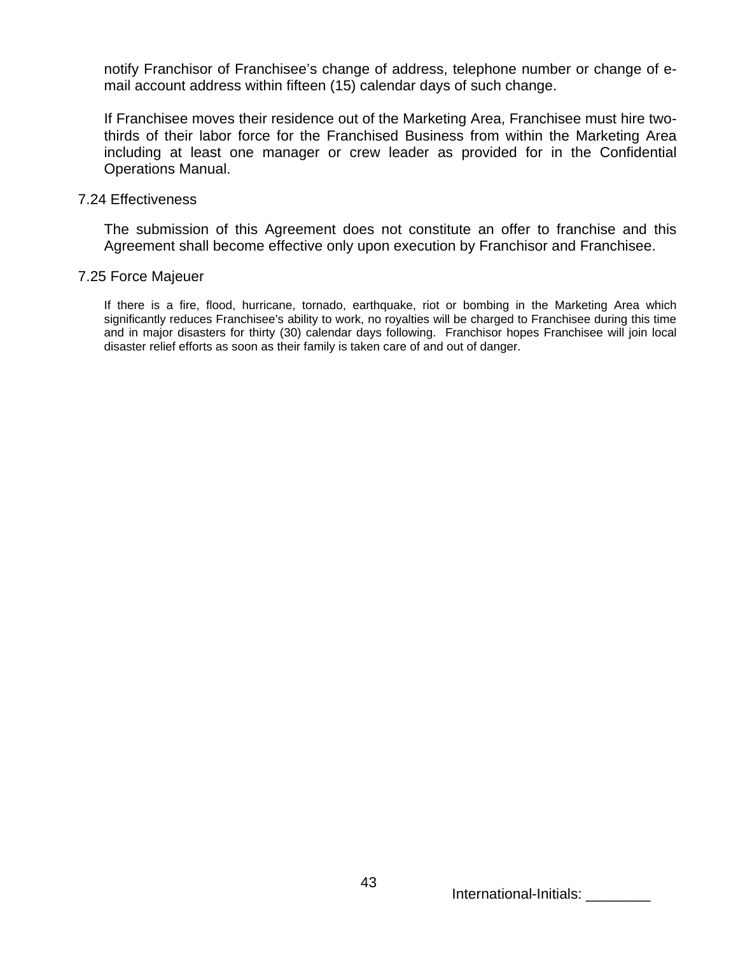notify Franchisor of Franchisee's change of address, telephone number or change of email account address within fifteen (15) calendar days of such change.

If Franchisee moves their residence out of the Marketing Area, Franchisee must hire twothirds of their labor force for the Franchised Business from within the Marketing Area including at least one manager or crew leader as provided for in the Confidential Operations Manual.

## 7.24 Effectiveness

The submission of this Agreement does not constitute an offer to franchise and this Agreement shall become effective only upon execution by Franchisor and Franchisee.

# 7.25 Force Majeuer

If there is a fire, flood, hurricane, tornado, earthquake, riot or bombing in the Marketing Area which significantly reduces Franchisee's ability to work, no royalties will be charged to Franchisee during this time and in major disasters for thirty (30) calendar days following. Franchisor hopes Franchisee will join local disaster relief efforts as soon as their family is taken care of and out of danger.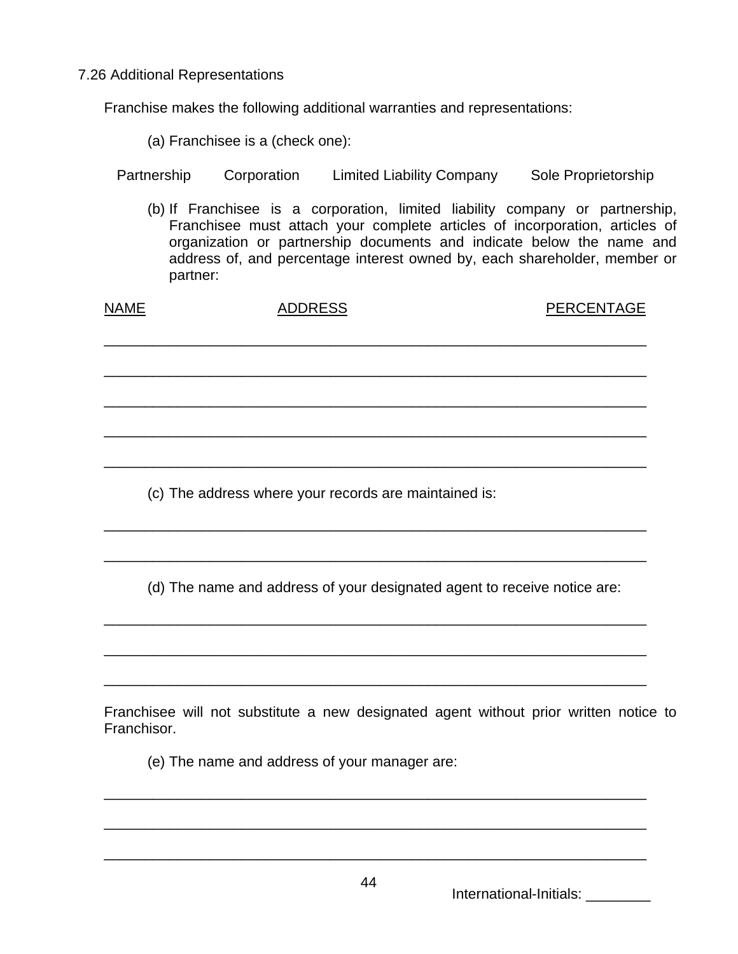7.26 Additional Representations

Franchise makes the following additional warranties and representations:

(a) Franchisee is a (check one):

(b) If Franchisee is a corporation, limited liability company or partnership, Franchisee must attach your complete articles of incorporation, articles of organization or partnership documents and indicate below the name and address of, and percentage interest owned by, each shareholder, member or partner:

| <b>NAME</b>                                                              | <b>ADDRESS</b>                                        | <b>PERCENTAGE</b> |  |
|--------------------------------------------------------------------------|-------------------------------------------------------|-------------------|--|
|                                                                          |                                                       |                   |  |
|                                                                          |                                                       |                   |  |
|                                                                          |                                                       |                   |  |
|                                                                          |                                                       |                   |  |
|                                                                          |                                                       |                   |  |
|                                                                          | (c) The address where your records are maintained is: |                   |  |
|                                                                          |                                                       |                   |  |
| (d) The name and address of your designated agent to receive notice are: |                                                       |                   |  |
|                                                                          |                                                       |                   |  |
|                                                                          |                                                       |                   |  |

Franchisee will not substitute a new designated agent without prior written notice to Franchisor.

(e) The name and address of your manager are:

International-Initials: \_\_\_\_\_\_\_\_

\_\_\_\_\_\_\_\_\_\_\_\_\_\_\_\_\_\_\_\_\_\_\_\_\_\_\_\_\_\_\_\_\_\_\_\_\_\_\_\_\_\_\_\_\_\_\_\_\_\_\_\_\_\_\_\_\_\_\_\_\_\_\_\_\_\_\_

\_\_\_\_\_\_\_\_\_\_\_\_\_\_\_\_\_\_\_\_\_\_\_\_\_\_\_\_\_\_\_\_\_\_\_\_\_\_\_\_\_\_\_\_\_\_\_\_\_\_\_\_\_\_\_\_\_\_\_\_\_\_\_\_\_\_\_

\_\_\_\_\_\_\_\_\_\_\_\_\_\_\_\_\_\_\_\_\_\_\_\_\_\_\_\_\_\_\_\_\_\_\_\_\_\_\_\_\_\_\_\_\_\_\_\_\_\_\_\_\_\_\_\_\_\_\_\_\_\_\_\_\_\_\_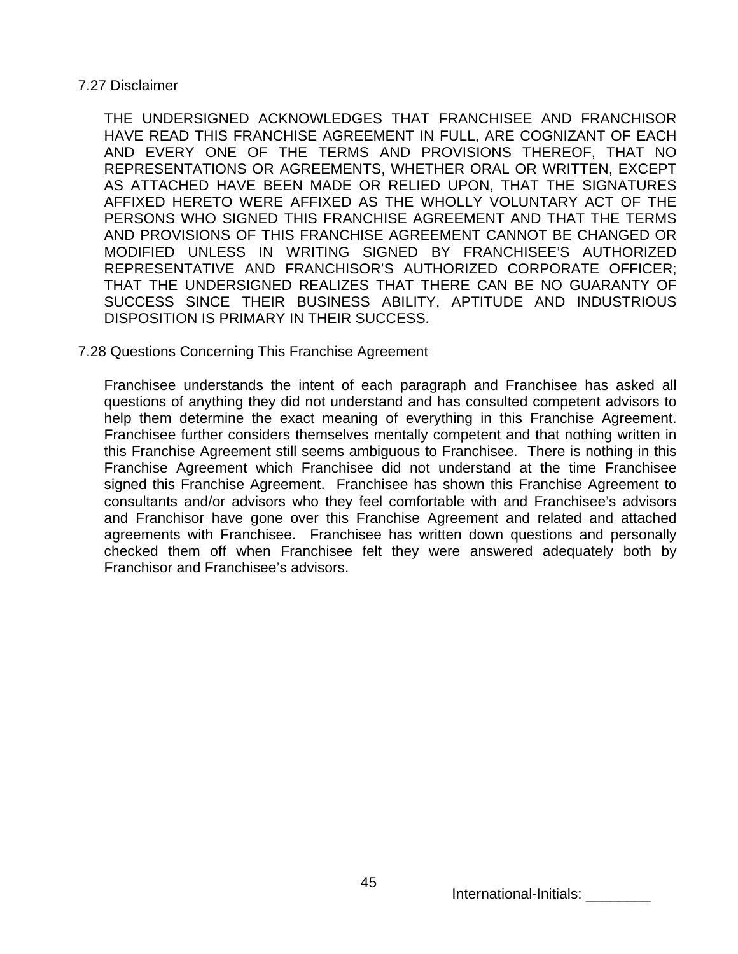# 7.27 Disclaimer

THE UNDERSIGNED ACKNOWLEDGES THAT FRANCHISEE AND FRANCHISOR HAVE READ THIS FRANCHISE AGREEMENT IN FULL, ARE COGNIZANT OF EACH AND EVERY ONE OF THE TERMS AND PROVISIONS THEREOF, THAT NO REPRESENTATIONS OR AGREEMENTS, WHETHER ORAL OR WRITTEN, EXCEPT AS ATTACHED HAVE BEEN MADE OR RELIED UPON, THAT THE SIGNATURES AFFIXED HERETO WERE AFFIXED AS THE WHOLLY VOLUNTARY ACT OF THE PERSONS WHO SIGNED THIS FRANCHISE AGREEMENT AND THAT THE TERMS AND PROVISIONS OF THIS FRANCHISE AGREEMENT CANNOT BE CHANGED OR MODIFIED UNLESS IN WRITING SIGNED BY FRANCHISEE'S AUTHORIZED REPRESENTATIVE AND FRANCHISOR'S AUTHORIZED CORPORATE OFFICER; THAT THE UNDERSIGNED REALIZES THAT THERE CAN BE NO GUARANTY OF SUCCESS SINCE THEIR BUSINESS ABILITY, APTITUDE AND INDUSTRIOUS DISPOSITION IS PRIMARY IN THEIR SUCCESS.

# 7.28 Questions Concerning This Franchise Agreement

Franchisee understands the intent of each paragraph and Franchisee has asked all questions of anything they did not understand and has consulted competent advisors to help them determine the exact meaning of everything in this Franchise Agreement. Franchisee further considers themselves mentally competent and that nothing written in this Franchise Agreement still seems ambiguous to Franchisee. There is nothing in this Franchise Agreement which Franchisee did not understand at the time Franchisee signed this Franchise Agreement. Franchisee has shown this Franchise Agreement to consultants and/or advisors who they feel comfortable with and Franchisee's advisors and Franchisor have gone over this Franchise Agreement and related and attached agreements with Franchisee. Franchisee has written down questions and personally checked them off when Franchisee felt they were answered adequately both by Franchisor and Franchisee's advisors.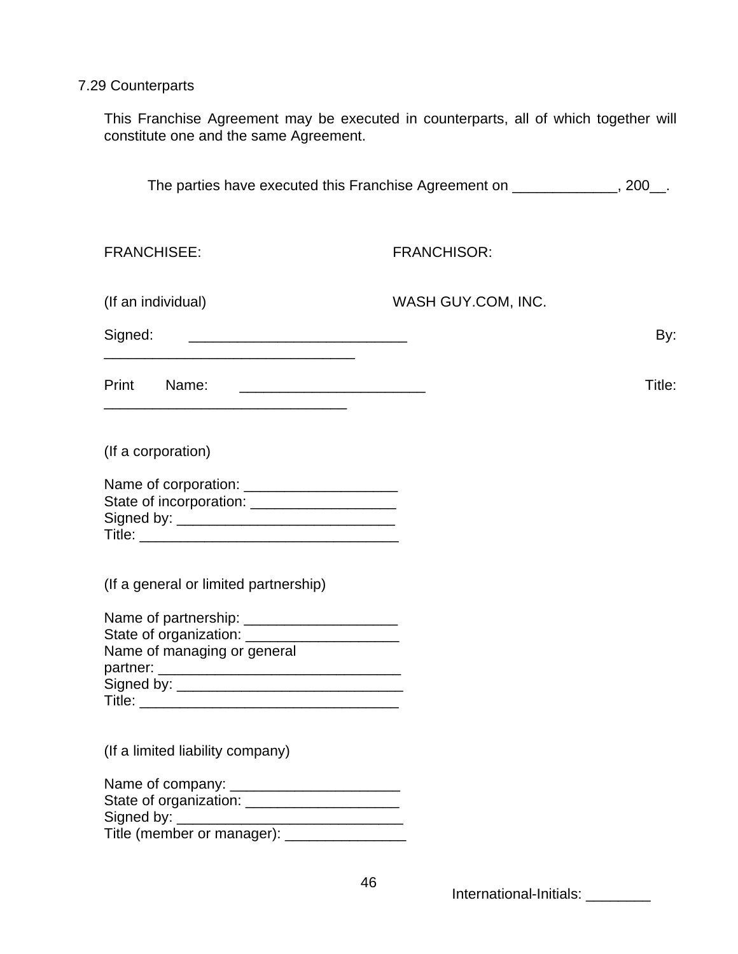# 7.29 Counterparts

This Franchise Agreement may be executed in counterparts, all of which together will constitute one and the same Agreement.

| The parties have executed this Franchise Agreement on _____________, 200__.                                                    |                    |        |
|--------------------------------------------------------------------------------------------------------------------------------|--------------------|--------|
| <b>FRANCHISEE:</b>                                                                                                             | <b>FRANCHISOR:</b> |        |
| (If an individual)                                                                                                             | WASH GUY.COM, INC. |        |
|                                                                                                                                |                    | By:    |
|                                                                                                                                |                    | Title: |
| (If a corporation)                                                                                                             |                    |        |
| State of incorporation: ___________________                                                                                    |                    |        |
| (If a general or limited partnership)                                                                                          |                    |        |
| Name of partnership: _________________________<br>State of organization: ______________________<br>Name of managing or general |                    |        |
| (If a limited liability company)                                                                                               |                    |        |
| Name of company: __________________________<br>State of organization: ________________________                                 |                    |        |
|                                                                                                                                |                    |        |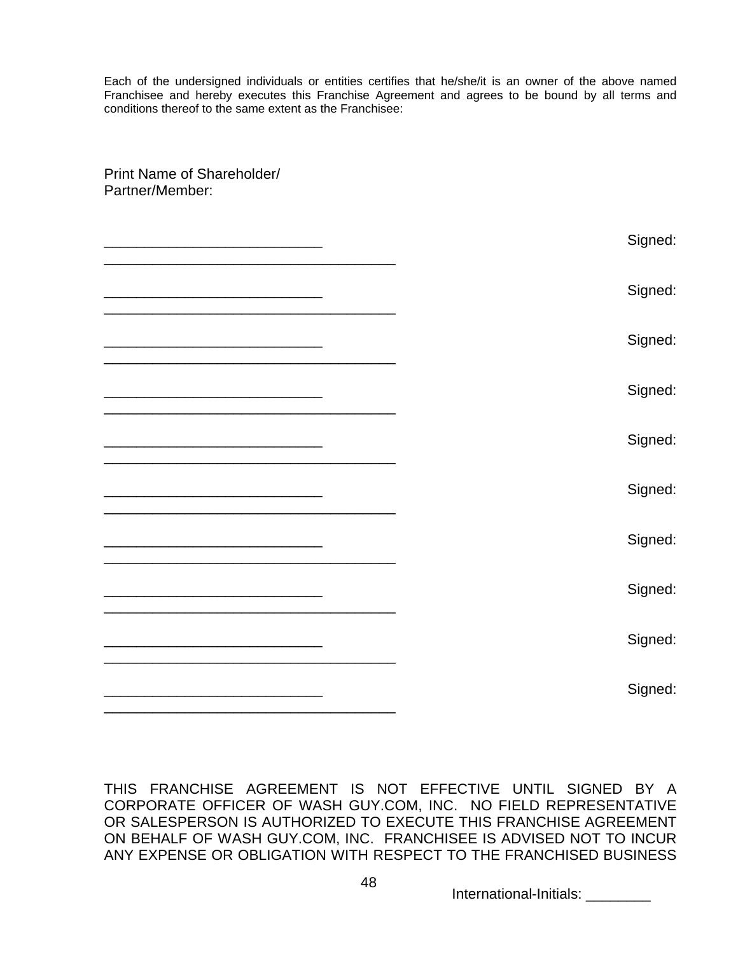Each of the undersigned individuals or entities certifies that he/she/it is an owner of the above named Franchisee and hereby executes this Franchise Agreement and agrees to be bound by all terms and conditions thereof to the same extent as the Franchisee:

Print Name of Shareholder/

| Partner/Member:                                                                                                       |         |
|-----------------------------------------------------------------------------------------------------------------------|---------|
|                                                                                                                       | Signed: |
|                                                                                                                       | Signed: |
|                                                                                                                       | Signed: |
|                                                                                                                       | Signed: |
|                                                                                                                       | Signed: |
| <u> 1989 - Johann Harry Harry Harry Harry Harry Harry Harry Harry Harry Harry Harry Harry Harry Harry Harry Harry</u> | Signed: |
|                                                                                                                       | Signed: |
|                                                                                                                       | Signed: |
|                                                                                                                       | Signed: |
|                                                                                                                       | Signed: |

THIS FRANCHISE AGREEMENT IS NOT EFFECTIVE UNTIL SIGNED BY A CORPORATE OFFICER OF WASH GUY.COM, INC. NO FIELD REPRESENTATIVE OR SALESPERSON IS AUTHORIZED TO EXECUTE THIS FRANCHISE AGREEMENT ON BEHALF OF WASH GUY.COM, INC. FRANCHISEE IS ADVISED NOT TO INCUR ANY EXPENSE OR OBLIGATION WITH RESPECT TO THE FRANCHISED BUSINESS